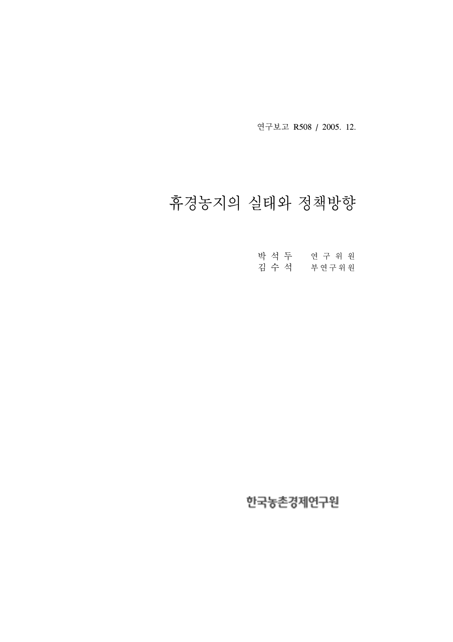연구보고 R508 / 2005. 12.

# 휴경농지의 실태와 정책방향

| 박 석 두 | 연구 위원 |
|-------|-------|
| 김 수 석 | 부연구위원 |

# 한국농촌경제연구원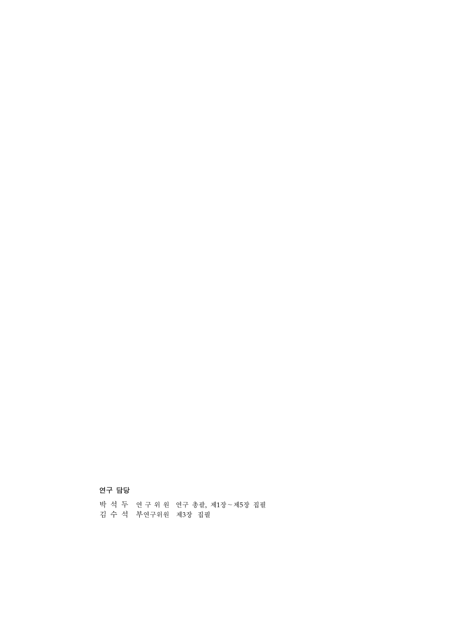# 연구 담당

박 석 두 연 구 위 원 연구 총괄, 제1장∼제5장 집필 김 수 석 부연구위원 제3장 집필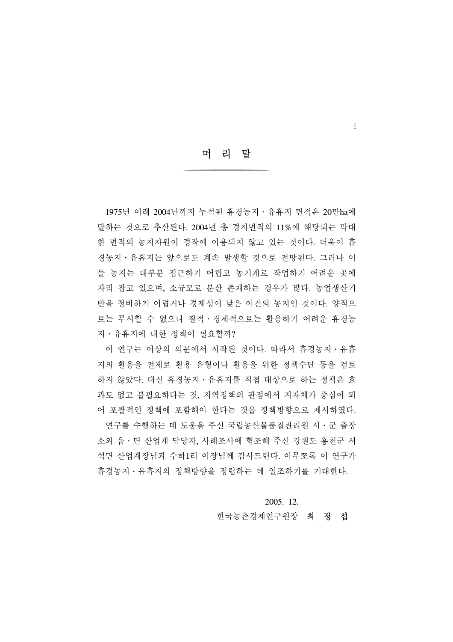머 리 말

i

1975년 이래 2004년까지 누적된 휴경농지 · 유휴지 면적은 20만ha에 달하는 것으로 추산된다. 2004년 총 경지면적의 11%에 해당되는 막대 한 면적의 농지자원이 경작에 이용되지 않고 있는 것이다. 더욱이 휴 경농지․유휴지는 앞으로도 계속 발생할 것으로 전망된다. 그러나 이 들 농지는 대부분 접근하기 어렵고 농기계로 작업하기 어려운 곳에 자리 잡고 있으며, 소규모로 분산 존재하는 경우가 많다. 농업생산기 반을 정비하기 어렵거나 경제성이 낮은 여건의 농지인 것이다. 양적으 로는 무시할 수 없으나 질적․경제적으로는 활용하기 어려운 휴경농 지․유휴지에 대한 정책이 필요할까?

 이 연구는 이상의 의문에서 시작된 것이다. 따라서 휴경농지․유휴 지의 활용을 전제로 활용 유형이나 활용을 위한 정책수단 등을 검토 하지 않았다. 대신 휴경농지․유휴지를 직접 대상으로 하는 정책은 효 과도 없고 불필요하다는 것, 지역정책의 관점에서 지자체가 중심이 되 어 포괄적인 정책에 포함해야 한다는 것을 정책방향으로 제시하였다.

 연구를 수행하는 데 도움을 주신 국립농산물품질관리원 시․군 출장 소와 읍․면 산업계 담당자, 사례조사에 협조해 주신 강원도 홍천군 서 석면 산업계장님과 수하1리 이장님께 감사드린다. 아무쪼록 이 연구가 휴경농지․유휴지의 정책방향을 정립하는 데 일조하기를 기대한다.

#### 2005. 12.

#### 한국농촌경제연구원장 최 정 섭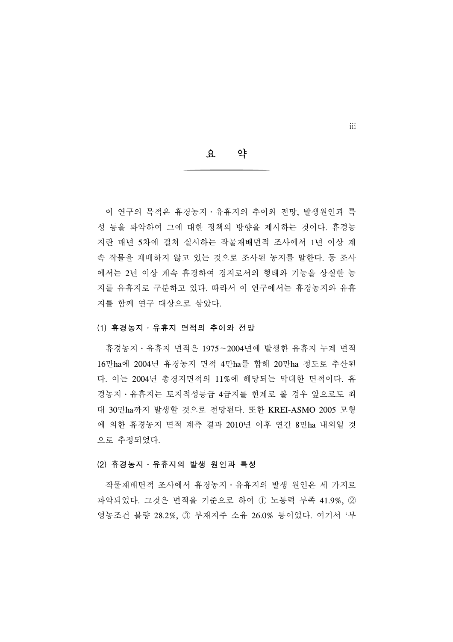요 약

 이 연구의 목적은 휴경농지․유휴지의 추이와 전망, 발생원인과 특 성 등을 파악하여 그에 대한 정책의 방향을 제시하는 것이다. 휴경농 지란 매년 5차에 걸쳐 실시하는 작물재배면적 조사에서 1년 이상 계 속 작물을 재배하지 않고 있는 것으로 조사된 농지를 말한다. 동 조사 에서는 2년 이상 계속 휴경하여 경지로서의 형태와 기능을 상실한 농 지를 유휴지로 구분하고 있다. 따라서 이 연구에서는 휴경농지와 유휴 지를 함께 연구 대상으로 삼았다.

#### (1) 휴경농지․유휴지 면적의 추이와 전망

 휴경농지․유휴지 면적은 1975∼2004년에 발생한 유휴지 누계 면적 16만ha에 2004년 휴경농지 면적 4만ha를 합해 20만ha 정도로 추산된 다. 이는 2004년 총경지면적의 11%에 해당되는 막대한 면적이다. 휴 경농지․유휴지는 토지적성등급 4급지를 한계로 볼 경우 앞으로도 최 대 30만ha까지 발생할 것으로 전망된다. 또한 KREI-ASMO 2005 모형 에 의한 휴경농지 면적 계측 결과 2010년 이후 연간 8만ha 내외일 것 으로 추정되었다.

#### (2) 휴경농지․유휴지의 발생 원인과 특성

 작물재배면적 조사에서 휴경농지․유휴지의 발생 원인은 세 가지로 파악되었다. 그것은 면적을 기준으로 하여 ① 노동력 부족 41.9%, ② 영농조건 불량 28.2%, ③ 부재지주 소유 26.0% 등이었다. 여기서 '부

iii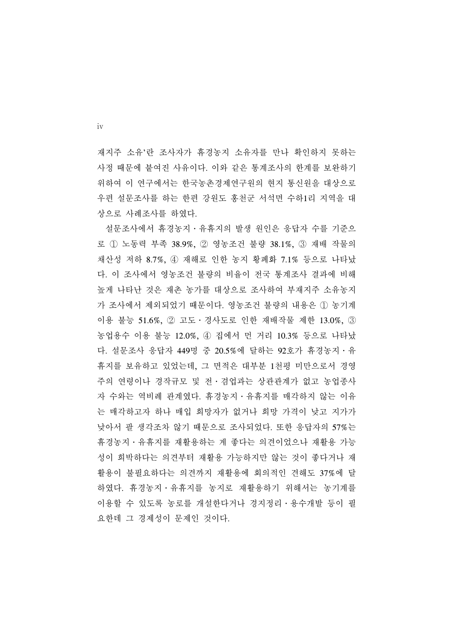재지주 소유'란 조사자가 휴경농지 소유자를 만나 확인하지 못하는 사정 때문에 붙여진 사유이다. 이와 같은 통계조사의 한계를 보완하기 위하여 이 연구에서는 한국농촌경제연구원의 현지 통신원을 대상으로 우편 설문조사를 하는 한편 강원도 홍천군 서석면 수하1리 지역을 대 상으로 사례조사를 하였다.

 설문조사에서 휴경농지․유휴지의 발생 원인은 응답자 수를 기준으 로 ① 노동력 부족 38.9%, ② 영농조건 불량 38.1%, ③ 재배 작물의 채산성 저하 8.7%, ④ 재해로 인한 농지 황폐화 7.1% 등으로 나타났 다. 이 조사에서 영농조건 불량의 비율이 전국 통계조사 결과에 비해 높게 나타난 것은 재촌 농가를 대상으로 조사하여 부재지주 소유농지 가 조사에서 제외되었기 때문이다. 영농조건 불량의 내용은 ① 농기계 이용 불능 51.6%, ② 고도․경사도로 인한 재배작물 제한 13.0%, ③ 농업용수 이용 불능 12.0%, ④ 집에서 먼 거리 10.3% 등으로 나타났 다. 설문조사 응답자 449명 중 20.5%에 달하는 92호가 휴경농지․유 휴지를 보유하고 있었는데, 그 면적은 대부분 1천평 미만으로서 경영 주의 연령이나 경작규모 및 전․겸업과는 상관관계가 없고 농업종사 자 수와는 역비례 관계였다. 휴경농지․유휴지를 매각하지 않는 이유 는 매각하고자 하나 매입 희망자가 없거나 희망 가격이 낮고 지가가 낮아서 팔 생각조차 않기 때문으로 조사되었다. 또한 응답자의 57%는 휴경농지․유휴지를 재활용하는 게 좋다는 의견이었으나 재활용 가능 성이 희박하다는 의견부터 재활용 가능하지만 않는 것이 좋다거나 재 활용이 불필요하다는 의견까지 재활용에 회의적인 견해도 37%에 달 하였다. 휴경농지․유휴지를 농지로 재활용하기 위해서는 농기계를 이용할 수 있도록 농로를 개설한다거나 경지정리․용수개발 등이 필 요한데 그 경제성이 문제인 것이다.

iv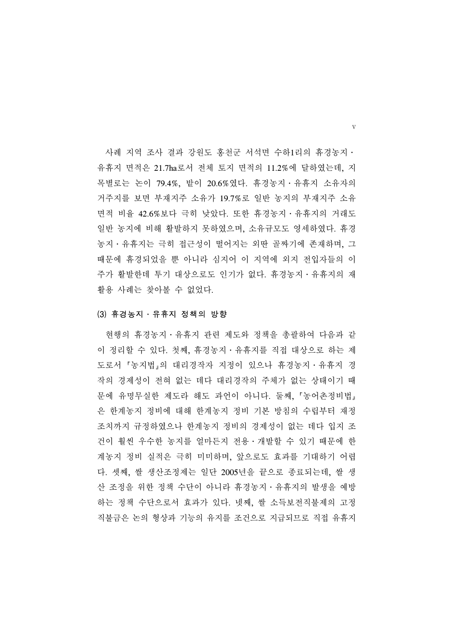사례 지역 조사 결과 강원도 홍천군 서석면 수하1리의 휴경농지․ 유휴지 면적은 21.7ha로서 전체 토지 면적의 11.2%에 달하였는데, 지 목별로는 논이 79.4%, 밭이 20.6%였다. 휴경농지․유휴지 소유자의 거주지를 보면 부재지주 소유가 19.7%로 일반 농지의 부재지주 소유 면적 비율 42.6%보다 극히 낮았다. 또한 휴경농지․유휴지의 거래도 일반 농지에 비해 활발하지 못하였으며, 소유규모도 영세하였다. 휴경 농지․유휴지는 극히 접근성이 떨어지는 외딴 골짜기에 존재하며, 그 때문에 휴경되었을 뿐 아니라 심지어 이 지역에 외지 전입자들의 이 주가 활발한데 투기 대상으로도 인기가 없다. 휴경농지․유휴지의 재 활용 사례는 찾아볼 수 없었다.

#### (3) 휴경농지․유휴지 정책의 방향

 현행의 휴경농지․유휴지 관련 제도와 정책을 총괄하여 다음과 같 이 정리할 수 있다. 첫째, 휴경농지․유휴지를 직접 대상으로 하는 제 도로서 농지법 의 대리경작자 지정이 있으나 휴경농지․유휴지 경 작의 경제성이 전혀 없는 데다 대리경작의 주체가 없는 상태이기 때 문에 유명무실한 제도라 해도 과언이 아니다. 둘째, '농어촌정비법」 은 한계농지 정비에 대해 한계농지 정비 기본 방침의 수립부터 재정 조치까지 규정하였으나 한계농지 정비의 경제성이 없는 데다 입지 조 건이 훨씬 우수한 농지를 얼마든지 전용․개발할 수 있기 때문에 한 계농지 정비 실적은 극히 미미하며, 앞으로도 효과를 기대하기 어렵 다. 셋째, 쌀 생산조정제는 일단 2005년을 끝으로 종료되는데, 쌀 생 산 조정을 위한 정책 수단이 아니라 휴경농지․유휴지의 발생을 예방 하는 정책 수단으로서 효과가 있다. 넷째, 쌀 소득보전직불제의 고정 직불금은 논의 형상과 기능의 유지를 조건으로 지급되므로 직접 유휴지

v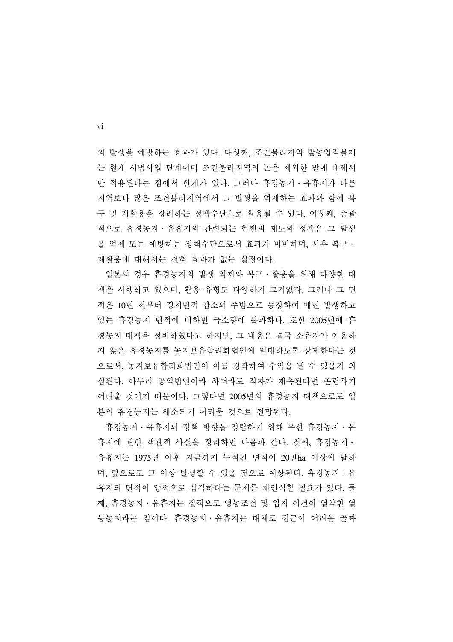의 발생을 예방하는 효과가 있다. 다섯째, 조건불리지역 밭농업직불제 는 현재 시범사업 단계이며 조건불리지역의 논을 제외한 밭에 대해서 만 적용된다는 점에서 한계가 있다. 그러나 휴경농지․유휴지가 다른 지역보다 많은 조건불리지역에서 그 발생을 억제하는 효과와 함께 복 구 및 재활용을 장려하는 정책수단으로 활용될 수 있다. 여섯째, 총괄 적으로 휴경농지․유휴지와 관련되는 현행의 제도와 정책은 그 발생 을 억제 또는 예방하는 정책수단으로서 효과가 미미하며, 사후 복구․ 재활용에 대해서는 전혀 효과가 없는 실정이다.

 일본의 경우 휴경농지의 발생 억제와 복구․활용을 위해 다양한 대 책을 시행하고 있으며, 활용 유형도 다양하기 그지없다. 그러나 그 면 적은 10년 전부터 경지면적 감소의 주범으로 등장하여 매년 발생하고 있는 휴경농지 면적에 비하면 극소량에 불과하다. 또한 2005년에 휴 경농지 대책을 정비하였다고 하지만, 그 내용은 결국 소유자가 이용하 지 않은 휴경농지를 농지보유합리화법인에 임대하도록 강제한다는 것 으로서, 농지보유합리화법인이 이를 경작하여 수익을 낼 수 있을지 의 심된다. 아무리 공익법인이라 하더라도 적자가 계속된다면 존립하기 어려울 것이기 때문이다. 그렇다면 2005년의 휴경농지 대책으로도 일 본의 휴경농지는 해소되기 어려울 것으로 전망된다.

 휴경농지․유휴지의 정책 방향을 정립하기 위해 우선 휴경농지․유 휴지에 관한 객관적 사실을 정리하면 다음과 같다. 첫째, 휴경농지․ 유휴지는 1975년 이후 지금까지 누적된 면적이 20만ha 이상에 달하 며, 앞으로도 그 이상 발생할 수 있을 것으로 예상된다. 휴경농지․유 휴지의 면적이 양적으로 심각하다는 문제를 재인식할 필요가 있다. 둘 째, 휴경농지․유휴지는 질적으로 영농조건 및 입지 여건이 열악한 열 등농지라는 점이다. 휴경농지․유휴지는 대체로 접근이 어려운 골짜

vi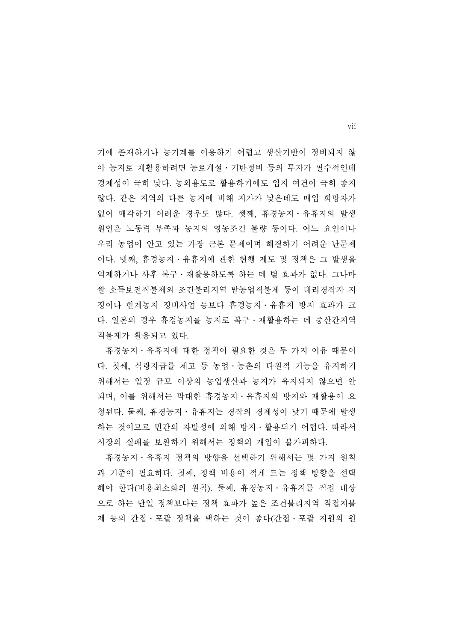기에 존재하거나 농기계를 이용하기 어렵고 생산기반이 정비되지 않 아 농지로 재활용하려면 농로개설․기반정비 등의 투자가 필수적인데 경제성이 극히 낮다. 농외용도로 활용하기에도 입지 여건이 극히 좋지 않다. 같은 지역의 다른 농지에 비해 지가가 낮은데도 매입 희망자가 없어 매각하기 어려운 경우도 많다. 셋째, 휴경농지․유휴지의 발생 원인은 노동력 부족과 농지의 영농조건 불량 등이다. 어느 요인이나 우리 농업이 안고 있는 가장 근본 문제이며 해결하기 어려운 난문제 이다. 넷째, 휴경농지․유휴지에 관한 현행 제도 및 정책은 그 발생을 억제하거나 사후 복구․재활용하도록 하는 데 별 효과가 없다. 그나마 쌀 소득보전직불제와 조건불리지역 밭농업직불제 등이 대리경작자 지 정이나 한계농지 정비사업 등보다 휴경농지․유휴지 방지 효과가 크 다. 일본의 경우 휴경농지를 농지로 복구․재활용하는 데 중산간지역 직불제가 활용되고 있다.

 휴경농지․유휴지에 대한 정책이 필요한 것은 두 가지 이유 때문이 다. 첫째, 식량자급률 제고 등 농업․농촌의 다원적 기능을 유지하기 위해서는 일정 규모 이상의 농업생산과 농지가 유지되지 않으면 안 되며, 이를 위해서는 막대한 휴경농지․유휴지의 방지와 재활용이 요 청된다. 둘째, 휴경농지․유휴지는 경작의 경제성이 낮기 때문에 발생 하는 것이므로 민간의 자발성에 의해 방지․활용되기 어렵다. 따라서 시장의 실패를 보완하기 위해서는 정책의 개입이 불가피하다.

 휴경농지․유휴지 정책의 방향을 선택하기 위해서는 몇 가지 원칙 과 기준이 필요하다. 첫째, 정책 비용이 적게 드는 정책 방향을 선택 해야 한다(비용최소화의 원칙). 둘째, 휴경농지․유휴지를 직접 대상 으로 하는 단일 정책보다는 정책 효과가 높은 조건불리지역 직접지불 제 등의 간접․포괄 정책을 택하는 것이 좋다(간접․포괄 지원의 원

vii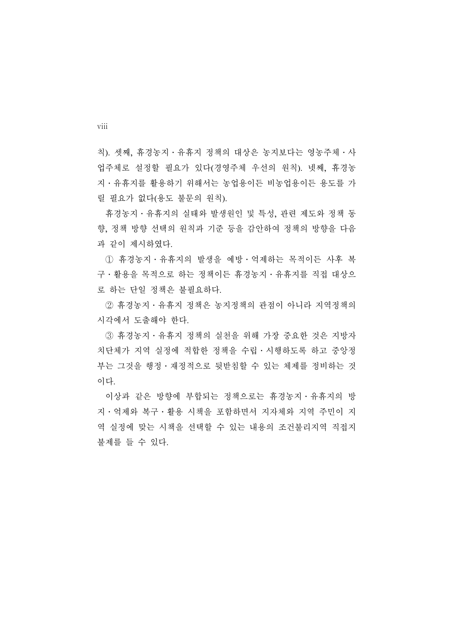칙). 셋째, 휴경농지․유휴지 정책의 대상은 농지보다는 영농주체․사 업주체로 설정할 필요가 있다(경영주체 우선의 원칙). 넷째, 휴경농 지․유휴지를 활용하기 위해서는 농업용이든 비농업용이든 용도를 가 릴 필요가 없다(용도 불문의 원칙).

 휴경농지․유휴지의 실태와 발생원인 및 특성, 관련 제도와 정책 동 향, 정책 방향 선택의 원칙과 기준 등을 감안하여 정책의 방향을 다음 과 같이 제시하였다.

 ① 휴경농지․유휴지의 발생을 예방․억제하는 목적이든 사후 복 구․활용을 목적으로 하는 정책이든 휴경농지․유휴지를 직접 대상으 로 하는 단일 정책은 불필요하다.

 ② 휴경농지․유휴지 정책은 농지정책의 관점이 아니라 지역정책의 시각에서 도출해야 한다.

 ③ 휴경농지․유휴지 정책의 실천을 위해 가장 중요한 것은 지방자 치단체가 지역 실정에 적합한 정책을 수립․시행하도록 하고 중앙정 부는 그것을 행정․재정적으로 뒷받침할 수 있는 체제를 정비하는 것 이다.

 이상과 같은 방향에 부합되는 정책으로는 휴경농지․유휴지의 방 지․억제와 복구․활용 시책을 포함하면서 지자체와 지역 주민이 지 역 실정에 맞는 시책을 선택할 수 있는 내용의 조건불리지역 직접지 불제를 들 수 있다.

viii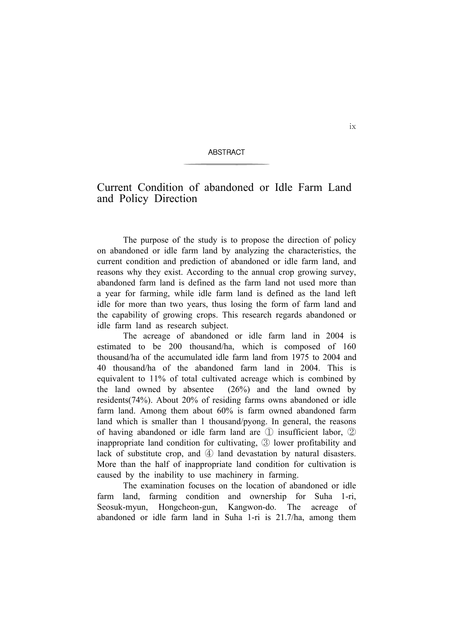#### **ABSTRACT**

# Current Condition of abandoned or Idle Farm Land and Policy Direction

The purpose of the study is to propose the direction of policy on abandoned or idle farm land by analyzing the characteristics, the current condition and prediction of abandoned or idle farm land, and reasons why they exist. According to the annual crop growing survey, abandoned farm land is defined as the farm land not used more than a year for farming, while idle farm land is defined as the land left idle for more than two years, thus losing the form of farm land and the capability of growing crops. This research regards abandoned or idle farm land as research subject.

The acreage of abandoned or idle farm land in 2004 is estimated to be 200 thousand/ha, which is composed of 160 thousand/ha of the accumulated idle farm land from 1975 to 2004 and 40 thousand/ha of the abandoned farm land in 2004. This is equivalent to 11% of total cultivated acreage which is combined by the land owned by absentee  $(26%)$  and the land owned by residents(74%). About 20% of residing farms owns abandoned or idle farm land. Among them about 60% is farm owned abandoned farm land which is smaller than 1 thousand/pyong. In general, the reasons of having abandoned or idle farm land are ① insufficient labor, ② inappropriate land condition for cultivating, ③ lower profitability and lack of substitute crop, and ④ land devastation by natural disasters. More than the half of inappropriate land condition for cultivation is caused by the inability to use machinery in farming.

The examination focuses on the location of abandoned or idle farm land, farming condition and ownership for Suha 1-ri, Seosuk-myun, Hongcheon-gun, Kangwon-do. The acreage of abandoned or idle farm land in Suha 1-ri is 21.7/ha, among them

ix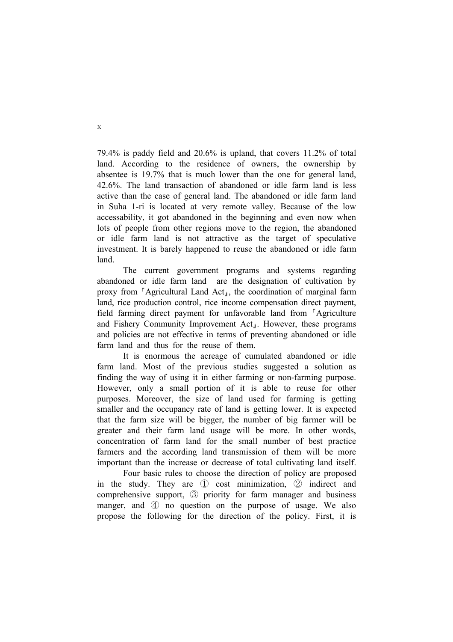79.4% is paddy field and 20.6% is upland, that covers 11.2% of total land. According to the residence of owners, the ownership by absentee is 19.7% that is much lower than the one for general land, 42.6%. The land transaction of abandoned or idle farm land is less active than the case of general land. The abandoned or idle farm land in Suha 1-ri is located at very remote valley. Because of the low accessability, it got abandoned in the beginning and even now when lots of people from other regions move to the region, the abandoned or idle farm land is not attractive as the target of speculative investment. It is barely happened to reuse the abandoned or idle farm land.

The current government programs and systems regarding abandoned or idle farm land are the designation of cultivation by proxy from <sup>r</sup>Agricultural Land Act<sub>1</sub>, the coordination of marginal farm land, rice production control, rice income compensation direct payment, field farming direct payment for unfavorable land from <sup>r</sup>Agriculture and Fishery Community Improvement Act<sub>1</sub>. However, these programs and policies are not effective in terms of preventing abandoned or idle farm land and thus for the reuse of them.

It is enormous the acreage of cumulated abandoned or idle farm land. Most of the previous studies suggested a solution as finding the way of using it in either farming or non-farming purpose. However, only a small portion of it is able to reuse for other purposes. Moreover, the size of land used for farming is getting smaller and the occupancy rate of land is getting lower. It is expected that the farm size will be bigger, the number of big farmer will be greater and their farm land usage will be more. In other words, concentration of farm land for the small number of best practice farmers and the according land transmission of them will be more important than the increase or decrease of total cultivating land itself.

Four basic rules to choose the direction of policy are proposed in the study. They are ① cost minimization, ② indirect and comprehensive support, ③ priority for farm manager and business manger, and  $\circled{4}$  no question on the purpose of usage. We also propose the following for the direction of the policy. First, it is

x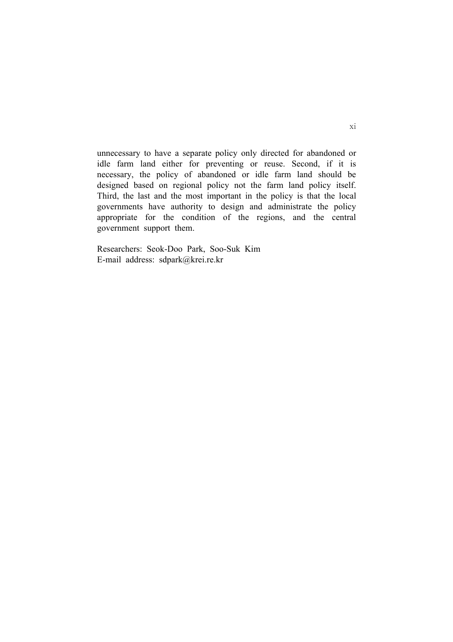unnecessary to have a separate policy only directed for abandoned or idle farm land either for preventing or reuse. Second, if it is necessary, the policy of abandoned or idle farm land should be designed based on regional policy not the farm land policy itself. Third, the last and the most important in the policy is that the local governments have authority to design and administrate the policy appropriate for the condition of the regions, and the central government support them.

Researchers: Seok-Doo Park, Soo-Suk Kim E-mail address: sdpark@krei.re.kr

#### xi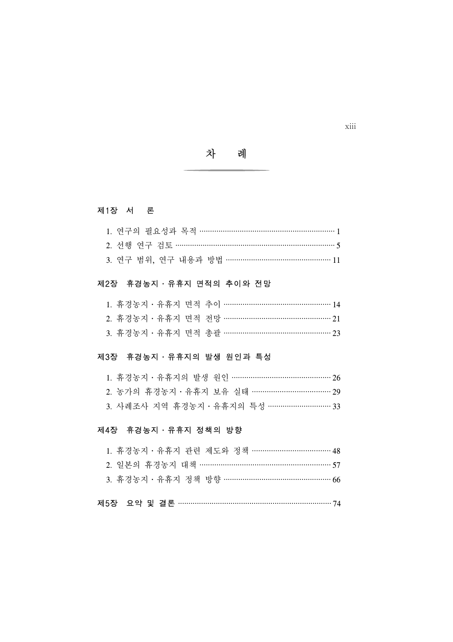차 례

# 제1장 서 론

| 3. 연구 범위, 연구 내용과 방법 …………………………………………… 11 |  |
|------------------------------------------|--|

# 제2장 휴경농지 · 유휴지 면적의 추이와 전망

| 1. 휴경농지 · 유휴지 면적 추이 …………………………………………… 14  |  |  |  |
|-------------------------------------------|--|--|--|
| 2. 휴경농지 · 유휴지 면적 전망 ……………………………………………… 21 |  |  |  |
| 3. 휴경농지 · 유휴지 면적 총괄 ……………………………………………… 23 |  |  |  |

# 제3장 휴경농지 · 유휴지의 발생 원인과 특성

|  | 2. 농가의 휴경농지 · 유휴지 보유 실태 ………………………………… 29                      |  |
|--|---------------------------------------------------------------|--|
|  | 3. 사례조사 지역 휴경농지 · 유휴지의 특성 ································ 33 |  |

# 제4장 휴경농지 · 유휴지 정책의 방향

| 1. 휴경농지ㆍ유휴지 관련 제도와 정책 ……………………………………… 48 |
|------------------------------------------|
| 2. 일본의 휴경농지 대책 …………………………………………………… 57   |
| 3. 휴경농지 · 유휴지 정책 방향 …………………………………………… 66 |
| 제5장 요약 및 결론 ……………………………………………………………… 74  |

xiii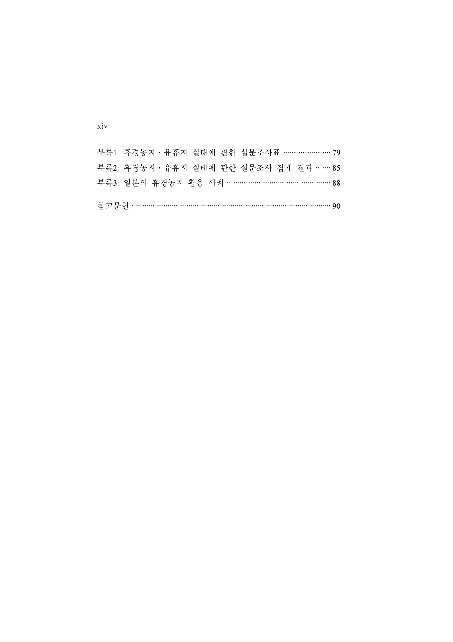| 부록1: 휴경농지 · 유휴지 실태에 과한 설무조사표 ………………… 79 |  |
|-----------------------------------------|--|
| 부록2: 휴경농지 · 유휴지 실태에 과한 설무조사 집계 결과 …… 85 |  |
| 부록3: 일본의 휴경농지 활용 사례 ………………………………………… 88 |  |
| 참고문헌 …………………………………………………………………………… 90   |  |

xiv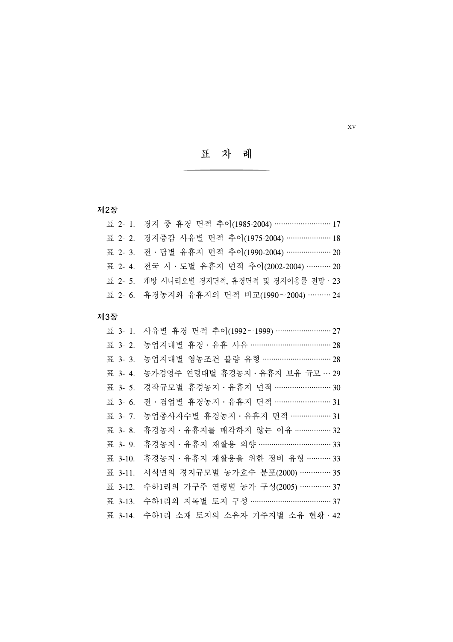표 차 례

# 제2장

| 표 2- 1. 경지 중 휴경 면적 추이(1985-2004) ……………………… 17   |
|-------------------------------------------------|
| 표 2- 2. 경지증감 사유별 면적 추이(1975-2004) ………………… 18    |
| 표 2- 3. 전 · 답별 유휴지 면적 추이(1990-2004) …………………… 20 |
| 표 2- 4. 전국 시 · 도별 유휴지 면적 추이(2002-2004) ………… 20  |
| 표 2- 5. 개방 시나리오별 경지면적, 휴경면적 및 경지이용률 전망 · 23     |
| 표 2-6. 휴경농지와 유휴지의 면적 비교(1990~2004) ……… 24       |

# 제3장

|                | 표 3- 1. 사유별 휴경 면적 추이(1992~1999) ……………………… 27 |
|----------------|----------------------------------------------|
|                |                                              |
|                | 표 3-3. 농업지대별 영농조건 불량 유형 …………………………… 28       |
| <b>표</b> 3-4.  | 농가경영주 연령대별 휴경농지 · 유휴지 보유 규모 … 29             |
|                | 표 3- 5. 경작규모별 휴경농지 · 유휴지 면적 ……………………… 30     |
|                | 표 3-6. 전 · 겸업별 휴경농지 · 유휴지 면적 ……………………… 31    |
| <b>표</b> 3- 7. | 농업종사자수별 휴경농지 · 유휴지 면적 ……………… 31              |
| <b>H</b> 3- 8. | 휴경농지 · 유휴지를 매각하지 않는 이유 …………… 32              |
| <b>H</b> 3- 9. | 휴경농지 · 유휴지 재활용 의향 …………………………… 33             |
|                | 표 3-10. 휴경농지 · 유휴지 재활용을 위한 정비 유형 ………… 33     |
| <b>표</b> 3-11. | 서석면의 경지규모별 농가호수 분포(2000) …………. 35            |
|                | 표 3-12. 수하1리의 가구주 연령별 농가 구성(2005) …………… 37   |
|                | 표 3-13. 수하1리의 지목별 토지 구성 ………………………………… 37     |
|                | 표 3-14. 수하1리 소재 토지의 소유자 거주지별 소유 현황 · 42      |

xv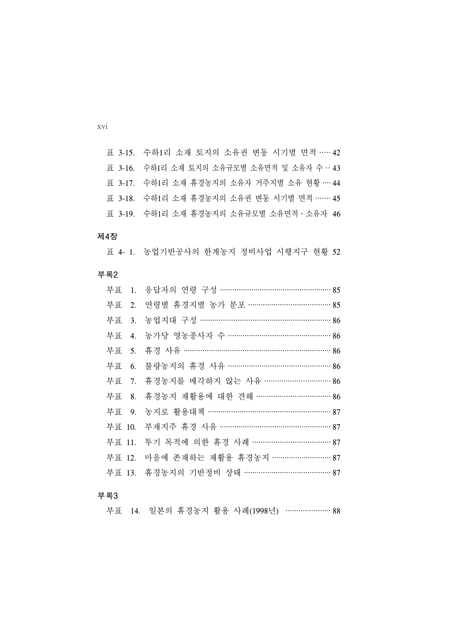표 3-15. 수하1리 소재 토지의 소유권 변동 시기별 면적 ····· 42 표 3-16. 수하1리 소재 토지의 소유규모별 소유면적 및 소유자 수 ·· 43 표 3-17. 수하1리 소재 휴경농지의 소유자 거주지별 소유 현황 ···· 44 표 3-18. 수하1리 소재 휴경농지의 소유권 변동 시기별 면적 ······· 45 표 3-19. 수하1리 소재 휴경농지의 소유규모별 소유면적․소유자 46

#### 제4장

표 4- 1. 농업기반공사의 한계농지 정비사업 시행지구 현황 52

부록2

|  | 부표 1. 응답자의 연령 구성 …………………………………………… 85  |
|--|----------------------------------------|
|  | 부표 2. 연령별 휴경지별 농가 분포 ………………………………… 85  |
|  | 부표 3. 농업지대 구성 …………………………………………………… 86  |
|  | 부표 4. 농가당 영농종사자 수 …………………………………………… 86 |
|  |                                        |
|  | 부표 6. 불량농지의 휴경 사유 …………………………………………… 86 |
|  | 부표 7. 휴경농지를 매각하지 않는 사유 …………………………… 86  |
|  | 부표 8. 휴경농지 재활용에 대한 견해 ……………………………… 86  |
|  | 부표 9. 농지로 활용대책 …………………………………………………… 87 |
|  | 부표 10. 부재지주 휴경 사유 …………………………………………… 87 |
|  | 부표 11. 투기 목적에 의한 휴경 사례 ……………………………… 87 |
|  | 부표 12. 마을에 존재하는 재활용 휴경농지 ……………………… 87  |
|  | 부표 13. 휴경농지의 기반정비 상태 …………………………………… 87 |

#### 부록3

부표 14. 일본의 휴경농지 활용 사례(1998년) ………………… 88

xvi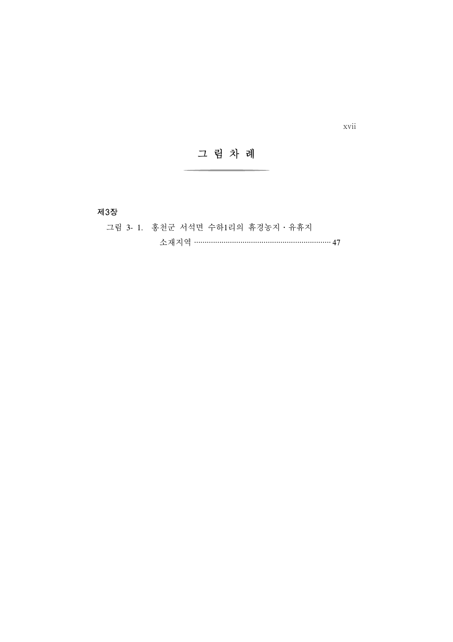그 림 차 례

제3장

그림 3- 1. 홍천군 서석면 수하1리의 휴경농지․유휴지

소재지역 ································································· 47

xvii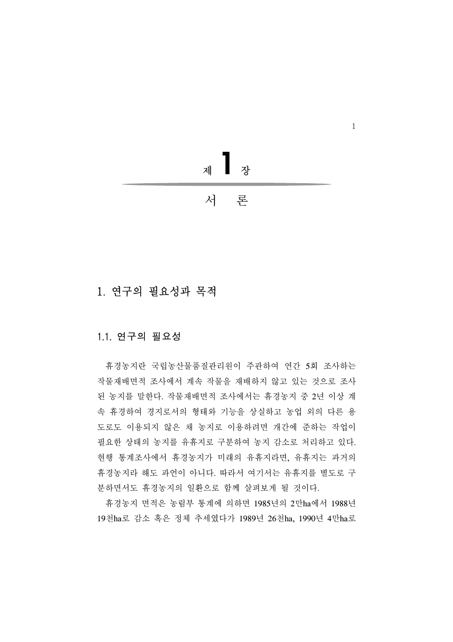

# 1. 연구의 필요성과 목적

### 1.1. 연구의 필요성

 휴경농지란 국립농산물품질관리원이 주관하여 연간 5회 조사하는 작물재배면적 조사에서 계속 작물을 재배하지 않고 있는 것으로 조사 된 농지를 말한다. 작물재배면적 조사에서는 휴경농지 중 2년 이상 계 속 휴경하여 경지로서의 형태와 기능을 상실하고 농업 외의 다른 용 도로도 이용되지 않은 채 농지로 이용하려면 개간에 준하는 작업이 필요한 상태의 농지를 유휴지로 구분하여 농지 감소로 처리하고 있다. 현행 통계조사에서 휴경농지가 미래의 유휴지라면, 유휴지는 과거의 휴경농지라 해도 과언이 아니다. 따라서 여기서는 유휴지를 별도로 구 분하면서도 휴경농지의 일환으로 함께 살펴보게 될 것이다.

 휴경농지 면적은 농림부 통계에 의하면 1985년의 2만ha에서 1988년 19천ha로 감소 혹은 정체 추세였다가 1989년 26천ha, 1990년 4만ha로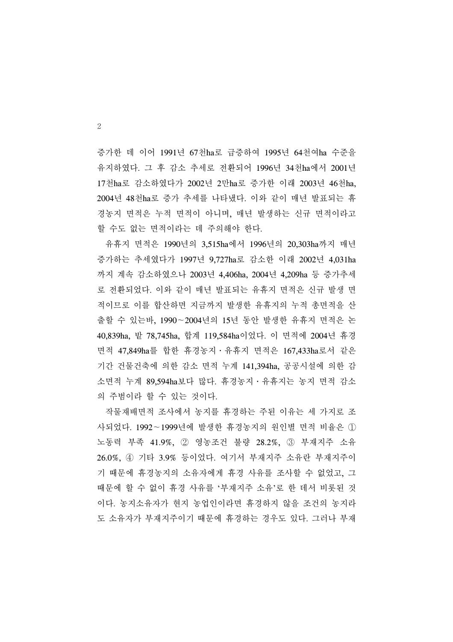증가한 데 이어 1991년 67천ha로 급증하여 1995년 64천여ha 수준을 유지하였다. 그 후 감소 추세로 전환되어 1996년 34천ha에서 2001년 17천ha로 감소하였다가 2002년 2만ha로 증가한 이래 2003년 46천ha, 2004년 48천ha로 증가 추세를 나타냈다. 이와 같이 매년 발표되는 휴 경농지 면적은 누적 면적이 아니며, 매년 발생하는 신규 면적이라고 할 수도 없는 면적이라는 데 주의해야 한다.

 유휴지 면적은 1990년의 3,515ha에서 1996년의 20,303ha까지 매년 증가하는 추세였다가 1997년 9,727ha로 감소한 이래 2002년 4,031ha 까지 계속 감소하였으나 2003년 4,406ha, 2004년 4,209ha 등 증가추세 로 전환되었다. 이와 같이 매년 발표되는 유휴지 면적은 신규 발생 면 적이므로 이를 합산하면 지금까지 발생한 유휴지의 누적 총면적을 산 출할 수 있는바, 1990∼2004년의 15년 동안 발생한 유휴지 면적은 논 40,839ha, 밭 78,745ha, 합계 119,584ha이었다. 이 면적에 2004년 휴경 면적 47,849ha를 합한 휴경농지․유휴지 면적은 167,433ha로서 같은 기간 건물건축에 의한 감소 면적 누계 141,394ha, 공공시설에 의한 감 소면적 누계 89,594ha보다 많다. 휴경농지․유휴지는 농지 면적 감소 의 주범이라 할 수 있는 것이다.

 작물재배면적 조사에서 농지를 휴경하는 주된 이유는 세 가지로 조 사되었다. 1992∼1999년에 발생한 휴경농지의 원인별 면적 비율은 ① 노동력 부족 41.9%, ② 영농조건 불량 28.2%, ③ 부재지주 소유 26.0%, ④ 기타 3.9% 등이었다. 여기서 부재지주 소유란 부재지주이 기 때문에 휴경농지의 소유자에게 휴경 사유를 조사할 수 없었고, 그 때문에 할 수 없이 휴경 사유를 '부재지주 소유'로 한 데서 비롯된 것 이다. 농지소유자가 현지 농업인이라면 휴경하지 않을 조건의 농지라 도 소유자가 부재지주이기 때문에 휴경하는 경우도 있다. 그러나 부재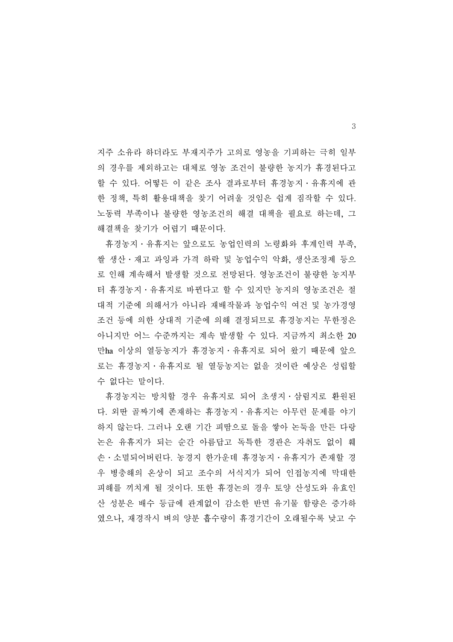지주 소유라 하더라도 부재지주가 고의로 영농을 기피하는 극히 일부 의 경우를 제외하고는 대체로 영농 조건이 불량한 농지가 휴경된다고 할 수 있다. 어떻든 이 같은 조사 결과로부터 휴경농지․유휴지에 관 한 정책, 특히 활용대책을 찾기 어려울 것임은 쉽게 짐작할 수 있다. 노동력 부족이나 불량한 영농조건의 해결 대책을 필요로 하는데, 그 해결책을 찾기가 어렵기 때문이다.

 휴경농지․유휴지는 앞으로도 농업인력의 노령화와 후계인력 부족, 쌀 생산․재고 과잉과 가격 하락 및 농업수익 악화, 생산조정제 등으 로 인해 계속해서 발생할 것으로 전망된다. 영농조건이 불량한 농지부 터 휴경농지․유휴지로 바뀐다고 할 수 있지만 농지의 영농조건은 절 대적 기준에 의해서가 아니라 재배작물과 농업수익 여건 및 농가경영 조건 등에 의한 상대적 기준에 의해 결정되므로 휴경농지는 무한정은 아니지만 어느 수준까지는 계속 발생할 수 있다. 지금까지 최소한 20 만ha 이상의 열등농지가 휴경농지․유휴지로 되어 왔기 때문에 앞으 로는 휴경농지․유휴지로 될 열등농지는 없을 것이란 예상은 성립할 수 없다는 말이다.

 휴경농지는 방치할 경우 유휴지로 되어 초생지․삼림지로 환원된 다. 외딴 골짜기에 존재하는 휴경농지․유휴지는 아무런 문제를 야기 하지 않는다. 그러나 오랜 기간 피땀으로 돌을 쌓아 논둑을 만든 다랑 논은 유휴지가 되는 순간 아름답고 독특한 경관은 자취도 없이 훼 손․소멸되어버린다. 농경지 한가운데 휴경농지․유휴지가 존재할 경 우 병충해의 온상이 되고 조수의 서식지가 되어 인접농지에 막대한 피해를 끼치게 될 것이다. 또한 휴경논의 경우 토양 산성도와 유효인 산 성분은 배수 등급에 관계없이 감소한 반면 유기물 함량은 증가하 였으나, 재경작시 벼의 양분 흡수량이 휴경기간이 오래될수록 낮고 수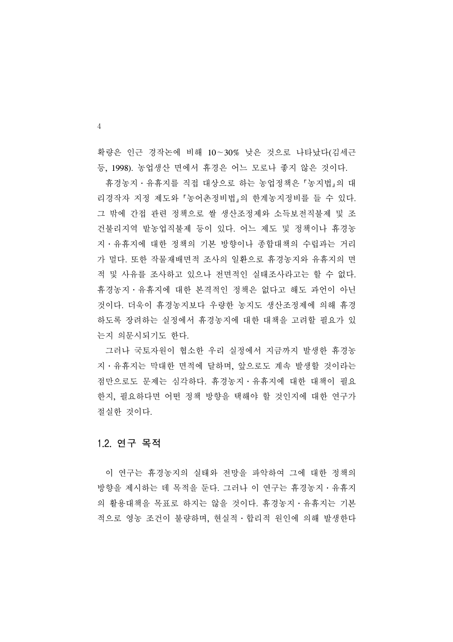확량은 인근 경작논에 비해 10∼30% 낮은 것으로 나타났다(김세근 등, 1998). 농업생산 면에서 휴경은 어느 모로나 좋지 않은 것이다.

 휴경농지․유휴지를 직접 대상으로 하는 농업정책은 농지법 의 대 리경작자 지정 제도와 농어촌정비법 의 한계농지정비를 들 수 있다. 그 밖에 간접 관련 정책으로 쌀 생산조정제와 소득보전직불제 및 조 건불리지역 밭농업직불제 등이 있다. 어느 제도 및 정책이나 휴경농 지․유휴지에 대한 정책의 기본 방향이나 종합대책의 수립과는 거리 가 멀다. 또한 작물재배면적 조사의 일환으로 휴경농지와 유휴지의 면 적 및 사유를 조사하고 있으나 전면적인 실태조사라고는 할 수 없다. 휴경농지․유휴지에 대한 본격적인 정책은 없다고 해도 과언이 아닌 것이다. 더욱이 휴경농지보다 우량한 농지도 생산조정제에 의해 휴경 하도록 장려하는 실정에서 휴경농지에 대한 대책을 고려할 필요가 있 는지 의문시되기도 한다.

 그러나 국토자원이 협소한 우리 실정에서 지금까지 발생한 휴경농 지․유휴지는 막대한 면적에 달하며, 앞으로도 계속 발생할 것이라는 점만으로도 문제는 심각하다. 휴경농지․유휴지에 대한 대책이 필요 한지, 필요하다면 어떤 정책 방향을 택해야 할 것인지에 대한 연구가 절실한 것이다.

### 1.2. 연구 목적

 이 연구는 휴경농지의 실태와 전망을 파악하여 그에 대한 정책의 방향을 제시하는 데 목적을 둔다. 그러나 이 연구는 휴경농지․유휴지 의 활용대책을 목표로 하지는 않을 것이다. 휴경농지․유휴지는 기본 적으로 영농 조건이 불량하며, 현실적․합리적 원인에 의해 발생한다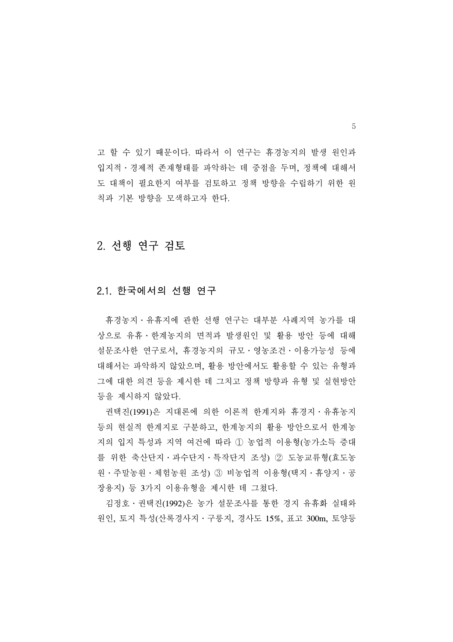고 할 수 있기 때문이다. 따라서 이 연구는 휴경농지의 발생 원인과 입지적․경제적 존재형태를 파악하는 데 중점을 두며, 정책에 대해서 도 대책이 필요한지 여부를 검토하고 정책 방향을 수립하기 위한 원 칙과 기본 방향을 모색하고자 한다.

# 2. 선행 연구 검토

### 2.1. 한국에서의 선행 연구

 휴경농지․유휴지에 관한 선행 연구는 대부분 사례지역 농가를 대 상으로 유휴․한계농지의 면적과 발생원인 및 활용 방안 등에 대해 설문조사한 연구로서, 휴경농지의 규모․영농조건․이용가능성 등에 대해서는 파악하지 않았으며, 활용 방안에서도 활용할 수 있는 유형과 그에 대한 의견 등을 제시한 데 그치고 정책 방향과 유형 및 실현방안 등을 제시하지 않았다.

 권택진(1991)은 지대론에 의한 이론적 한계지와 휴경지․유휴농지 등의 현실적 한계지로 구분하고, 한계농지의 활용 방안으로서 한계농 지의 입지 특성과 지역 여건에 따라 ① 농업적 이용형(농가소득 증대 를 위한 축산단지․과수단지․특작단지 조성) ② 도농교류형(효도농 원․주말농원․체험농원 조성) ③ 비농업적 이용형(택지․휴양지․공 장용지) 등 3가지 이용유형을 제시한 데 그쳤다.

 김정호․권택진(1992)은 농가 설문조사를 통한 경지 유휴화 실태와 원인, 토지 특성(산록경사지․구릉지, 경사도 15%, 표고 300m, 토양등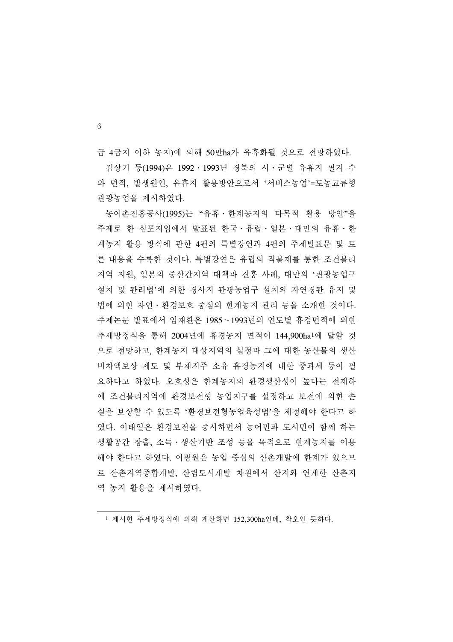급 4급지 이하 농지)에 의해 50만ha가 유휴화될 것으로 전망하였다.

 김상기 등(1994)은 1992․1993년 경북의 시․군별 유휴지 필지 수 와 면적, 발생원인, 유휴지 활용방안으로서 '서비스농업'=도농교류형 관광농업을 제시하였다.

 농어촌진흥공사(1995)는 "유휴․한계농지의 다목적 활용 방안"을 주제로 한 심포지엄에서 발표된 한국․유럽․일본․대만의 유휴․한 계농지 활용 방식에 관한 4편의 특별강연과 4편의 주제발표문 및 토 론 내용을 수록한 것이다. 특별강연은 유럽의 직불제를 통한 조건불리 지역 지원, 일본의 중산간지역 대책과 진흥 사례, 대만의 '관광농업구 설치 및 관리법'에 의한 경사지 관광농업구 설치와 자연경관 유지 및 법에 의한 자연․환경보호 중심의 한계농지 관리 등을 소개한 것이다. 주제논문 발표에서 임재환은 1985∼1993년의 연도별 휴경면적에 의한 추세방정식을 통해 2004년에 휴경농지 면적이 144,900ha1에 달할 것 으로 전망하고, 한계농지 대상지역의 설정과 그에 대한 농산물의 생산 비차액보상 제도 및 부재지주 소유 휴경농지에 대한 중과세 등이 필 요하다고 하였다. 오호성은 한계농지의 환경생산성이 높다는 전제하 에 조건불리지역에 환경보전형 농업지구를 설정하고 보전에 의한 손 실을 보상할 수 있도록 '환경보전형농업육성법'을 제정해야 한다고 하 였다. 이태일은 환경보전을 중시하면서 농어민과 도시민이 함께 하는 생활공간 창출, 소득․생산기반 조성 등을 목적으로 한계농지를 이용 해야 한다고 하였다. 이광원은 농업 중심의 산촌개발에 한계가 있으므 로 산촌지역종합개발, 산림도시개발 차원에서 산지와 연계한 산촌지 역 농지 활용을 제시하였다.

<sup>1</sup> 제시한 추세방정식에 의해 계산하면 152,300ha인데, 착오인 듯하다.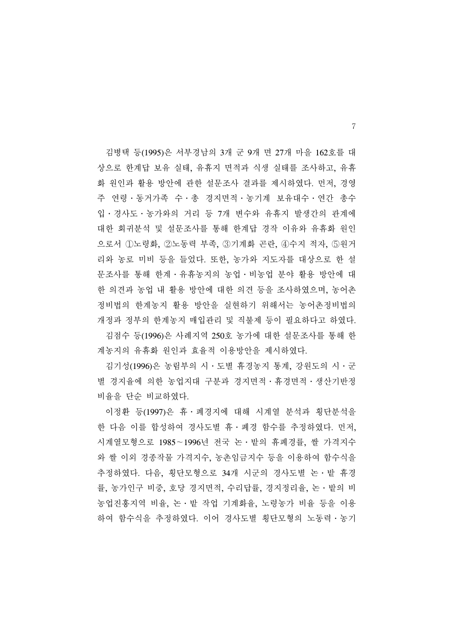김병택 등(1995)은 서부경남의 3개 군 9개 면 27개 마을 162호를 대 상으로 한계답 보유 실태, 유휴지 면적과 식생 실태를 조사하고, 유휴 화 원인과 활용 방안에 관한 설문조사 결과를 제시하였다. 먼저, 경영 주 연령․동거가족 수․총 경지면적․농기계 보유대수․연간 총수 입․경사도․농가와의 거리 등 7개 변수와 유휴지 발생간의 관계에 대한 회귀분석 및 설문조사를 통해 한계답 경작 이유와 유휴화 원인 으로서 ①노령화, ②노동력 부족, ③기계화 곤란, ④수지 적자, ⑤원거 리와 농로 미비 등을 들었다. 또한, 농가와 지도자를 대상으로 한 설 문조사를 통해 한계․유휴농지의 농업․비농업 분야 활용 방안에 대 한 의견과 농업 내 활용 방안에 대한 의견 등을 조사하였으며, 농어촌 정비법의 한계농지 활용 방안을 실현하기 위해서는 농어촌정비법의 개정과 정부의 한계농지 매입관리 및 직불제 등이 필요하다고 하였다.

 김점수 등(1996)은 사례지역 250호 농가에 대한 설문조사를 통해 한 계농지의 유휴화 원인과 효율적 이용방안을 제시하였다.

 김기성(1996)은 농림부의 시․도별 휴경농지 통계, 강원도의 시․군 별 경지율에 의한 농업지대 구분과 경지면적 · 휴경면적 · 생산기반정 비율을 단순 비교하였다.

 이정환 등(1997)은 휴․폐경지에 대해 시계열 분석과 횡단분석을 한 다음 이를 합성하여 경사도별 휴․폐경 함수를 추정하였다. 먼저, 시계열모형으로 1985∼1996년 전국 논․밭의 휴폐경률, 쌀 가격지수 와 쌀 이외 경종작물 가격지수, 농촌임금지수 등을 이용하여 함수식을 추정하였다. 다음, 횡단모형으로 34개 시군의 경사도별 논․밭 휴경 률, 농가인구 비중, 호당 경지면적, 수리답률, 경지정리율, 논․밭의 비 농업진흥지역 비율, 논․밭 작업 기계화율, 노령농가 비율 등을 이용 하여 함수식을 추정하였다. 이어 경사도별 횡단모형의 노동력․농기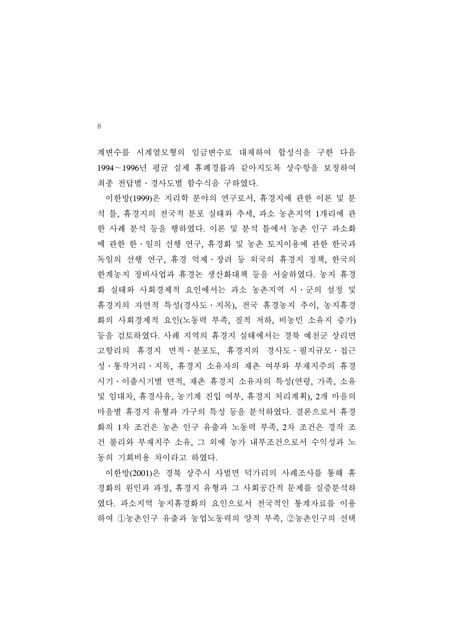계변수를 시계열모형의 임금변수로 대체하여 합성식을 구한 다음 1994∼1996년 평균 실제 휴폐경률과 같아지도록 상수항을 보정하여 최종 전답별․경사도별 함수식을 구하였다.

 이한방(1999)은 지리학 분야의 연구로서, 휴경지에 관한 이론 및 분 석 틀, 휴경지의 전국적 분포 실태와 추세, 과소 농촌지역 1개리에 관 한 사례 분석 등을 행하였다. 이론 및 분석 틀에서 농촌 인구 과소화 에 관한 한․일의 선행 연구, 휴경화 및 농촌 토지이용에 관한 한국과 독일의 선행 연구, 휴경 억제․장려 등 외국의 휴경지 정책, 한국의 한계농지 정비사업과 휴경논 생산화대책 등을 서술하였다. 농지 휴경 화 실태와 사회경제적 요인에서는 과소 농촌지역 시․군의 설정 및 휴경지의 자연적 특성(경사도․지목), 전국 휴경농지 추이, 농지휴경 화의 사회경제적 요인(노동력 부족, 질적 저하, 비농민 소유지 증가) 등을 검토하였다. 사례 지역의 휴경지 실태에서는 경북 예천군 상리면 고항리의 휴경지 면적․분포도, 휴경지의 경사도․필지규모․접근 성․통작거리․지목, 휴경지 소유자의 재촌 여부와 부재지주의 휴경 시기․이출시기별 면적, 재촌 휴경지 소유자의 특성(연령, 가족, 소유 및 임대차, 휴경사유, 농기계 진입 여부, 휴경지 처리계획), 2개 마을의 마을별 휴경지 유형과 가구의 특성 등을 분석하였다. 결론으로서 휴경 화의 1차 조건은 농촌 인구 유출과 노동력 부족, 2차 조건은 경작 조 건 불리와 부재지주 소유, 그 외에 농가 내부조건으로서 수익성과 노 동의 기회비용 차이라고 하였다.

 이한방(2001)은 경북 상주시 사벌면 덕가리의 사례조사를 통해 휴 경화의 원인과 과정, 휴경지 유형과 그 사회공간적 문제를 실증분석하 였다. 과소지역 농지휴경화의 요인으로서 전국적인 통계자료를 이용 하여 ①농촌인구 유출과 농업노동력의 양적 부족, ②농촌인구의 선택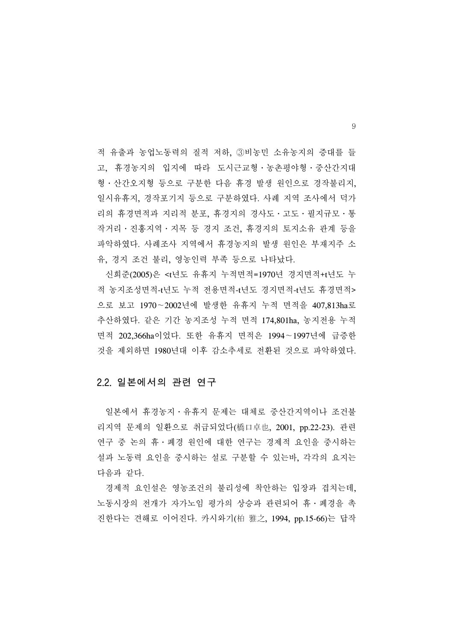적 유출과 농업노동력의 질적 저하, ③비농민 소유농지의 증대를 들 고, 휴경농지의 입지에 따라 도시근교형․농촌평야형․중산간지대 형․산간오지형 등으로 구분한 다음 휴경 발생 원인으로 경작불리지, 일시유휴지, 경작포기지 등으로 구분하였다. 사례 지역 조사에서 덕가 리의 휴경면적과 지리적 분포, 휴경지의 경사도․고도․필지규모․통 작거리․진흥지역․지목 등 경지 조건, 휴경지의 토지소유 관계 등을 파악하였다. 사례조사 지역에서 휴경농지의 발생 원인은 부재지주 소 유, 경지 조건 불리, 영농인력 부족 등으로 나타났다.

 신희준(2005)은 <t년도 유휴지 누적면적=1970년 경지면적+t년도 누 적 농지조성면적-t년도 누적 전용면적-t년도 경지면적-t년도 휴경면적> 으로 보고 1970∼2002년에 발생한 유휴지 누적 면적을 407,813ha로 추산하였다. 같은 기간 농지조성 누적 면적 174,801ha, 농지전용 누적 면적 202,366ha이었다. 또한 유휴지 면적은 1994∼1997년에 급증한 것을 제외하면 1980년대 이후 감소추세로 전환된 것으로 파악하였다.

# 2.2. 일본에서의 관련 연구

 일본에서 휴경농지․유휴지 문제는 대체로 중산간지역이나 조건불 리지역 문제의 일환으로 취급되었다(橋口卓也, 2001, pp.22-23). 관련 연구 중 논의 휴․폐경 원인에 대한 연구는 경제적 요인을 중시하는 설과 노동력 요인을 중시하는 설로 구분할 수 있는바, 각각의 요지는 다음과 같다.

 경제적 요인설은 영농조건의 불리성에 착안하는 입장과 겹치는데, 노동시장의 전개가 자가노임 평가의 상승과 관련되어 휴․폐경을 촉 진한다는 견해로 이어진다. 카시와기(柏 雅之, 1994, pp.15-66)는 답작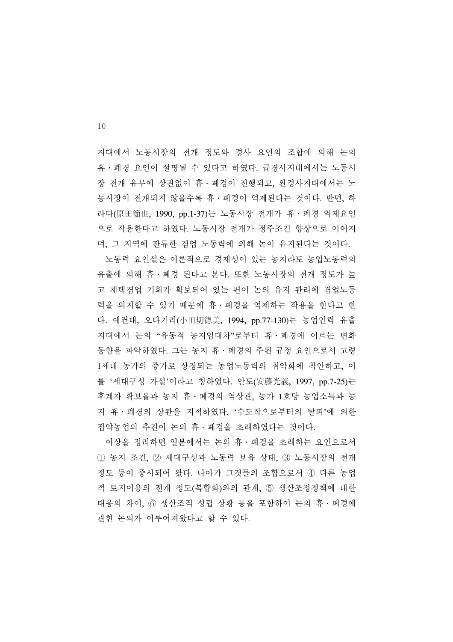지대에서 노동시장의 전개 정도와 경사 요인의 조합에 의해 논의 휴․폐경 요인이 설명될 수 있다고 하였다. 급경사지대에서는 노동시 장 전개 유무에 상관없이 휴․폐경이 진행되고, 완경사지대에서는 노 동시장이 전개되지 않을수록 휴․폐경이 억제된다는 것이다. 반면, 하 라다(原田節也, 1990, pp.1-37)는 노동시장 전개가 휴 · 폐경 억제요인 으로 작용한다고 하였다. 노동시장 전개가 정주조건 향상으로 이어지 며, 그 지역에 잔류한 겸업 노동력에 의해 논이 유지된다는 것이다.

 노동력 요인설은 이론적으로 경제성이 있는 농지라도 농업노동력의 유출에 의해 휴․폐경 된다고 본다. 또한 노동시장의 전개 정도가 높 고 재택겸업 기회가 확보되어 있는 편이 논의 유지 관리에 겸업노동 력을 의지할 수 있기 때문에 휴․폐경을 억제하는 작용을 한다고 한 다. 예컨대, 오다기리(小田切德美, 1994, pp.77-130)는 농업인력 유출 지대에서 논의 "유동적 농지임대차"로부터 휴․폐경에 이르는 변화 동향을 파악하였다. 그는 농지 휴․폐경의 주된 규정 요인으로서 고령 1세대 농가의 증가로 상징되는 농업노동력의 취약화에 착안하고, 이 를 '세대구성 가설'이라고 칭하였다. 안도(安藤光義, 1997, pp.7-25)는 후계자 확보율과 농지 휴․폐경의 역상관, 농가 1호당 농업소득과 농 지 휴․폐경의 상관을 지적하였다. '수도작으로부터의 탈피'에 의한 집약농업의 추진이 논의 휴․폐경을 초래하였다는 것이다.

 이상을 정리하면 일본에서는 논의 휴․폐경을 초래하는 요인으로서 ① 농지 조건, ② 세대구성과 노동력 보유 상태, ③ 노동시장의 전개 정도 등이 중시되어 왔다. 나아가 그것들의 조합으로서 ④ 다른 농업 적 토지이용의 전개 정도(복합화)와의 관계, ⑤ 생산조정정책에 대한 대응의 차이, ⑥ 생산조직 성립 상황 등을 포함하여 논의 휴․폐경에 관한 논의가 이루어져왔다고 할 수 있다.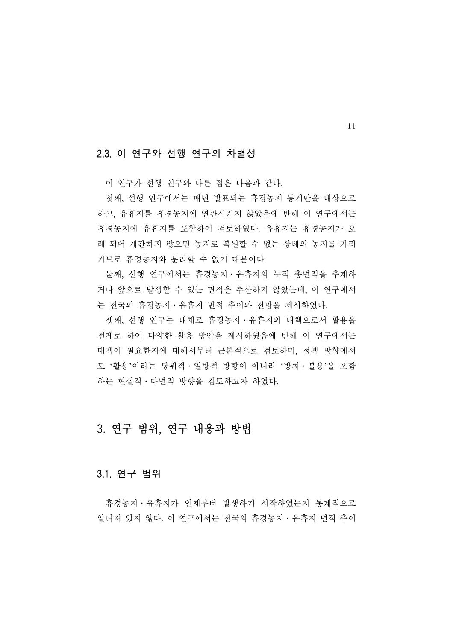# 2.3. 이 연구와 선행 연구의 차별성

이 연구가 선행 연구와 다른 점은 다음과 같다.

 첫째, 선행 연구에서는 매년 발표되는 휴경농지 통계만을 대상으로 하고, 유휴지를 휴경농지에 연관시키지 않았음에 반해 이 연구에서는 휴경농지에 유휴지를 포함하여 검토하였다. 유휴지는 휴경농지가 오 래 되어 개간하지 않으면 농지로 복원할 수 없는 상태의 농지를 가리 키므로 휴경농지와 분리할 수 없기 때문이다.

 둘째, 선행 연구에서는 휴경농지․유휴지의 누적 총면적을 추계하 거나 앞으로 발생할 수 있는 면적을 추산하지 않았는데, 이 연구에서 는 전국의 휴경농지․유휴지 면적 추이와 전망을 제시하였다.

 셋째, 선행 연구는 대체로 휴경농지․유휴지의 대책으로서 활용을 전제로 하여 다양한 활용 방안을 제시하였음에 반해 이 연구에서는 대책이 필요한지에 대해서부터 근본적으로 검토하며, 정책 방향에서 도 '활용'이라는 당위적․일방적 방향이 아니라 '방치․불용'을 포함 하는 현실적․다면적 방향을 검토하고자 하였다.

# 3. 연구 범위, 연구 내용과 방법

# 3.1. 연구 범위

 휴경농지․유휴지가 언제부터 발생하기 시작하였는지 통계적으로 알려져 있지 않다. 이 연구에서는 전국의 휴경농지․유휴지 면적 추이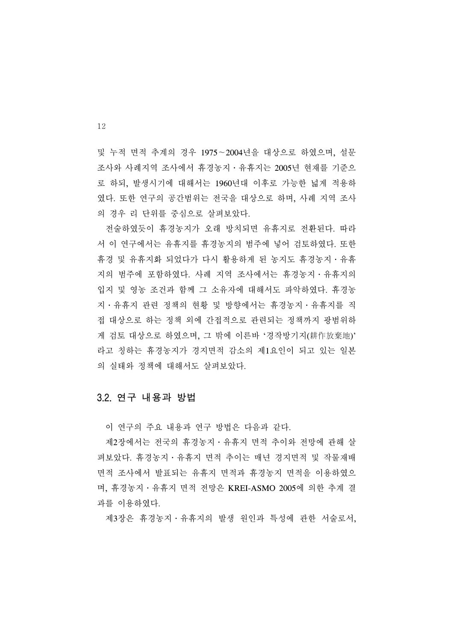및 누적 면적 추계의 경우 1975∼2004년을 대상으로 하였으며, 설문 조사와 사례지역 조사에서 휴경농지․유휴지는 2005년 현재를 기준으 로 하되, 발생시기에 대해서는 1960년대 이후로 가능한 넓게 적용하 였다. 또한 연구의 공간범위는 전국을 대상으로 하며, 사례 지역 조사 의 경우 리 단위를 중심으로 살펴보았다.

 전술하였듯이 휴경농지가 오래 방치되면 유휴지로 전환된다. 따라 서 이 연구에서는 유휴지를 휴경농지의 범주에 넣어 검토하였다. 또한 휴경 및 유휴지화 되었다가 다시 활용하게 된 농지도 휴경농지․유휴 지의 범주에 포함하였다. 사례 지역 조사에서는 휴경농지․유휴지의 입지 및 영농 조건과 함께 그 소유자에 대해서도 파악하였다. 휴경농 지․유휴지 관련 정책의 현황 및 방향에서는 휴경농지․유휴지를 직 접 대상으로 하는 정책 외에 간접적으로 관련되는 정책까지 광범위하 게 검토 대상으로 하였으며, 그 밖에 이른바 '경작방기지(耕作放棄地)' 라고 칭하는 휴경농지가 경지면적 감소의 제1요인이 되고 있는 일본 의 실태와 정책에 대해서도 살펴보았다.

### 3.2. 연구 내용과 방법

이 연구의 주요 내용과 연구 방법은 다음과 같다.

 제2장에서는 전국의 휴경농지․유휴지 면적 추이와 전망에 관해 살 펴보았다. 휴경농지․유휴지 면적 추이는 매년 경지면적 및 작물재배 면적 조사에서 발표되는 유휴지 면적과 휴경농지 면적을 이용하였으 며, 휴경농지․유휴지 면적 전망은 KREI-ASMO 2005에 의한 추계 결 과를 이용하였다.

제3장은 휴경농지․유휴지의 발생 원인과 특성에 관한 서술로서,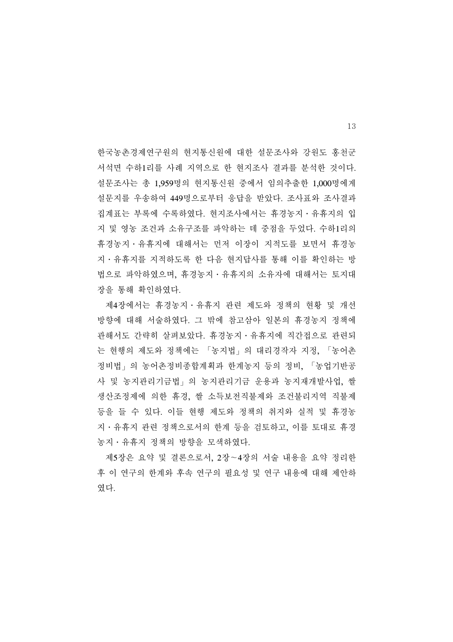한국농촌경제연구원의 현지통신원에 대한 설문조사와 강원도 홍천군 서석면 수하1리를 사례 지역으로 한 현지조사 결과를 분석한 것이다. 설문조사는 총 1,959명의 현지통신원 중에서 임의추출한 1,000명에게 설문지를 우송하여 449명으로부터 응답을 받았다. 조사표와 조사결과 집계표는 부록에 수록하였다. 현지조사에서는 휴경농지․유휴지의 입 지 및 영농 조건과 소유구조를 파악하는 데 중점을 두었다. 수하1리의 휴경농지․유휴지에 대해서는 먼저 이장이 지적도를 보면서 휴경농 지․유휴지를 지적하도록 한 다음 현지답사를 통해 이를 확인하는 방 법으로 파악하였으며, 휴경농지․유휴지의 소유자에 대해서는 토지대 장을 통해 확인하였다.

 제4장에서는 휴경농지․유휴지 관련 제도와 정책의 현황 및 개선 방향에 대해 서술하였다. 그 밖에 참고삼아 일본의 휴경농지 정책에 관해서도 간략히 살펴보았다. 휴경농지․유휴지에 직간접으로 관련되 는 현행의 제도와 정책에는 「농지법」의 대리경작자 지정, 「농어촌 정비법」의 농어촌정비종합계획과 한계농지 등의 정비, 「농업기반공 사 및 농지관리기금법」의 농지관리기금 운용과 농지재개발사업, 쌀 생산조정제에 의한 휴경, 쌀 소득보전직불제와 조건불리지역 직불제 등을 들 수 있다. 이들 현행 제도와 정책의 취지와 실적 및 휴경농 지․유휴지 관련 정책으로서의 한계 등을 검토하고, 이를 토대로 휴경 농지․유휴지 정책의 방향을 모색하였다.

 제5장은 요약 및 결론으로서, 2장∼4장의 서술 내용을 요약 정리한 후 이 연구의 한계와 후속 연구의 필요성 및 연구 내용에 대해 제안하 였다.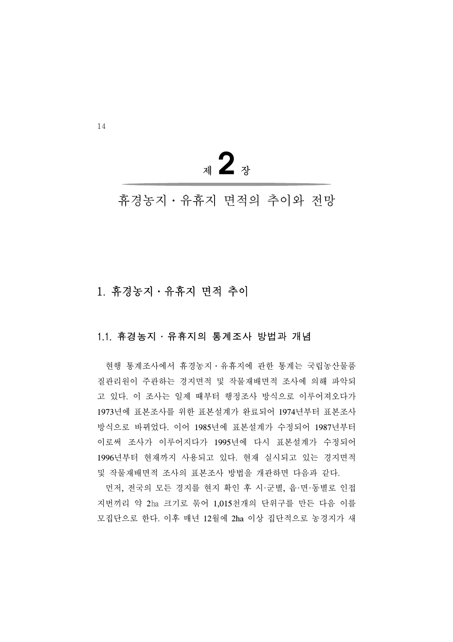<sup>제</sup>**2**<sup>장</sup>

휴경농지․유휴지 면적의 추이와 전망

# 1. 휴경농지․유휴지 면적 추이

# 1.1. 휴경농지․유휴지의 통계조사 방법과 개념

 현행 통계조사에서 휴경농지․유휴지에 관한 통계는 국립농산물품 질관리원이 주관하는 경지면적 및 작물재배면적 조사에 의해 파악되 고 있다. 이 조사는 일제 때부터 행정조사 방식으로 이루어져오다가 1973년에 표본조사를 위한 표본설계가 완료되어 1974년부터 표본조사 방식으로 바뀌었다. 이어 1985년에 표본설계가 수정되어 1987년부터 이로써 조사가 이루어지다가 1995년에 다시 표본설계가 수정되어 1996년부터 현재까지 사용되고 있다. 현재 실시되고 있는 경지면적 및 작물재배면적 조사의 표본조사 방법을 개관하면 다음과 같다.

 먼저, 전국의 모든 경지를 현지 확인 후 시·군별, 읍·면·동별로 인접 지번끼리 약 2㏊ 크기로 묶어 1,015천개의 단위구를 만든 다음 이를 모집단으로 한다. 이후 매년 12월에 2ha 이상 집단적으로 농경지가 새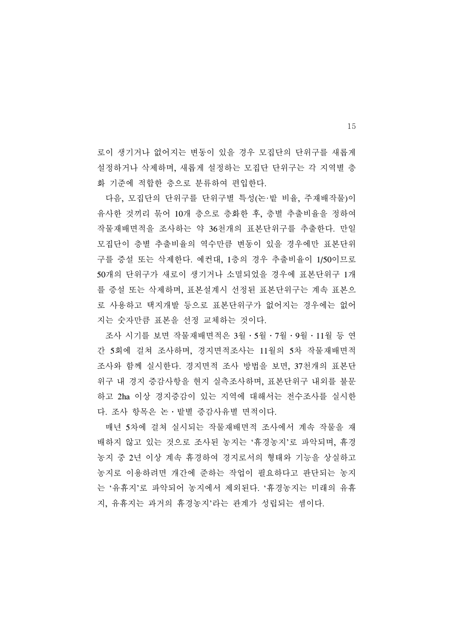로이 생기거나 없어지는 변동이 있을 경우 모집단의 단위구를 새롭게 설정하거나 삭제하며, 새롭게 설정하는 모집단 단위구는 각 지역별 층 화 기준에 적합한 층으로 분류하여 편입한다.

 다음, 모집단의 단위구를 단위구별 특성(논·밭 비율, 주재배작물)이 유사한 것끼리 묶어 10개 층으로 층화한 후, 층별 추출비율을 정하여 작물재배면적을 조사하는 약 36천개의 표본단위구를 추출한다. 만일 모집단이 층별 추출비율의 역수만큼 변동이 있을 경우에만 표본단위 구를 증설 또는 삭제한다. 예컨대, 1층의 경우 추출비율이 1/50이므로 50개의 단위구가 새로이 생기거나 소멸되었을 경우에 표본단위구 1개 를 증설 또는 삭제하며, 표본설계시 선정된 표본단위구는 계속 표본으 로 사용하고 택지개발 등으로 표본단위구가 없어지는 경우에는 없어 지는 숫자만큼 표본을 선정 교체하는 것이다.

 조사 시기를 보면 작물재배면적은 3월․5월․7월․9월․11월 등 연 간 5회에 걸쳐 조사하며, 경지면적조사는 11월의 5차 작물재배면적 조사와 함께 실시한다. 경지면적 조사 방법을 보면, 37천개의 표본단 위구 내 경지 증감사항을 현지 실측조사하며, 표본단위구 내외를 불문 하고 2ha 이상 경지증감이 있는 지역에 대해서는 전수조사를 실시한 다. 조사 항목은 논․밭별 증감사유별 면적이다.

 매년 5차에 걸쳐 실시되는 작물재배면적 조사에서 계속 작물을 재 배하지 않고 있는 것으로 조사된 농지는 '휴경농지'로 파악되며, 휴경 농지 중 2년 이상 계속 휴경하여 경지로서의 형태와 기능을 상실하고 농지로 이용하려면 개간에 준하는 작업이 필요하다고 판단되는 농지 는 '유휴지'로 파악되어 농지에서 제외된다. '휴경농지는 미래의 유휴 지, 유휴지는 과거의 휴경농지'라는 관계가 성립되는 셈이다.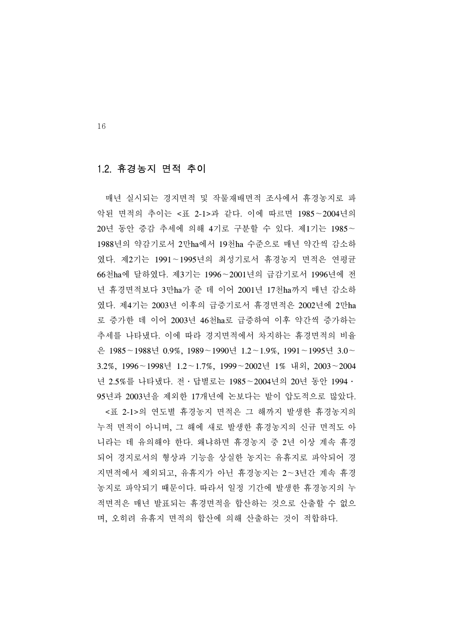# 1.2. 휴경농지 면적 추이

 매년 실시되는 경지면적 및 작물재배면적 조사에서 휴경농지로 파 악된 면적의 추이는 <표 2-1>과 같다. 이에 따르면 1985∼2004년의 20년 동안 증감 추세에 의해 4기로 구분할 수 있다. 제1기는 1985∼ 1988년의 약감기로서 2만ha에서 19천ha 수준으로 매년 약간씩 감소하 였다. 제2기는 1991∼1995년의 최성기로서 휴경농지 면적은 연평균 66천ha에 달하였다. 제3기는 1996∼2001년의 급감기로서 1996년에 전 년 휴경면적보다 3만ha가 준 데 이어 2001년 17천ha까지 매년 감소하 였다. 제4기는 2003년 이후의 급증기로서 휴경면적은 2002년에 2만ha 로 증가한 데 이어 2003년 46천ha로 급증하여 이후 약간씩 증가하는 추세를 나타냈다. 이에 따라 경지면적에서 차지하는 휴경면적의 비율 은 1985∼1988년 0.9%, 1989∼1990년 1.2∼1.9%, 1991∼1995년 3.0∼ 3.2%, 1996∼1998년 1.2∼1.7%, 1999∼2002년 1% 내외, 2003∼2004 년 2.5%를 나타냈다. 전․답별로는 1985∼2004년의 20년 동안 1994․ 95년과 2003년을 제외한 17개년에 논보다는 밭이 압도적으로 많았다.

 <표 2-1>의 연도별 휴경농지 면적은 그 해까지 발생한 휴경농지의 누적 면적이 아니며, 그 해에 새로 발생한 휴경농지의 신규 면적도 아 니라는 데 유의해야 한다. 왜냐하면 휴경농지 중 2년 이상 계속 휴경 되어 경지로서의 형상과 기능을 상실한 농지는 유휴지로 파악되어 경 지면적에서 제외되고, 유휴지가 아닌 휴경농지는 2∼3년간 계속 휴경 농지로 파악되기 때문이다. 따라서 일정 기간에 발생한 휴경농지의 누 적면적은 매년 발표되는 휴경면적을 합산하는 것으로 산출할 수 없으 며, 오히려 유휴지 면적의 합산에 의해 산출하는 것이 적합하다.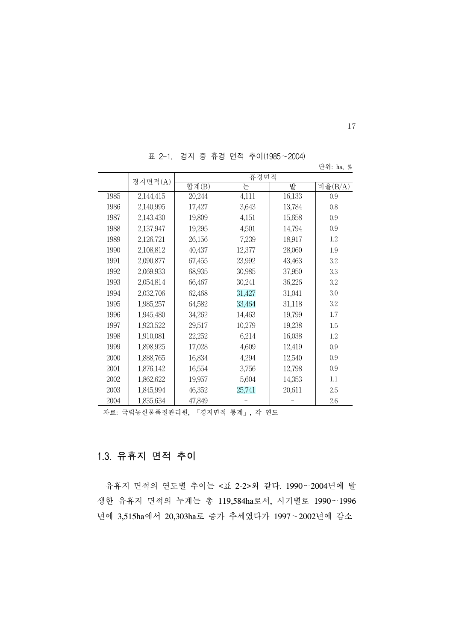경지면적 $(A)$   $\begin{array}{|c|c|c|c|}\hline \hline \Phi & \Phi \end{array}$  참계 $(B)$  등 는 도 로 밭 비율 $(B/A)$ 1985 1986 1987 1988 1989 1990 1991 1992 1993 1994 1995 1996 1997 1998 1999 2000 2001 2002 2003 2004 2,144,415 2,140,995 2,143,430 2,137,947 2,126,721 2,108,812 2,090,877 2,069,933 2,054,814 2,032,706 1,985,257 1,945,480 1,923,522 1,910,081 1,898,925 1,888,765 1,876,142 1,862,622 1,845,994 1,835,634 20,244 17,427 19,809 19,295 26,156 40,437 67,455 68,935 66,467 62,468 64,582 34,262 29,517 22,252 17,028 16,834 16,554 19,957 46,352 47,849 4,111 3,643 4,151 4,501 7,239 12,377 23,992 30,985 30,241 31,427 33,464 14,463 10,279 6,214 4,609 4,294 3,756 5,604 25,741 - 16,133 13,784 15,658 14,794 18,917 28,060 43,463 37,950 36,226 31,041 31,118 19,799 19,238 16,038 12,419 12,540 12,798 14,353 20,611 - 0.9 0.8 0.9 0.9 1.2 1.9 3.2 3.3 3.2 3.0 3.2 1.7 1.5 1.2 0.9 0.9 0.9 1.1 2.5 2.6

표 2-1. 경지 중 휴경 면적 추이(1985∼2004)

#### 단위: ha, %

17

자료: 국립농산물품질관리원, 『경지면적 통계』, 각 연도

# 1.3. 유휴지 면적 추이

 유휴지 면적의 연도별 추이는 <표 2-2>와 같다. 1990∼2004년에 발 생한 유휴지 면적의 누계는 총 119,584ha로서, 시기별로 1990∼1996 년에 3,515ha에서 20,303ha로 증가 추세였다가 1997∼2002년에 감소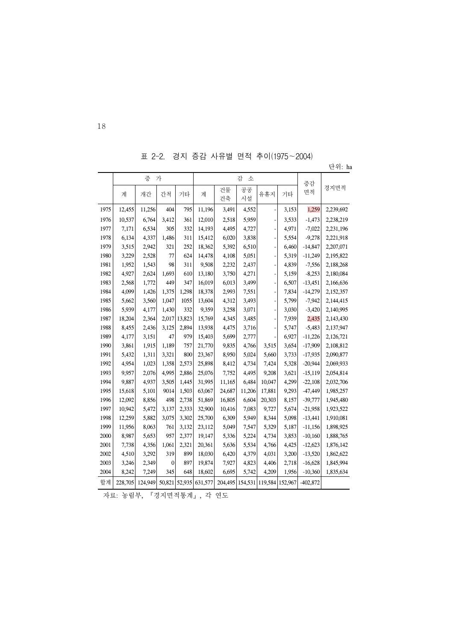표 2-2. 경지 증감 사유별 면적 추이(1975∼2004)

|      |         | 증       | 가            |        | 감<br>소                |          |          |        | 증감                                    |            |           |
|------|---------|---------|--------------|--------|-----------------------|----------|----------|--------|---------------------------------------|------------|-----------|
|      | 계       | 개간      | 간척           | 기타     | 계                     | 건물<br>건축 | 공공<br>시설 | 유휴지    | 기타                                    | 면적         | 경지면적      |
| 1975 | 12,455  | 11,256  | 404          | 795    | 11,196                | 3,491    | 4,552    |        | 3,153                                 | 1,259      | 2,239,692 |
| 1976 | 10,537  | 6,764   | 3,412        | 361    | 12,010                | 2,518    | 5,959    |        | 3,533                                 | $-1,473$   | 2,238,219 |
| 1977 | 7,171   | 6,534   | 305          | 332    | 14,193                | 4,495    | 4,727    |        | 4,971                                 | $-7,022$   | 2,231,196 |
| 1978 | 6,134   | 4,337   | 1,486        | 311    | 15,412                | 6,020    | 3,838    |        | 5,554                                 | $-9,278$   | 2,221,918 |
| 1979 | 3,515   | 2,942   | 321          | 252    | 18,362                | 5,392    | 6,510    |        | 6,460                                 | $-14,847$  | 2,207,071 |
| 1980 | 3,229   | 2,528   | 77           | 624    | 14,478                | 4,108    | 5,051    |        | 5,319                                 | $-11,249$  | 2,195,822 |
| 1981 | 1,952   | 1,543   | 98           | 311    | 9,508                 | 2,232    | 2,437    |        | 4,839                                 | $-7,556$   | 2,188,268 |
| 1982 | 4,927   | 2,624   | 1,693        | 610    | 13,180                | 3,750    | 4,271    |        | 5,159                                 | $-8,253$   | 2,180,084 |
| 1983 | 2,568   | 1,772   | 449          | 347    | 16,019                | 6,013    | 3,499    |        | 6,507                                 | $-13,451$  | 2,166,636 |
| 1984 | 4,099   | 1,426   | 1,375        | 1,298  | 18,378                | 2,993    | 7,551    |        | 7,834                                 | $-14,279$  | 2,152,357 |
| 1985 | 5,662   | 3,560   | 1,047        | 1055   | 13,604                | 4,312    | 3,493    |        | 5,799                                 | $-7,942$   | 2,144,415 |
| 1986 | 5,939   | 4,177   | 1,430        | 332    | 9,359                 | 3,258    | 3,071    |        | 3,030                                 | $-3,420$   | 2,140,995 |
| 1987 | 18,204  | 2,364   | 2,017        | 13,823 | 15,769                | 4,345    | 3,485    |        | 7,939                                 | 2,435      | 2,143,430 |
| 1988 | 8,455   | 2,436   | 3,125        | 2,894  | 13,938                | 4,475    | 3,716    |        | 5,747                                 | $-5,483$   | 2,137,947 |
| 1989 | 4,177   | 3,151   | 47           | 979    | 15,403                | 5,699    | 2,777    |        | 6,927                                 | $-11,226$  | 2,126,721 |
| 1990 | 3,861   | 1,915   | 1,189        | 757    | 21,770                | 9,835    | 4,766    | 3,515  | 3,654                                 | $-17,909$  | 2,108,812 |
| 1991 | 5,432   | 1,311   | 3,321        | 800    | 23,367                | 8,950    | 5,024    | 5,660  | 3,733                                 | $-17,935$  | 2,090,877 |
| 1992 | 4,954   | 1,023   | 1,358        | 2,573  | 25,898                | 8,412    | 4,734    | 7,424  | 5,328                                 | $-20,944$  | 2,069,933 |
| 1993 | 9,957   | 2,076   | 4,995        | 2,886  | 25,076                | 7,752    | 4,495    | 9,208  | 3,621                                 | $-15,119$  | 2,054,814 |
| 1994 | 9,887   | 4,937   | 3,505        | 1,445  | 31,995                | 11,165   | 6,484    | 10,047 | 4,299                                 | $-22,108$  | 2,032,706 |
| 1995 | 15,618  | 5,101   | 9014         | 1,503  | 63,067                | 24,687   | 11,206   | 17,881 | 9,293                                 | $-47,449$  | 1,985,257 |
| 1996 | 12,092  | 8,856   | 498          | 2,738  | 51,869                | 16,805   | 6,604    | 20,303 | 8,157                                 | $-39,777$  | 1,945,480 |
| 1997 | 10,942  | 5,472   | 3,137        | 2,333  | 32,900                | 10,416   | 7,083    | 9,727  | 5,674                                 | $-21,958$  | 1,923,522 |
| 1998 | 12,259  | 5,882   | 3,075        | 3,302  | 25,700                | 6,309    | 5,949    | 8,344  | 5,098                                 | $-13,441$  | 1,910,081 |
| 1999 | 11,956  | 8,063   | 761          | 3,132  | 23,112                | 5,049    | 7,547    | 5,329  | 5,187                                 | $-11,156$  | 1,898,925 |
| 2000 | 8,987   | 5,653   | 957          | 2,377  | 19,147                | 5,336    | 5,224    | 4,734  | 3,853                                 | $-10,160$  | 1,888,765 |
| 2001 | 7,738   | 4,356   | 1,061        | 2,321  | 20,361                | 5,636    | 5,534    | 4,766  | 4,425                                 | $-12,623$  | 1,876,142 |
| 2002 | 4,510   | 3,292   | 319          | 899    | 18,030                | 6,420    | 4,379    | 4,031  | 3,200                                 | $-13,520$  | 1,862,622 |
| 2003 | 3,246   | 2,349   | $\mathbf{0}$ | 897    | 19,874                | 7,927    | 4,823    | 4,406  | 2,718                                 | $-16,628$  | 1,845,994 |
| 2004 | 8,242   | 7,249   | 345          | 648    | 18,602                | 6,695    | 5,742    | 4,209  | 1,956                                 | $-10,360$  | 1,835,634 |
| 합계   | 228,705 | 124,949 |              |        | 50,821 52,935 631,577 |          |          |        | 204,495   154,531   119,584   152,967 | $-402,872$ |           |

자료: 농림부, 『경지면적통계』, 각 연도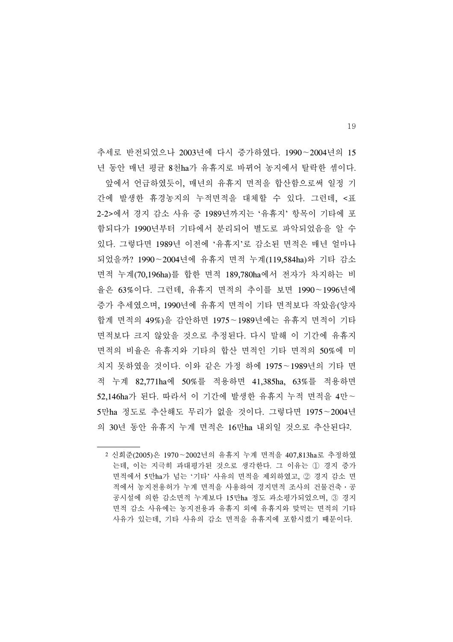추세로 반전되었으나 2003년에 다시 증가하였다. 1990∼2004년의 15 년 동안 매년 평균 8천ha가 유휴지로 바뀌어 농지에서 탈락한 셈이다. 앞에서 언급하였듯이, 매년의 유휴지 면적을 합산함으로써 일정 기 간에 발생한 휴경농지의 누적면적을 대체할 수 있다. 그런데, <표 2-2>에서 경지 감소 사유 중 1989년까지는 '유휴지' 항목이 기타에 포 함되다가 1990년부터 기타에서 분리되어 별도로 파악되었음을 알 수 있다. 그렇다면 1989년 이전에 '유휴지'로 감소된 면적은 매년 얼마나 되었을까? 1990∼2004년에 유휴지 면적 누계(119,584ha)와 기타 감소 면적 누계(70,196ha)를 합한 면적 189,780ha에서 전자가 차지하는 비 율은 63%이다. 그런데, 유휴지 면적의 추이를 보면 1990∼1996년에 증가 추세였으며, 1990년에 유휴지 면적이 기타 면적보다 작았음(양자 합계 면적의 49%)을 감안하면 1975∼1989년에는 유휴지 면적이 기타 면적보다 크지 않았을 것으로 추정된다. 다시 말해 이 기간에 유휴지 면적의 비율은 유휴지와 기타의 합산 면적인 기타 면적의 50%에 미 치지 못하였을 것이다. 이와 같은 가정 하에 1975∼1989년의 기타 면 적 누계 82,771ha에 50%를 적용하면 41,385ha, 63%를 적용하면 52,146ha가 된다. 따라서 이 기간에 발생한 유휴지 누적 면적을 4만∼ 5만ha 정도로 추산해도 무리가 없을 것이다. 그렇다면 1975∼2004년 의 30년 동안 유휴지 누계 면적은 16만ha 내외일 것으로 추산된다2.

<sup>2</sup> 신희준(2005)은 1970∼2002년의 유휴지 누계 면적을 407,813ha로 추정하였 는데, 이는 지극히 과대평가된 것으로 생각한다. 그 이유는 ① 경지 증가 면적에서 5만ha가 넘는 '기타' 사유의 면적을 제외하였고, ② 경지 감소 면 적에서 농지전용허가 누계 면적을 사용하여 경지면적 조사의 건물건축․공 공시설에 의한 감소면적 누계보다 15만ha 정도 과소평가되었으며, ③ 경지 면적 감소 사유에는 농지전용과 유휴지 외에 유휴지와 맞먹는 면적의 기타 사유가 있는데, 기타 사유의 감소 면적을 유휴지에 포함시켰기 때문이다.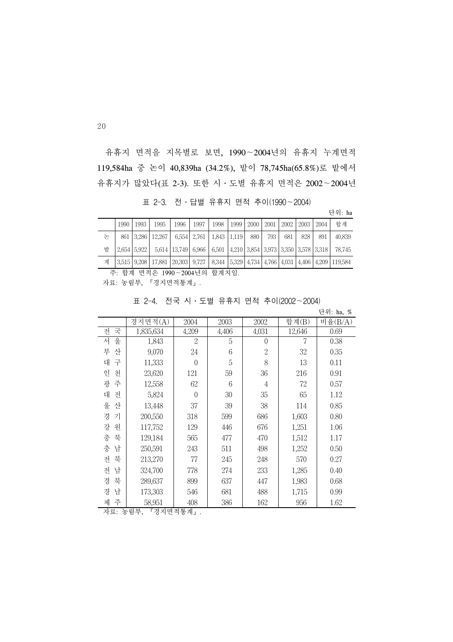유휴지 면적을 지목별로 보면, 1990∼2004년의 유휴지 누계면적 119,584ha 중 논이 40,839ha (34.2%), 밭이 78,745ha(65.8%)로 밭에서 유휴지가 많았다(표 2-3). 또한 시․도별 유휴지 면적은 2002∼2004년

표 2-3. 전․답별 유휴지 면적 추이(1990∼2004)

단위: ha

|   | 1990 | 1993 | 1995                                                                     | 1996 | 1997 | 1998 | 1999 | 2000 | 2001 | 2002 | 2003 | 2004 | 합계                                                                                                        |
|---|------|------|--------------------------------------------------------------------------|------|------|------|------|------|------|------|------|------|-----------------------------------------------------------------------------------------------------------|
| 논 |      |      | 861   3.286   12.267   6.554   2.761   1.843   1.119                     |      |      |      |      | 880  | 793  | 681  | 828  | 891  | 40,839                                                                                                    |
| 밭 |      |      | 2.654 5.922 5.614 13.749 6.966 6.501 4.210 3.854 3.973 3.350 3.578 3.318 |      |      |      |      |      |      |      |      |      | 78.745                                                                                                    |
| 계 |      |      |                                                                          |      |      |      |      |      |      |      |      |      | 3,515   9,208   17,881   20,303   9,727   8,344   5,329   4,734   4,766   4,031   4,406   4,209   119,584 |

주: 합계 면적은 1990∼2004년의 합계치임.

자료: 농림부, 『경지면적통계』.

|  |  |  |  |  | 표 2-4. 전국 시·도별 유휴지 면적 추이(2002~2004) |
|--|--|--|--|--|-------------------------------------|
|--|--|--|--|--|-------------------------------------|

.,<br>단위: h<u>a, %</u>

|        | 경지면적(A)   | 2004             | 2003  | 2002           | 합계(B)  | 비율 $(B/A)$ |
|--------|-----------|------------------|-------|----------------|--------|------------|
| 국<br>전 | 1,835,634 | 4,209            | 4,406 | 4,031          | 12,646 | 0.69       |
| 울<br>서 | 1,843     | 2                | 5     | $\theta$       | 7      | 0.38       |
| 부<br>산 | 9,070     | 24               | 6     | $\overline{2}$ | 32     | 0.35       |
| 대<br>구 | 11,333    | $\Omega$         | 5     | 8              | 13     | 0.11       |
| 인<br>천 | 23,620    | 121              | 59    | 36             | 216    | 0.91       |
| 주<br>광 | 12,558    | 62               | 6     | $\overline{4}$ | 72     | 0.57       |
| 대<br>전 | 5,824     | $\boldsymbol{0}$ | 30    | 35             | 65     | 1.12       |
| 울<br>산 | 13,448    | 37               | 39    | 38             | 114    | 0.85       |
| 경<br>기 | 200,550   | 318              | 599   | 686            | 1,603  | 0.80       |
| 강<br>원 | 117,752   | 129              | 446   | 676            | 1,251  | 1.06       |
| 충<br>북 | 129,184   | 565              | 477   | 470            | 1,512  | 1.17       |
| 충<br>남 | 250,591   | 243              | 511   | 498            | 1,252  | 0.50       |
| 북<br>전 | 213,270   | 77               | 245   | 248            | 570    | 0.27       |
| 남<br>전 | 324,700   | 778              | 274   | 233            | 1,285  | 0.40       |
| 북<br>경 | 289,637   | 899              | 637   | 447            | 1,983  | 0.68       |
| 경<br>남 | 173,303   | 546              | 681   | 488            | 1,715  | 0.99       |
| 주<br>제 | 58,951    | 408              | 386   | 162            | 956    | 1.62       |

자료: 농림부, 『경지면적통계』.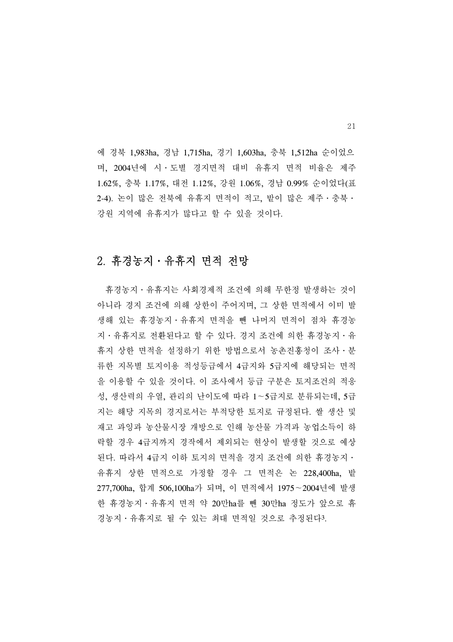에 경북 1,983ha, 경남 1,715ha, 경기 1,603ha, 충북 1,512ha 순이었으 며, 2004년에 시․도별 경지면적 대비 유휴지 면적 비율은 제주 1.62%, 충북 1.17%, 대전 1.12%, 강원 1.06%, 경남 0.99% 순이었다(표 2-4). 논이 많은 전북에 유휴지 면적이 적고, 밭이 많은 제주․충북․ 강원 지역에 유휴지가 많다고 할 수 있을 것이다.

### 2. 휴경농지․유휴지 면적 전망

 휴경농지․유휴지는 사회경제적 조건에 의해 무한정 발생하는 것이 아니라 경지 조건에 의해 상한이 주어지며, 그 상한 면적에서 이미 발 생해 있는 휴경농지․유휴지 면적을 뺀 나머지 면적이 점차 휴경농 지․유휴지로 전환된다고 할 수 있다. 경지 조건에 의한 휴경농지․유 휴지 상한 면적을 설정하기 위한 방법으로서 농촌진흥청이 조사․분 류한 지목별 토지이용 적성등급에서 4급지와 5급지에 해당되는 면적 을 이용할 수 있을 것이다. 이 조사에서 등급 구분은 토지조건의 적응 성, 생산력의 우열, 관리의 난이도에 따라 1∼5급지로 분류되는데, 5급 지는 해당 지목의 경지로서는 부적당한 토지로 규정된다. 쌀 생산 및 재고 과잉과 농산물시장 개방으로 인해 농산물 가격과 농업소득이 하 락할 경우 4급지까지 경작에서 제외되는 현상이 발생할 것으로 예상 된다. 따라서 4급지 이하 토지의 면적을 경지 조건에 의한 휴경농지․ 유휴지 상한 면적으로 가정할 경우 그 면적은 논 228,400ha, 밭 277,700ha, 합계 506,100ha가 되며, 이 면적에서 1975∼2004년에 발생 한 휴경농지․유휴지 면적 약 20만ha를 뺀 30만ha 정도가 앞으로 휴 경농지․유휴지로 될 수 있는 최대 면적일 것으로 추정된다3.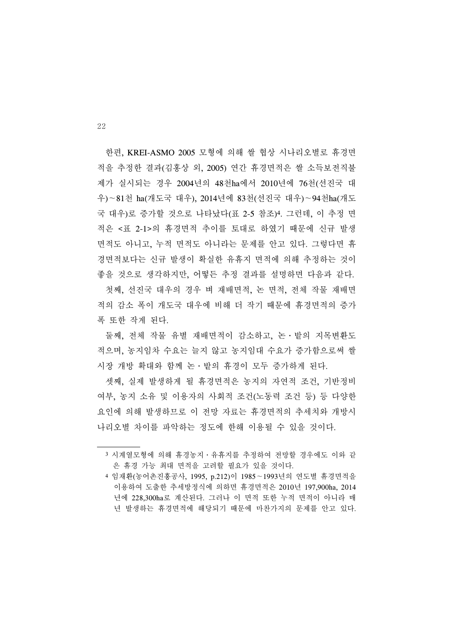한편, KREI-ASMO 2005 모형에 의해 쌀 협상 시나리오별로 휴경면 적을 추정한 결과(김홍상 외, 2005) 연간 휴경면적은 쌀 소득보전직불 제가 실시되는 경우 2004년의 48천ha에서 2010년에 76천(선진국 대 우)∼81천 ha(개도국 대우), 2014년에 83천(선진국 대우)∼94천ha(개도 국 대우)로 증가할 것으로 나타났다(표 2-5 참조)4. 그런데, 이 추정 면 적은 <표 2-1>의 휴경면적 추이를 토대로 하였기 때문에 신규 발생 면적도 아니고, 누적 면적도 아니라는 문제를 안고 있다. 그렇다면 휴 경면적보다는 신규 발생이 확실한 유휴지 면적에 의해 추정하는 것이 좋을 것으로 생각하지만, 어떻든 추정 결과를 설명하면 다음과 같다.

 첫째, 선진국 대우의 경우 벼 재배면적, 논 면적, 전체 작물 재배면 적의 감소 폭이 개도국 대우에 비해 더 작기 때문에 휴경면적의 증가 폭 또한 작게 된다.

 둘째, 전체 작물 유별 재배면적이 감소하고, 논․밭의 지목변환도 적으며, 농지임차 수요는 늘지 않고 농지임대 수요가 증가함으로써 쌀 시장 개방 확대와 함께 논․밭의 휴경이 모두 증가하게 된다.

 셋째, 실제 발생하게 될 휴경면적은 농지의 자연적 조건, 기반정비 여부, 농지 소유 및 이용자의 사회적 조건(노동력 조건 등) 등 다양한 요인에 의해 발생하므로 이 전망 자료는 휴경면적의 추세치와 개방시 나리오별 차이를 파악하는 정도에 한해 이용될 수 있을 것이다.

<sup>3</sup> 시계열모형에 의해 휴경농지․유휴지를 추정하여 전망할 경우에도 이와 같 은 휴경 가능 최대 면적을 고려할 필요가 있을 것이다.

<sup>4</sup> 임재환(농어촌진흥공사, 1995, p.212)이 1985∼1993년의 연도별 휴경면적을 이용하여 도출한 추세방정식에 의하면 휴경면적은 2010년 197,900ha, 2014 년에 228,300ha로 계산된다. 그러나 이 면적 또한 누적 면적이 아니라 매 년 발생하는 휴경면적에 해당되기 때문에 마찬가지의 문제를 안고 있다.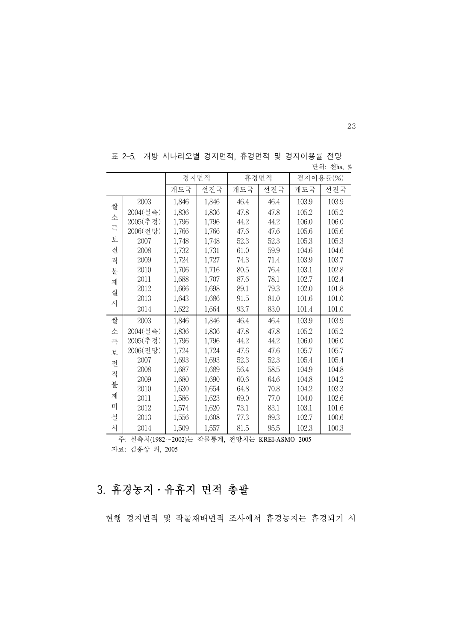|   |          |       | 경지면적  |      | 휴경면적 |       | 경지이용률(%) |
|---|----------|-------|-------|------|------|-------|----------|
|   |          | 개도국   | 선진국   | 개도국  | 선진국  | 개도국   | 선진국      |
| 쌀 | 2003     | 1,846 | 1,846 | 46.4 | 46.4 | 103.9 | 103.9    |
|   | 2004(실측) | 1,836 | 1,836 | 47.8 | 47.8 | 105.2 | 105.2    |
| 소 | 2005(추정) | 1,796 | 1,796 | 44.2 | 44.2 | 106.0 | 106.0    |
| 득 | 2006(전망) | 1,766 | 1,766 | 47.6 | 47.6 | 105.6 | 105.6    |
| 보 | 2007     | 1,748 | 1,748 | 52.3 | 52.3 | 105.3 | 105.3    |
| 전 | 2008     | 1,732 | 1,731 | 61.0 | 59.9 | 104.6 | 104.6    |
| 직 | 2009     | 1,724 | 1,727 | 74.3 | 71.4 | 103.9 | 103.7    |
| 불 | 2010     | 1,706 | 1,716 | 80.5 | 76.4 | 103.1 | 102.8    |
| 제 | 2011     | 1,688 | 1,707 | 87.6 | 78.1 | 102.7 | 102.4    |
| 실 | 2012     | 1,666 | 1,698 | 89.1 | 79.3 | 102.0 | 101.8    |
| 시 | 2013     | 1,643 | 1,686 | 91.5 | 81.0 | 101.6 | 101.0    |
|   | 2014     | 1,622 | 1,664 | 93.7 | 83.0 | 101.4 | 101.0    |
| 쌀 | 2003     | 1,846 | 1,846 | 46.4 | 46.4 | 103.9 | 103.9    |
| 소 | 2004(실측) | 1,836 | 1,836 | 47.8 | 47.8 | 105.2 | 105.2    |
| 득 | 2005(추정) | 1,796 | 1,796 | 44.2 | 44.2 | 106.0 | 106.0    |
| 互 | 2006(전망) | 1,724 | 1,724 | 47.6 | 47.6 | 105.7 | 105.7    |
| 전 | 2007     | 1,693 | 1,693 | 52.3 | 52.3 | 105.4 | 105.4    |
| 직 | 2008     | 1,687 | 1,689 | 56.4 | 58.5 | 104.9 | 104.8    |
|   | 2009     | 1,680 | 1,690 | 60.6 | 64.6 | 104.8 | 104.2    |
| 불 | 2010     | 1,630 | 1,654 | 64.8 | 70.8 | 104.2 | 103.3    |
| 제 | 2011     | 1,586 | 1,623 | 69.0 | 77.0 | 104.0 | 102.6    |
| 미 | 2012     | 1,574 | 1,620 | 73.1 | 83.1 | 103.1 | 101.6    |
| 실 | 2013     | 1,556 | 1,608 | 77.3 | 89.3 | 102.7 | 100.6    |
| 시 | 2014     | 1,509 | 1,557 | 81.5 | 95.5 | 102.3 | 100.3    |

표 2-5. 개방 시나리오별 경지면적, 휴경면적 및 경지이용률 전망 단위: 천ha, %

주: 실측치(1982∼2002)는 작물통계, 전망치는 KREI-ASMO 2005

자료: 김홍상 외, 2005

# 3. 휴경농지․유휴지 면적 총괄

현행 경지면적 및 작물재배면적 조사에서 휴경농지는 휴경되기 시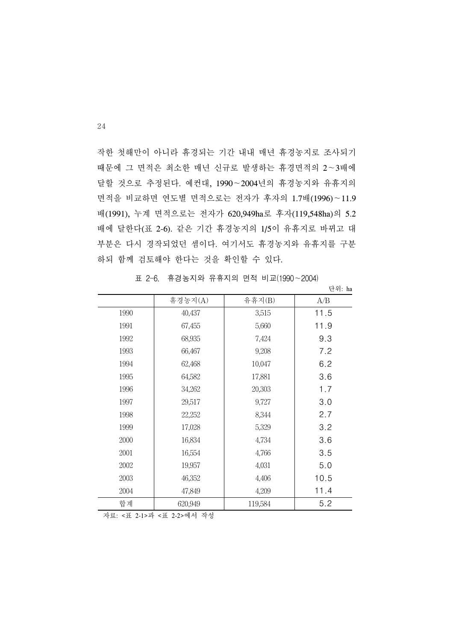작한 첫해만이 아니라 휴경되는 기간 내내 매년 휴경농지로 조사되기 때문에 그 면적은 최소한 매년 신규로 발생하는 휴경면적의 2∼3배에 달할 것으로 추정된다. 예컨대, 1990∼2004년의 휴경농지와 유휴지의 면적을 비교하면 연도별 면적으로는 전자가 후자의 1.7배(1996)∼11.9 배(1991), 누계 면적으로는 전자가 620,949ha로 후자(119,548ha)의 5.2 배에 달한다(표 2-6). 같은 기간 휴경농지의 1/5이 유휴지로 바뀌고 대 부분은 다시 경작되었던 셈이다. 여기서도 휴경농지와 유휴지를 구분 하되 함께 검토해야 한다는 것을 확인할 수 있다.

|      |         |         | 단위: ha |
|------|---------|---------|--------|
|      | 휴경농지(A) | 유휴지(B)  | A/B    |
| 1990 | 40,437  | 3,515   | 11.5   |
| 1991 | 67,455  | 5,660   | 11.9   |
| 1992 | 68,935  | 7,424   | 9.3    |
| 1993 | 66,467  | 9,208   | 7.2    |
| 1994 | 62,468  | 10,047  | 6.2    |
| 1995 | 64,582  | 17,881  | 3.6    |
| 1996 | 34,262  | 20,303  | 1.7    |
| 1997 | 29,517  | 9,727   | 3.0    |
| 1998 | 22,252  | 8,344   | 2.7    |
| 1999 | 17,028  | 5,329   | 3.2    |
| 2000 | 16,834  | 4,734   | 3.6    |
| 2001 | 16,554  | 4,766   | 3.5    |
| 2002 | 19,957  | 4,031   | 5.0    |
| 2003 | 46,352  | 4,406   | 10.5   |
| 2004 | 47,849  | 4,209   | 11.4   |
| 합계   | 620,949 | 119,584 | 5.2    |

표 2-6. 휴경농지와 유휴지의 면적 비교(1990∼2004)

자료: <표 2-1>과 <표 2-2>에서 작성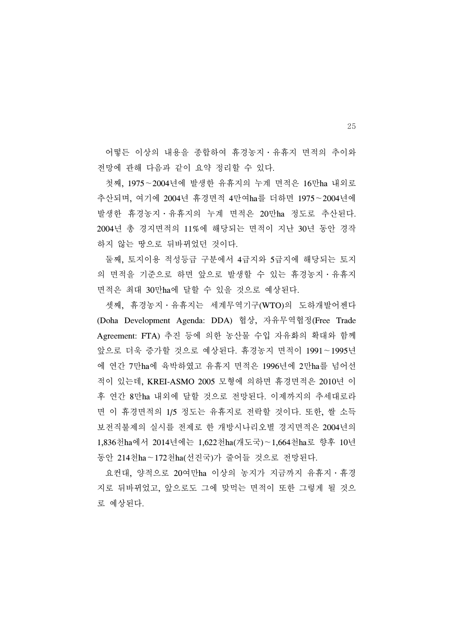어떻든 이상의 내용을 종합하여 휴경농지․유휴지 면적의 추이와 전망에 관해 다음과 같이 요약 정리할 수 있다.

 첫째, 1975∼2004년에 발생한 유휴지의 누계 면적은 16만ha 내외로 추산되며, 여기에 2004년 휴경면적 4만여ha를 더하면 1975∼2004년에 발생한 휴경농지․유휴지의 누계 면적은 20만ha 정도로 추산된다. 2004년 총 경지면적의 11%에 해당되는 면적이 지난 30년 동안 경작 하지 않는 땅으로 뒤바뀌었던 것이다.

 둘째, 토지이용 적성등급 구분에서 4급지와 5급지에 해당되는 토지 의 면적을 기준으로 하면 앞으로 발생할 수 있는 휴경농지․유휴지 면적은 최대 30만ha에 달할 수 있을 것으로 예상된다.

 셋째, 휴경농지․유휴지는 세계무역기구(WTO)의 도하개발어젠다 (Doha Development Agenda: DDA) 협상, 자유무역협정(Free Trade Agreement: FTA) 추진 등에 의한 농산물 수입 자유화의 확대와 함께 앞으로 더욱 증가할 것으로 예상된다. 휴경농지 면적이 1991∼1995년 에 연간 7만ha에 육박하였고 유휴지 면적은 1996년에 2만ha를 넘어선 적이 있는데, KREI-ASMO 2005 모형에 의하면 휴경면적은 2010년 이 후 연간 8만ha 내외에 달할 것으로 전망된다. 이제까지의 추세대로라 면 이 휴경면적의 1/5 정도는 유휴지로 전락할 것이다. 또한, 쌀 소득 보전직불제의 실시를 전제로 한 개방시나리오별 경지면적은 2004년의 1,836천ha에서 2014년에는 1,622천ha(개도국)∼1,664천ha로 향후 10년 동안 214천ha∼172천ha(선진국)가 줄어들 것으로 전망된다.

 요컨대, 양적으로 20여만ha 이상의 농지가 지금까지 유휴지․휴경 지로 뒤바뀌었고, 앞으로도 그에 맞먹는 면적이 또한 그렇게 될 것으 로 예상된다.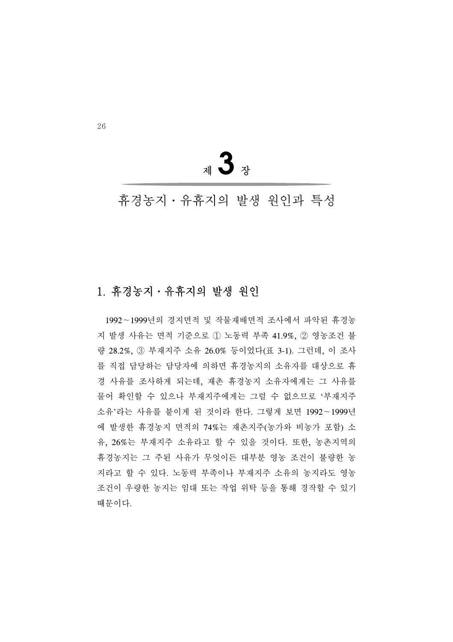<sup>제</sup>**3**<sup>장</sup>

# 휴경농지․유휴지의 발생 원인과 특성

### 1. 휴경농지․유휴지의 발생 원인

 1992∼1999년의 경지면적 및 작물재배면적 조사에서 파악된 휴경농 지 발생 사유는 면적 기준으로 ① 노동력 부족 41.9%, ② 영농조건 불 량 28.2%, ③ 부재지주 소유 26.0% 등이었다(표 3-1). 그런데, 이 조사 를 직접 담당하는 담당자에 의하면 휴경농지의 소유자를 대상으로 휴 경 사유를 조사하게 되는데, 재촌 휴경농지 소유자에게는 그 사유를 물어 확인할 수 있으나 부재지주에게는 그럴 수 없으므로 '부재지주 소유'라는 사유를 붙이게 된 것이라 한다. 그렇게 보면 1992∼1999년 에 발생한 휴경농지 면적의 74%는 재촌지주(농가와 비농가 포함) 소 유, 26%는 부재지주 소유라고 할 수 있을 것이다. 또한, 농촌지역의 휴경농지는 그 주된 사유가 무엇이든 대부분 영농 조건이 불량한 농 지라고 할 수 있다. 노동력 부족이나 부재지주 소유의 농지라도 영농 조건이 우량한 농지는 임대 또는 작업 위탁 등을 통해 경작할 수 있기 때문이다.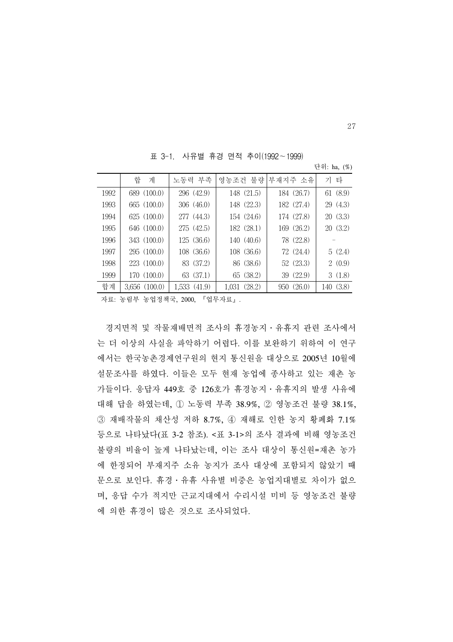표 3-1. 사유별 휴경 면적 추이(1992∼1999)

|      | 합<br>계            | 노동력 부족       |              | 영농조건 불량 부재지주 소유 | 기 타       |
|------|-------------------|--------------|--------------|-----------------|-----------|
| 1992 | 689 (100.0)       | 296 (42.9)   | 148 (21.5)   | 184 (26.7)      | 61 (8.9)  |
| 1993 | 665 (100.0)       | 306(46.0)    | 148 (22.3)   | 182 (27.4)      | 29(4.3)   |
| 1994 | 625 (100.0)       | 277 (44.3)   | 154 (24.6)   | 174 (27.8)      | 20(3.3)   |
| 1995 | 646 (100.0)       | 275 (42.5)   | 182 (28.1)   | 169 (26.2)      | 20(3.2)   |
| 1996 | 343 (100.0)       | 125(36.6)    | 140 (40.6)   | 78 (22.8)       |           |
| 1997 | 295(100.0)        | 108 (36.6)   | 108 (36.6)   | 72 (24.4)       | 5(2.4)    |
| 1998 | 223 (100.0)       | 83 (37.2)    | 86 (38.6)    | 52(23.3)        | 2(0.9)    |
| 1999 | 170 (100.0)       | 63 (37.1)    | 65 (38.2)    | 39 (22.9)       | 3(1.8)    |
| 합계   | $3,656$ $(100.0)$ | 1,533 (41.9) | 1,031 (28.2) | 950 (26.0)      | 140 (3.8) |

자료: 농림부 농업정책국, 2000, 『업무자료』.

 경지면적 및 작물재배면적 조사의 휴경농지․유휴지 관련 조사에서 는 더 이상의 사실을 파악하기 어렵다. 이를 보완하기 위하여 이 연구 에서는 한국농촌경제연구원의 현지 통신원을 대상으로 2005년 10월에 설문조사를 하였다. 이들은 모두 현재 농업에 종사하고 있는 재촌 농 가들이다. 응답자 449호 중 126호가 휴경농지․유휴지의 발생 사유에 대해 답을 하였는데, ① 노동력 부족 38.9%, ② 영농조건 불량 38.1%, ③ 재배작물의 채산성 저하 8.7%, ④ 재해로 인한 농지 황폐화 7.1% 등으로 나타났다(표 3-2 참조). <표 3-1>의 조사 결과에 비해 영농조건 불량의 비율이 높게 나타났는데, 이는 조사 대상이 통신원=재촌 농가 에 한정되어 부재지주 소유 농지가 조사 대상에 포함되지 않았기 때 문으로 보인다. 휴경․유휴 사유별 비중은 농업지대별로 차이가 없으 며, 응답 수가 적지만 근교지대에서 수리시설 미비 등 영농조건 불량 에 의한 휴경이 많은 것으로 조사되었다.

27

단위: ha, (%)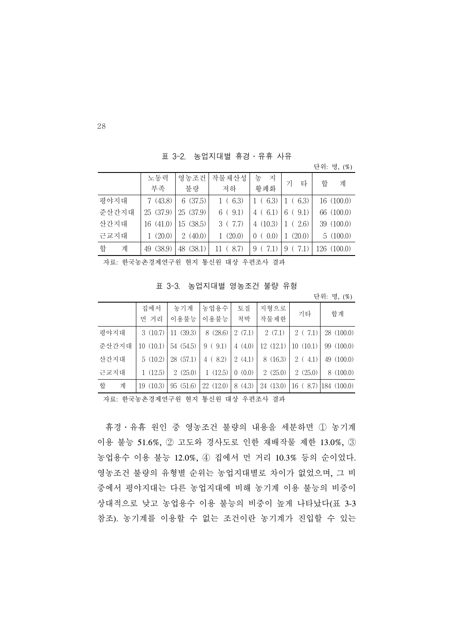표 3-2. 농업지대별 휴경․유휴 사유

| 단위: 명, (%) |  |
|------------|--|

|        | 노동력       | 영농조건      | 작물채산성       | 농<br>지                             | 타<br>기     | 합<br>계      |
|--------|-----------|-----------|-------------|------------------------------------|------------|-------------|
|        | 부족        | 불량        | 저하          | 황폐화                                |            |             |
| 평야지대   | 7(43.8)   | 6(37.5)   | 1(6.3)      | (6.3)                              | 6.3)       | 16(100.0)   |
| 준산간지대  | 25(37.9)  | 25(37.9)  | 6(9.1)      | 6.1)<br>4                          | (9.1)<br>6 | 66 (100.0)  |
| 산간지대   | 16(41.0)  | 15(38.5)  | 3(7.7)      | 4(10.3)                            | (2.6)      | 39 (100.0)  |
| 근교지대   | 1(20.0)   | 2(40.0)   | (20.0)      | (0.0)<br>0                         | (20.0)     | 5(100.0)    |
| 합<br>계 | 49 (38.9) | 48 (38.1) | (8.7)<br>11 | 9                                  | (7.1)<br>9 | 126 (100.0) |
|        |           |           |             | $\sim$ $\sim$ $\sim$ $\sim$ $\sim$ |            |             |

자료: 한국농촌경제연구원 현지 통신원 대상 우편조사 결과

표 3-3. 농업지대별 영농조건 불량 유형

단위: 명, (%)

|        | 집에서<br>먼 거리 | 농기계<br>이용불능 | 농업용수<br>이용불능 | 토질<br>척박                  | 지형으로<br>작물제한 | 기타       | 합계                      |
|--------|-------------|-------------|--------------|---------------------------|--------------|----------|-------------------------|
| 평야지대   | 3(10.7)     | 11(39.3)    | 8(28.6)      | 2(7.1)                    | 2(7.1)       | 2(7.1)   | 28(100.0)               |
| 준산간지대  | 10(10.1)    | 54 (54.5)   | 9(9.1)       | 4(4.0)                    | 12(12.1)     | 10(10.1) | 99 (100.0)              |
| 산간지대   | 5(10.2)     | 28 (57.1)   | 4(8.2)       | 2(4.1)                    | 8(16.3)      | 2(4.1)   | 49 (100.0)              |
| 근교지대   | 1(12.5)     | 2(25.0)     | 1(12.5)      | (0.0)<br>$\left( \right)$ | 2(25.0)      | 2(25.0)  | 8(100.0)                |
| 합<br>계 | 19(10.3)    | 95(51.6)    | 22(12.0)     | 8(4.3)                    | 24(13.0)     |          | $16(8.7)$   184 (100.0) |

자료: 한국농촌경제연구원 현지 통신원 대상 우편조사 결과

 휴경․유휴 원인 중 영농조건 불량의 내용을 세분하면 ① 농기계 이용 불능 51.6%, ② 고도와 경사도로 인한 재배작물 제한 13.0%, ③ 농업용수 이용 불능 12.0%, ④ 집에서 먼 거리 10.3% 등의 순이었다. 영농조건 불량의 유형별 순위는 농업지대별로 차이가 없었으며, 그 비 중에서 평야지대는 다른 농업지대에 비해 농기계 이용 불능의 비중이 상대적으로 낮고 농업용수 이용 불능의 비중이 높게 나타났다(표 3-3 참조). 농기계를 이용할 수 없는 조건이란 농기계가 진입할 수 있는

28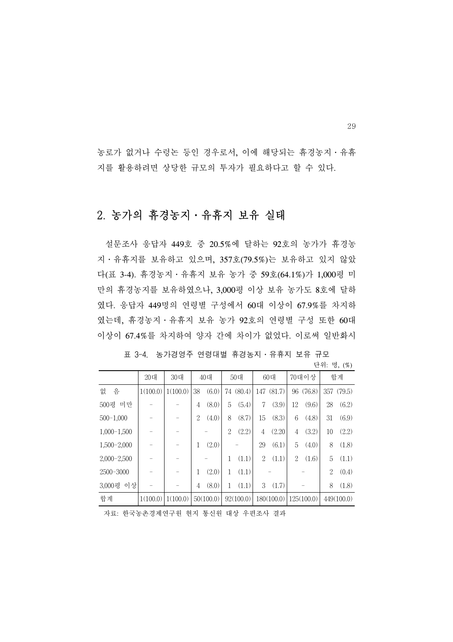농로가 없거나 수렁논 등인 경우로서, 이에 해당되는 휴경농지․유휴 지를 활용하려면 상당한 규모의 투자가 필요하다고 할 수 있다.

## 2. 농가의 휴경농지․유휴지 보유 실태

 설문조사 응답자 449호 중 20.5%에 달하는 92호의 농가가 휴경농 지․유휴지를 보유하고 있으며, 357호(79.5%)는 보유하고 있지 않았 다(표 3-4). 휴경농지․유휴지 보유 농가 중 59호(64.1%)가 1,000평 미 만의 휴경농지를 보유하였으나, 3,000평 이상 보유 농가도 8호에 달하 였다. 응답자 449명의 연령별 구성에서 60대 이상이 67.9%를 차지하 였는데, 휴경농지․유휴지 보유 농가 92호의 연령별 구성 또한 60대 이상이 67.4%를 차지하여 양자 간에 차이가 없었다. 이로써 일반화시

|               | 20대      | 30대      |                | 40대       |    | 50대       |                | 60대        |    | 70대이상      |                | 합계         |
|---------------|----------|----------|----------------|-----------|----|-----------|----------------|------------|----|------------|----------------|------------|
| 없<br>음        | 1(100.0) | 1(100.0) | 38             | (6.0)     | 74 | (80.4)    |                | 147 (81.7) |    | 96 (76.8)  |                | 357 (79.5) |
| 미만<br>500평    |          |          | 4              | (8.0)     | 5  | (5.4)     | 7              | (3.9)      | 12 | (9.6)      | 28             | (6.2)      |
| $500 - 1,000$ |          |          | 2              | (4.0)     | 8  | (8.7)     | 15             | (8.3)      | 6  | (4.8)      | 31             | (6.9)      |
| $1,000-1,500$ |          |          |                |           | 2  | (2.2)     | 4              | (2.20)     | 4  | (3.2)      | 10             | (2.2)      |
| $1,500-2,000$ |          |          | 1              | (2.0)     |    |           | 29             | (6.1)      | 5  | (4.0)      | 8              | (1.8)      |
| $2,000-2,500$ |          |          |                |           | 1  | (1.1)     | $\overline{2}$ | (1.1)      | 2  | (1.6)      | 5              | (1.1)      |
| 2500-3000     |          |          | 1              | (2.0)     | 1  | (1.1)     |                |            |    |            | $\overline{2}$ | (0.4)      |
| 3,000평 이상     |          |          | $\overline{4}$ | (8.0)     | 1  | (1.1)     | 3              | (1.7)      |    |            | 8              | (1.8)      |
| 합계            | 1(100.0) | 1(100.0) |                | 50(100.0) |    | 92(100.0) |                | 180(100.0) |    | 125(100.0) |                | 449(100.0) |

표 3-4. 농가경영주 연령대별 휴경농지․유휴지 보유 규모 단위: 명, (%)

자료: 한국농촌경제연구원 현지 통신원 대상 우편조사 결과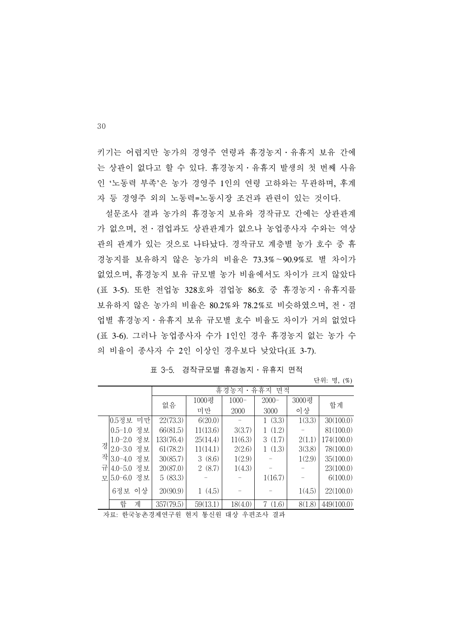키기는 어렵지만 농가의 경영주 연령과 휴경농지․유휴지 보유 간에 는 상관이 없다고 할 수 있다. 휴경농지․유휴지 발생의 첫 번째 사유 인 '노동력 부족'은 농가 경영주 1인의 연령 고하와는 무관하며, 후계 자 등 경영주 외의 노동력=노동시장 조건과 관련이 있는 것이다.

 설문조사 결과 농가의 휴경농지 보유와 경작규모 간에는 상관관계 가 없으며, 전․겸업과도 상관관계가 없으나 농업종사자 수와는 역상 관의 관계가 있는 것으로 나타났다. 경작규모 계층별 농가 호수 중 휴 경농지를 보유하지 않은 농가의 비율은 73.3%∼90.9%로 별 차이가 없었으며, 휴경농지 보유 규모별 농가 비율에서도 차이가 크지 않았다 (표 3-5). 또한 전업농 328호와 겸업농 86호 중 휴경농지․유휴지를 보유하지 않은 농가의 비율은 80.2%와 78.2%로 비슷하였으며, 전․겸 업별 휴경농지․유휴지 보유 규모별 호수 비율도 차이가 거의 없었다 (표 3-6). 그러나 농업종사자 수가 1인인 경우 휴경농지 없는 농가 수 의 비율이 종사자 수 2인 이상인 경우보다 낮았다(표 3-7).

|   |               |    |           |          | 휴경농지     | 유휴지<br>면적   |        |            |
|---|---------------|----|-----------|----------|----------|-------------|--------|------------|
|   |               |    | 없음        | 1000평    | $1000 -$ | $2000 -$    | 3000평  | 합계         |
|   |               |    |           | 미만       | 2000     | 3000        | 이상     |            |
|   | 0.5정보         | 미만 | 22(73.3)  | 6(20.0)  |          | 1(3.3)      | 1(3.3) | 30(100.0)  |
|   | $0.5 - 1.0$   | 정보 | 66(81.5)  | 11(13.6) | 3(3.7)   | 1(1.2)      |        | 81(100.0)  |
|   | 1.0-2.0 정보    |    | 133(76.4) | 25(14.4) | 11(6.3)  | 3(1.7)      | 2(1.1) | 174(100.0) |
| 경 | 2.0-3.0 정보    |    | 61(78.2)  | 11(14.1) | 2(2.6)   | 1(1.3)      | 3(3.8) | 78(100.0)  |
|   | 작 3.0-4.0     | 정보 | 30(85.7)  | 3(8.6)   | 1(2.9)   |             | 1(2.9) | 35(100.0)  |
|   | 규 4.0-5.0 정보  |    | 20(87.0)  | 2(8.7)   | 1(4.3)   |             |        | 23(100.0)  |
|   | 모 $5.0 - 6.0$ | 정보 | 5(83.3)   |          |          | 1(16.7)     |        | 6(100.0)   |
|   | 6정보           | 이상 | 20(90.9)  | 1(4.5)   |          |             | 1(4.5) | 22(100.0)  |
|   | 합             | 계  | 357(79.5) | 59(13.1) | 18(4.0)  | (1.6)<br>7. | 8(1.8) | 449(100.0) |
|   |               |    |           |          |          |             |        |            |

표 3-5. 경작규모별 휴경농지․유휴지 면적

단위: 명, (%)

자료: 한국농촌경제연구원 현지 통신원 대상 우편조사 결과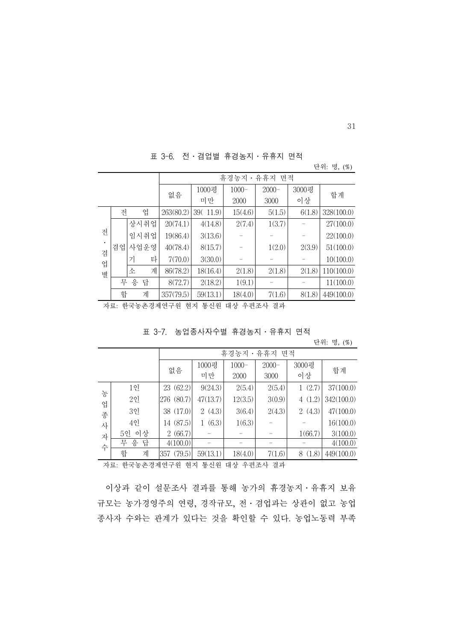표 3-6. 전․겸업별 휴경농지․유휴지 면적

|           |          |                     |           |             |                  |                  |             | 단위: 명, (%) |
|-----------|----------|---------------------|-----------|-------------|------------------|------------------|-------------|------------|
|           |          |                     |           |             | 휴경농지             | • 유휴지<br>면적      |             |            |
|           |          |                     | 없음        | 1000평<br>미만 | $1000 -$<br>2000 | $2000 -$<br>3000 | 3000평<br>이상 | 합계         |
|           | 전        | 업                   | 263(80.2) | 39(11.9)    | 15(4.6)          | 5(1.5)           | 6(1.8)      | 328(100.0) |
|           |          | 상시취업                | 20(74.1)  | 4(14.8)     | 2(7.4)           | 1(3.7)           |             | 27(100.0)  |
| 전         |          | 임시취업                | 19(86.4)  | 3(13.6)     |                  |                  | -           | 22(100.0)  |
| $\bullet$ | 겸업       | 사업운영                | 40(78.4)  | 8(15.7)     |                  | 1(2.0)           | 2(3.9)      | 51(100.0)  |
| 겸<br>업    |          | 타<br>$\overline{z}$ | 7(70.0)   | 3(30.0)     |                  |                  |             | 10(100.0)  |
| 별         |          | 계<br>소              | 86(78.2)  | 18(16.4)    | 2(1.8)           | 2(1.8)           | 2(1.8)      | 110(100.0) |
|           | 응 답<br>무 |                     | 8(72.7)   | 2(18.2)     | 1(9.1)           |                  |             | 11(100.0)  |
|           | 합        | 계                   | 357(79.5) | 59(13.1)    | 18(4.0)          | 7(1.6)           | 8(1.8)      | 449(100.0) |

자료: 한국농촌경제연구원 현지 통신원 대상 우편조사 결과

| 표 3-7. 농업종사자수별 휴경농지ㆍ유휴지 면적 |  |
|----------------------------|--|
|----------------------------|--|

단위: 명, (%)

|   |          | 휴경농지・유휴지<br>면적 |          |          |          |                       |            |
|---|----------|----------------|----------|----------|----------|-----------------------|------------|
|   |          | 없음             | 1000평    | $1000 -$ | $2000 -$ | 3000평                 | 합계         |
|   |          |                | 미만       | 2000     | 3000     | 이상                    |            |
| 농 | 1인       | 23 (62.2)      | 9(24.3)  | 2(5.4)   | 2(5.4)   | (2.7)<br>$\mathbf{1}$ | 37(100.0)  |
| 업 | $2$ 인    | 276 (80.7)     | 47(13.7) | 12(3.5)  | 3(0.9)   | 4(1.2)                | 342(100.0) |
| 종 | 3인       | 38 (17.0)      | 2(4.3)   | 3(6.4)   | 2(4.3)   | 2(4.3)                | 47(100.0)  |
| 사 | 49       | 14 (87.5)      | (6.3)    | 1(6.3)   |          |                       | 16(100.0)  |
| 자 | 5인 이상    | 2(66.7)        |          |          |          | 1(66.7)               | 3(100.0)   |
| 수 | 무 응<br>답 | 4(100.0)       |          |          |          |                       | 4(100.0)   |
|   | 합<br>계   | 357 (79.5)     | 59(13.1) | 18(4.0)  | 7(1.6)   | 8(1.8)                | 449(100.0) |
|   |          |                |          |          |          |                       |            |

자료: 한국농촌경제연구원 현지 통신원 대상 우편조사 결과

 이상과 같이 설문조사 결과를 통해 농가의 휴경농지․유휴지 보유 규모는 농가경영주의 연령, 경작규모, 전․겸업과는 상관이 없고 농업 종사자 수와는 관계가 있다는 것을 확인할 수 있다. 농업노동력 부족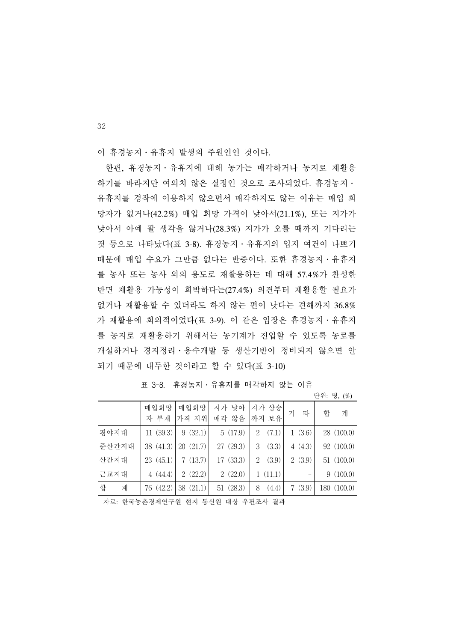이 휴경농지․유휴지 발생의 주원인인 것이다.

 한편, 휴경농지․유휴지에 대해 농가는 매각하거나 농지로 재활용 하기를 바라지만 여의치 않은 실정인 것으로 조사되었다. 휴경농지․ 유휴지를 경작에 이용하지 않으면서 매각하지도 않는 이유는 매입 희 망자가 없거나(42.2%) 매입 희망 가격이 낮아서(21.1%), 또는 지가가 낮아서 아예 팔 생각을 않거나(28.3%) 지가가 오를 때까지 기다리는 것 등으로 나타났다(표 3-8). 휴경농지․유휴지의 입지 여건이 나쁘기 때문에 매입 수요가 그만큼 없다는 반증이다. 또한 휴경농지․유휴지 를 농사 또는 농사 외의 용도로 재활용하는 데 대해 57.4%가 찬성한 반면 재활용 가능성이 희박하다는(27.4%) 의견부터 재활용할 필요가 없거나 재활용할 수 있더라도 하지 않는 편이 낫다는 견해까지 36.8% 가 재활용에 회의적이었다(표 3-9). 이 같은 입장은 휴경농지․유휴지 를 농지로 재활용하기 위해서는 농기계가 진입할 수 있도록 농로를 개설하거나 경지정리․용수개발 등 생산기반이 정비되지 않으면 안 되기 때문에 대두한 것이라고 할 수 있다(표 3-10)

|        |              |               |                |                 |            | 닌지 $\circ$ , $($ /0 $)$ |
|--------|--------------|---------------|----------------|-----------------|------------|-------------------------|
|        | 매입희망<br>자 부재 | 매입희망<br>가격 저위 | 지가 낮아<br>매각 않음 | 지가 상승 <br>까지 보유 | 타<br>기     | 합<br>계                  |
|        |              |               |                |                 |            |                         |
| 평야지대   | 11(39.3)     | 9(32.1)       | 5(17.9)        | (7.1)<br>2      | (3.6)<br>1 | 28(100.0)               |
| 준산간지대  | 38 (41.3)    | 20(21.7)      | 27 (29.3)      | (3.3)<br>3      | 4(4.3)     | 92 (100.0)              |
| 산간지대   | 23(45.1)     | 7(13.7)       | 17 (33.3)      | (3.9)<br>2      | 2(3.9)     | 51(100.0)               |
| 근교지대   | 4(44.4)      | 2(22.2)       | 2(22.0)        | 1(11.1)         |            | 9(100.0)                |
| 합<br>계 | 76 (42.2)    | 38(21.1)      | 51(28.3)       | (4.4)<br>8      | (3.9)<br>7 | 180 (100.0)             |
|        |              |               |                |                 |            |                         |

표 3-8. 휴경농지․유휴지를 매각하지 않는 이유

단위: 명, (%)

자료: 한국농촌경제연구원 현지 통신원 대상 우편조사 결과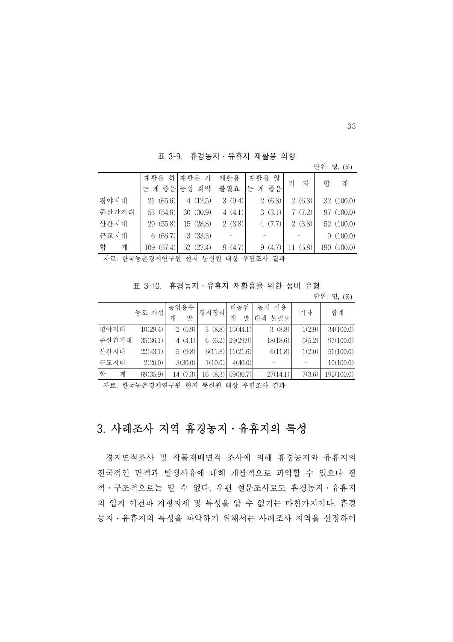표 3-9. 휴경농지․유휴지 재활용 의향

|                 | — UV.<br>- 11 8 8 7 1 1 1 1 1 1 1 1 1 1 2 8 7 1 8 |           |        |                              |             |             |
|-----------------|---------------------------------------------------|-----------|--------|------------------------------|-------------|-------------|
|                 |                                                   |           |        |                              |             | 단위: 명, (%)  |
|                 | 재활용                                               | 하 재활용 가   | 재활용    | 재활용 않                        |             |             |
|                 | 는 게 좋음                                            | 능성 희박     | 불필요    | 게 좋음<br>는                    | 타<br>기      | 합<br>계      |
| 평야지대            | 21(65.6)                                          | 4(12.5)   | 3(9.4) | 2(6.3)                       | 2(6.3)      | 32(100.0)   |
| 준산간지대           | 53 (54.6)                                         | 30(30.9)  | 4(4.1) | 3(3.1)                       | 7(7.2)      | 97 (100.0)  |
| 산간지대            | 29 (55.8)                                         | 15 (28.8) | 2(3.8) | 4(7.7)                       | 2(3.8)      | 52(100.0)   |
| 근교지대            | 6(66.7)                                           | 3(33.3)   |        |                              |             | 9(100.0)    |
| 합<br>계          | 109 (57.4)                                        | 52 (27.4) | 9(4.7) | 9(4.7)                       | (5.8)<br>11 | 190 (100.0) |
| $\neg$ l $\neg$ |                                                   |           |        | 친구는 친척해연구인 칠한 도시인 행사 오염수가 거라 |             |             |

자료: 한국농촌경제연구원 현지 통신원 대상 우편조사 결과

표 3-10. 휴경농지․유휴지 재활용을 위한 정비 유형

단위: 명, (%)

|        | 농로 개설    | 농업용수     | 경지정리     | 비농업                | 농지 이용    | 기타     | 합계         |
|--------|----------|----------|----------|--------------------|----------|--------|------------|
|        |          | 발<br>개   |          | 발<br>개             | 대책 불필요   |        |            |
| 평야지대   | 10(29.4) | 2(5.9)   |          | 3(8.8)   15(44.1)  | 3(8.8)   | 1(2.9) | 34(100.0)  |
| 준산간지대  | 35(36.1) | 4(4.1)   |          | $6(6.2)$ 29(29.9)  | 18(18.6) | 5(5.2) | 97(100.0)  |
| 산간지대   | 22(43.1) | 5(9.8)   |          | $6(11.8)$ 11(21.6) | 6(11.8)  | 1(2.0) | 51(100.0)  |
| 근교지대   | 2(20.0)  | 3(30.0)  | 1(10.0)  | 4(40.0)            |          |        | 10(100.0)  |
| 합<br>계 | 69(35.9) | 14 (7.3) | 16 (8.3) | 59(30.7)           | 27(14.1) | 7(3.6) | 192(100.0) |

자료: 한국농촌경제연구원 현지 통신원 대상 우편조사 결과

# 3. 사례조사 지역 휴경농지․유휴지의 특성

 경지면적조사 및 작물재배면적 조사에 의해 휴경농지와 유휴지의 전국적인 면적과 발생사유에 대해 개괄적으로 파악할 수 있으나 질 적․구조적으로는 알 수 없다. 우편 설문조사로도 휴경농지․유휴지 의 입지 여건과 지형지세 및 특성을 알 수 없기는 마찬가지이다. 휴경 농지․유휴지의 특성을 파악하기 위해서는 사례조사 지역을 선정하여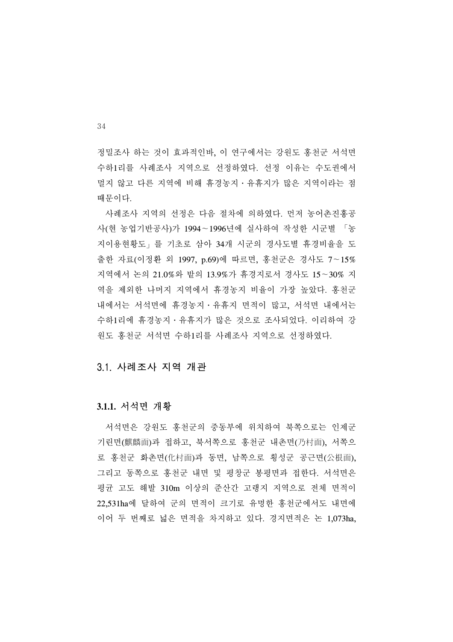정밀조사 하는 것이 효과적인바, 이 연구에서는 강원도 홍천군 서석면 수하1리를 사례조사 지역으로 선정하였다. 선정 이유는 수도권에서 멀지 않고 다른 지역에 비해 휴경농지․유휴지가 많은 지역이라는 점 때문이다.

 사례조사 지역의 선정은 다음 절차에 의하였다. 먼저 농어촌진흥공 사(현 농업기반공사)가 1994∼1996년에 실사하여 작성한 시군별 「농 지이용현황도」를 기초로 삼아 34개 시군의 경사도별 휴경비율을 도 출한 자료(이정환 외 1997, p.69)에 따르면, 홍천군은 경사도 7∼15% 지역에서 논의 21.0%와 밭의 13.9%가 휴경지로서 경사도 15∼30% 지 역을 제외한 나머지 지역에서 휴경농지 비율이 가장 높았다. 홍천군 내에서는 서석면에 휴경농지․유휴지 면적이 많고, 서석면 내에서는 수하1리에 휴경농지․유휴지가 많은 것으로 조사되었다. 이리하여 강 원도 홍천군 서석면 수하1리를 사례조사 지역으로 선정하였다.

#### 3.1. 사례조사 지역 개관

#### **3.1.1.** 서석면 개황

 서석면은 강원도 홍천군의 중동부에 위치하여 북쪽으로는 인제군 기린면(麒麟面)과 접하고, 북서쪽으로 홍천군 내촌면(乃村面), 서쪽으 로 홍천군 화촌면(化村面)과 동면, 남쪽으로 횡성군 공근면(公根面), 그리고 동쪽으로 홍천군 내면 및 평창군 봉평면과 접한다. 서석면은 평균 고도 해발 310m 이상의 준산간 고랭지 지역으로 전체 면적이 22,531ha에 달하여 군의 면적이 크기로 유명한 홍천군에서도 내면에 이어 두 번째로 넓은 면적을 차지하고 있다. 경지면적은 논 1,073ha,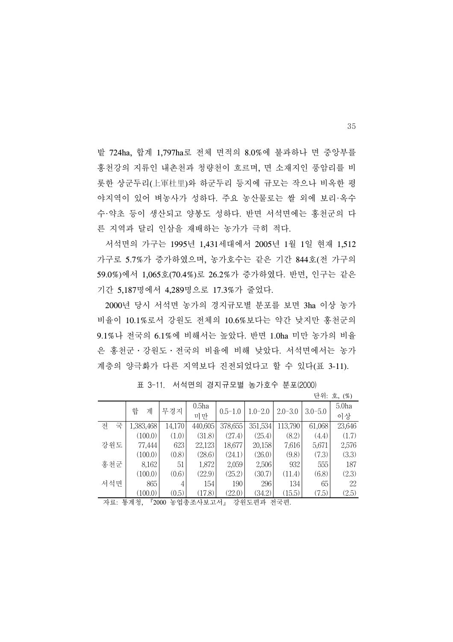밭 724ha, 합계 1,797ha로 전체 면적의 8.0%에 불과하나 면 중앙부를 홍천강의 지류인 내촌천과 청량천이 흐르며, 면 소재지인 풍암리를 비 롯한 상군두리(上軍杜里)와 하군두리 등지에 규모는 작으나 비옥한 평 야지역이 있어 벼농사가 성하다. 주요 농산물로는 쌀 외에 보리·옥수 수·약초 등이 생산되고 양봉도 성하다. 반면 서석면에는 홍천군의 다 른 지역과 달리 인삼을 재배하는 농가가 극히 적다.

 서석면의 가구는 1995년 1,431세대에서 2005년 1월 1일 현재 1,512 가구로 5.7%가 증가하였으며, 농가호수는 같은 기간 844호(전 가구의 59.0%)에서 1,065호(70.4%)로 26.2%가 증가하였다. 반면, 인구는 같은 기간 5,187명에서 4,289명으로 17.3%가 줄었다.

 2000년 당시 서석면 농가의 경지규모별 분포를 보면 3ha 이상 농가 비율이 10.1%로서 강원도 전체의 10.6%보다는 약간 낮지만 홍천군의 9.1%나 전국의 6.1%에 비해서는 높았다. 반면 1.0ha 미만 농가의 비율 은 홍천군․강원도․전국의 비율에 비해 낮았다. 서석면에서는 농가 계층의 양극화가 다른 지역보다 진전되었다고 할 수 있다(표 3-11).

|        |                       |        |                   |             |             |             |             | 단위: 호, (%)        |
|--------|-----------------------|--------|-------------------|-------------|-------------|-------------|-------------|-------------------|
|        | 합<br>계                | 무경지    | 0.5 <sub>ha</sub> | $0.5 - 1.0$ | $1.0 - 2.0$ | $2.0 - 3.0$ | $3.0 - 5.0$ | 5.0 <sub>ha</sub> |
|        |                       |        | 미만                |             |             |             |             | 이상                |
| 전<br>국 | 1,383,468             | 14,170 | 440,605           | 378,655     | 351,534     | 113,790     | 61,068      | 23,646            |
|        | (100.0)               | (1.0)  | (31.8)            | (27.4)      | (25.4)      | (8.2)       | (4.4)       | (1.7)             |
| 강원도    | 77,444                | 623    | 22,123            | 18,677      | 20,158      | 7,616       | 5,671       | 2,576             |
|        | (100.0)               | (0.8)  | (28.6)            | (24.1)      | (26.0)      | (9.8)       | (7.3)       | (3.3)             |
| 홍천군    | 8,162                 | 51     | 1,872             | 2,059       | 2,506       | 932         | 555         | 187               |
|        | (100.0)               | (0.6)  | (22.9)            | (25.2)      | (30.7)      | (11.4)      | (6.8)       | (2.3)             |
| 서석면    | 865                   | 4      | 154               | 190         | 296         | 134         | 65          | 22                |
|        | (100.0)               | (0.5)  | (17.8)            | (22.0)      | (34.2)      | (15.5)      | (7.5)       | (2.5)             |
| 자료:    | 통계청,<br>$\sqrt{2000}$ |        | 농업총조사보고서』         |             | 강원도편과       | 전국편.        |             |                   |

표 3-11. 서석면의 경지규모별 농가호수 분포(2000)

35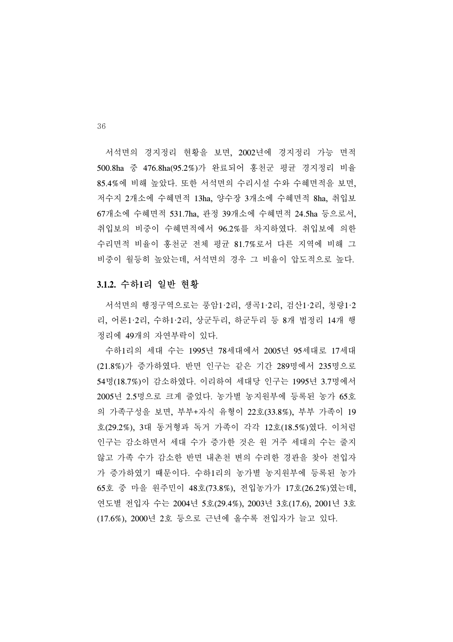서석면의 경지정리 현황을 보면, 2002년에 경지정리 가능 면적 500.8ha 중 476.8ha(95.2%)가 완료되어 홍천군 평균 경지정리 비율 85.4%에 비해 높았다. 또한 서석면의 수리시설 수와 수혜면적을 보면, 저수지 2개소에 수혜면적 13ha, 양수장 3개소에 수혜면적 8ha, 취입보 67개소에 수혜면적 531.7ha, 관정 39개소에 수혜면적 24.5ha 등으로서, 취입보의 비중이 수혜면적에서 96.2%를 차지하였다. 취입보에 의한 수리면적 비율이 홍천군 전체 평균 81.7%로서 다른 지역에 비해 그 비중이 월등히 높았는데, 서석면의 경우 그 비율이 압도적으로 높다.

#### **3.1.2.** 수하**1**리 일반 현황

 서석면의 행정구역으로는 풍암1·2리, 생곡1·2리, 검산1·2리, 청량1·2 리, 어론1·2리, 수하1·2리, 상군두리, 하군두리 등 8개 법정리 14개 행 정리에 49개의 자연부락이 있다.

 수하1리의 세대 수는 1995년 78세대에서 2005년 95세대로 17세대 (21.8%)가 증가하였다. 반면 인구는 같은 기간 289명에서 235명으로 54명(18.7%)이 감소하였다. 이리하여 세대당 인구는 1995년 3.7명에서 2005년 2.5명으로 크게 줄었다. 농가별 농지원부에 등록된 농가 65호 의 가족구성을 보면, 부부+자식 유형이 22호(33.8%), 부부 가족이 19 호(29.2%), 3대 동거형과 독거 가족이 각각 12호(18.5%)였다. 이처럼 인구는 감소하면서 세대 수가 증가한 것은 원 거주 세대의 수는 줄지 않고 가족 수가 감소한 반면 내촌천 변의 수려한 경관을 찾아 전입자 가 증가하였기 때문이다. 수하1리의 농가별 농지원부에 등록된 농가 65호 중 마을 원주민이 48호(73.8%), 전입농가가 17호(26.2%)였는데, 연도별 전입자 수는 2004년 5호(29.4%), 2003년 3호(17.6), 2001년 3호 (17.6%), 2000년 2호 등으로 근년에 올수록 전입자가 늘고 있다.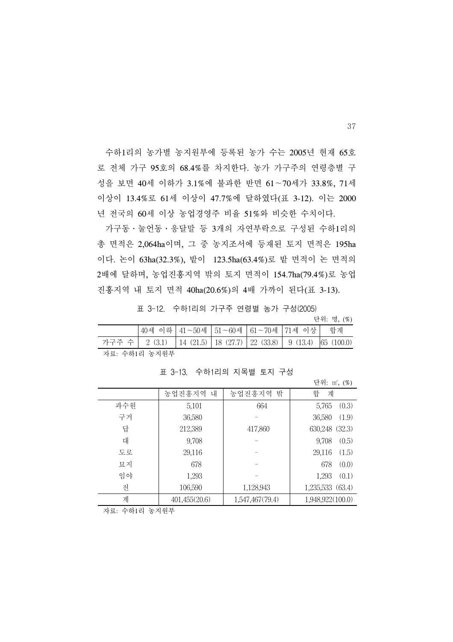수하1리의 농가별 농지원부에 등록된 농가 수는 2005년 현재 65호 로 전체 가구 95호의 68.4%를 차지한다. 농가 가구주의 연령층별 구 성을 보면 40세 이하가 3.1%에 불과한 반면 61∼70세가 33.8%, 71세 이상이 13.4%로 61세 이상이 47.7%에 달하였다(표 3-12). 이는 2000 년 전국의 60세 이상 농업경영주 비율 51%와 비슷한 수치이다.

 가구동․눌언동․응달말 등 3개의 자연부락으로 구성된 수하1리의 총 면적은 2,064ha이며, 그 중 농지조서에 등재된 토지 면적은 195ha 이다. 논이 63ha(32.3%), 밭이 123.5ha(63.4%)로 밭 면적이 논 면적의 2배에 달하며, 농업진흥지역 밖의 토지 면적이 154.7ha(79.4%)로 농업 진흥지역 내 토지 면적 40ha(20.6%)의 4배 가까이 된다(표 3-13).

표 3-12. 수하1리의 가구주 연령별 농가 구성(2005)

단위: 명, (%)

|                                                                        |  |  |  |  | 40세 이하   41∼50세   51∼60세   61∼70세   71세 이상   합계 |  |  |
|------------------------------------------------------------------------|--|--|--|--|-------------------------------------------------|--|--|
| 가구주 수│ 2 (3.1) │ 14 (21.5)│ 18 (27.7)│ 22 (33.8)│ 9 (13.4)│ 65 (100.0) |  |  |  |  |                                                 |  |  |
| -키ㅋ. 스뒤1키 노키이비                                                         |  |  |  |  |                                                 |  |  |

자료: 수하1리 농지원부

표 3-13. 수하1리의 지목별 토지 구성

|     |               |                 | 단위: m2, (%)      |
|-----|---------------|-----------------|------------------|
|     | 농업진흥지역 내      | 농업진흥지역 밖        | 합<br>계           |
| 과수원 | 5,101         | 664             | 5,765<br>(0.3)   |
| 구거  | 36,580        |                 | (1.9)<br>36,580  |
| 답   | 212,389       | 417,860         | 630,248 (32.3)   |
| 대   | 9,708         |                 | (0.5)<br>9,708   |
| 도로  | 29,116        |                 | 29,116<br>(1.5)  |
| 묘지  | 678           |                 | (0.0)<br>678     |
| 임야  | 1,293         |                 | (0.1)<br>1,293   |
| 전   | 106,590       | 1,128,943       | 1,235,533 (63.4) |
| 계   | 401,455(20.6) | 1,547,467(79.4) | 1,948,922(100.0) |

자료: 수하1리 농지원부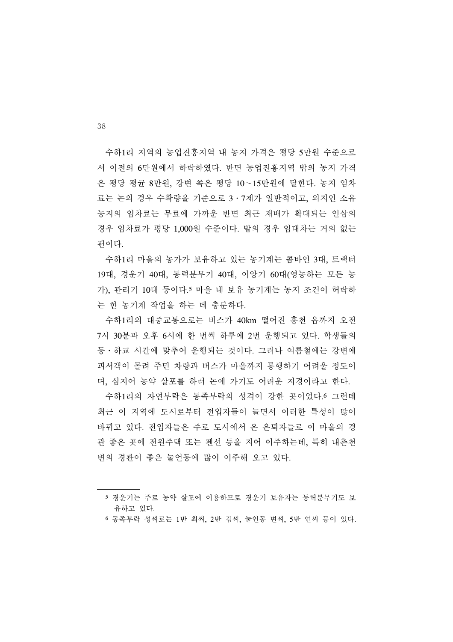수하1리 지역의 농업진흥지역 내 농지 가격은 평당 5만원 수준으로 서 이전의 6만원에서 하락하였다. 반면 농업진흥지역 밖의 농지 가격 은 평당 평균 8만원, 강변 쪽은 평당 10∼15만원에 달한다. 농지 임차 료는 논의 경우 수확량을 기준으로 3․7제가 일반적이고, 외지인 소유 농지의 임차료는 무료에 가까운 반면 최근 재배가 확대되는 인삼의 경우 임차료가 평당 1,000원 수준이다. 밭의 경우 임대차는 거의 없는 편이다.

 수하1리 마을의 농가가 보유하고 있는 농기계는 콤바인 3대, 트랙터 19대, 경운기 40대, 동력분무기 40대, 이앙기 60대(영농하는 모든 농 가), 관리기 10대 등이다.5 마을 내 보유 농기계는 농지 조건이 허락하 는 한 농기계 작업을 하는 데 충분하다.

 수하1리의 대중교통으로는 버스가 40km 떨어진 홍천 읍까지 오전 7시 30분과 오후 6시에 한 번씩 하루에 2번 운행되고 있다. 학생들의 등․하교 시간에 맞추어 운행되는 것이다. 그러나 여름철에는 강변에 피서객이 몰려 주민 차량과 버스가 마을까지 통행하기 어려울 정도이 며, 심지어 농약 살포를 하러 논에 가기도 어려운 지경이라고 한다.

 수하1리의 자연부락은 동족부락의 성격이 강한 곳이었다.6 그런데 최근 이 지역에 도시로부터 전입자들이 늘면서 이러한 특성이 많이 바뀌고 있다. 전입자들은 주로 도시에서 온 은퇴자들로 이 마을의 경 관 좋은 곳에 전원주택 또는 펜션 등을 지어 이주하는데, 특히 내촌천 변의 경관이 좋은 눌언동에 많이 이주해 오고 있다.

<sup>5</sup> 경운기는 주로 농약 살포에 이용하므로 경운기 보유자는 동력분무기도 보 유하고 있다.

<sup>6</sup> 동족부락 성씨로는 1반 최씨, 2반 김씨, 눌언동 변씨, 5반 연씨 등이 있다.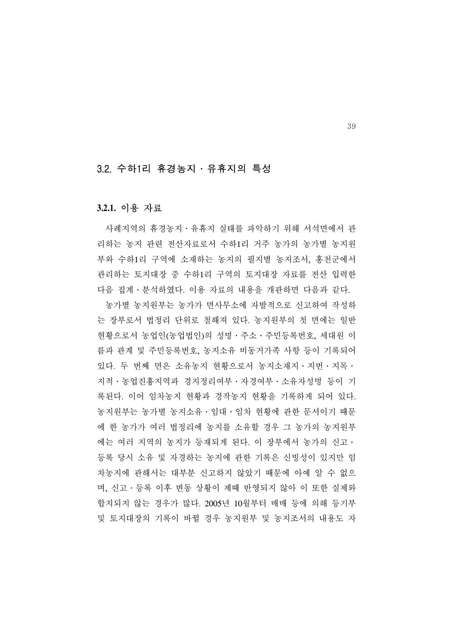#### 3.2. 수하1리 휴경농지․유휴지의 특성

#### **3.2.1.** 이용 자료

 사례지역의 휴경농지․유휴지 실태를 파악하기 위해 서석면에서 관 리하는 농지 관련 전산자료로서 수하1리 거주 농가의 농가별 농지원 부와 수하1리 구역에 소재하는 농지의 필지별 농지조서, 홍천군에서 관리하는 토지대장 중 수하1리 구역의 토지대장 자료를 전산 입력한 다음 집계․분석하였다. 이용 자료의 내용을 개관하면 다음과 같다.

 농가별 농지원부는 농가가 면사무소에 자발적으로 신고하여 작성하 는 장부로서 법정리 단위로 철해져 있다. 농지원부의 첫 면에는 일반 현황으로서 농업인(농업법인)의 성명․주소․주민등록번호, 세대원 이 름과 관계 및 주민등록번호, 농지소유 비동거가족 사항 등이 기록되어 있다. 두 번째 면은 소유농지 현황으로서 농지소재지․지번․지목․ 지적․농업진흥지역과 경지정리여부․자경여부․소유자성명 등이 기 록된다. 이어 임차농지 현황과 경작농지 현황을 기록하게 되어 있다. 농지원부는 농가별 농지소유․임대․임차 현황에 관한 문서이기 때문 에 한 농가가 여러 법정리에 농지를 소유할 경우 그 농가의 농지원부 에는 여러 지역의 농지가 등재되게 된다. 이 장부에서 농가의 신고․ 등록 당시 소유 및 자경하는 농지에 관한 기록은 신빙성이 있지만 임 차농지에 관해서는 대부분 신고하지 않았기 때문에 아예 알 수 없으 며, 신고․등록 이후 변동 상황이 제때 반영되지 않아 이 또한 실제와 합치되지 않는 경우가 많다. 2005년 10월부터 매매 등에 의해 등기부 및 토지대장의 기록이 바뀔 경우 농지원부 및 농지조서의 내용도 자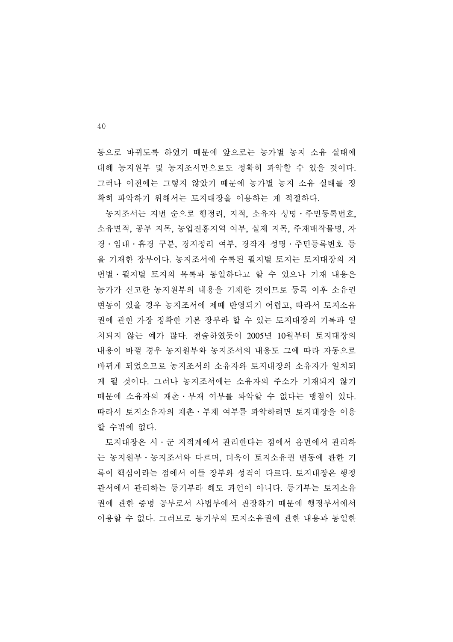동으로 바뀌도록 하였기 때문에 앞으로는 농가별 농지 소유 실태에 대해 농지원부 및 농지조서만으로도 정확히 파악할 수 있을 것이다. 그러나 이전에는 그렇지 않았기 때문에 농가별 농지 소유 실태를 정 확히 파악하기 위해서는 토지대장을 이용하는 게 적절하다.

 농지조서는 지번 순으로 행정리, 지적, 소유자 성명․주민등록번호, 소유면적, 공부 지목, 농업진흥지역 여부, 실제 지목, 주재배작물명, 자 경․임대․휴경 구분, 경지정리 여부, 경작자 성명․주민등록번호 등 을 기재한 장부이다. 농지조서에 수록된 필지별 토지는 토지대장의 지 번별․필지별 토지의 목록과 동일하다고 할 수 있으나 기재 내용은 농가가 신고한 농지원부의 내용을 기재한 것이므로 등록 이후 소유권 변동이 있을 경우 농지조서에 제때 반영되기 어렵고, 따라서 토지소유 권에 관한 가장 정확한 기본 장부라 할 수 있는 토지대장의 기록과 일 치되지 않는 예가 많다. 전술하였듯이 2005년 10월부터 토지대장의 내용이 바뀔 경우 농지원부와 농지조서의 내용도 그에 따라 자동으로 바뀌게 되었으므로 농지조서의 소유자와 토지대장의 소유자가 일치되 게 될 것이다. 그러나 농지조서에는 소유자의 주소가 기재되지 않기 때문에 소유자의 재촌․부재 여부를 파악할 수 없다는 맹점이 있다. 따라서 토지소유자의 재촌․부재 여부를 파악하려면 토지대장을 이용 할 수밖에 없다.

 토지대장은 시․군 지적계에서 관리한다는 점에서 읍면에서 관리하 는 농지원부․농지조서와 다르며, 더욱이 토지소유권 변동에 관한 기 록이 핵심이라는 점에서 이들 장부와 성격이 다르다. 토지대장은 행정 관서에서 관리하는 등기부라 해도 과언이 아니다. 등기부는 토지소유 권에 관한 증명 공부로서 사법부에서 관장하기 때문에 행정부서에서 이용할 수 없다. 그러므로 등기부의 토지소유권에 관한 내용과 동일한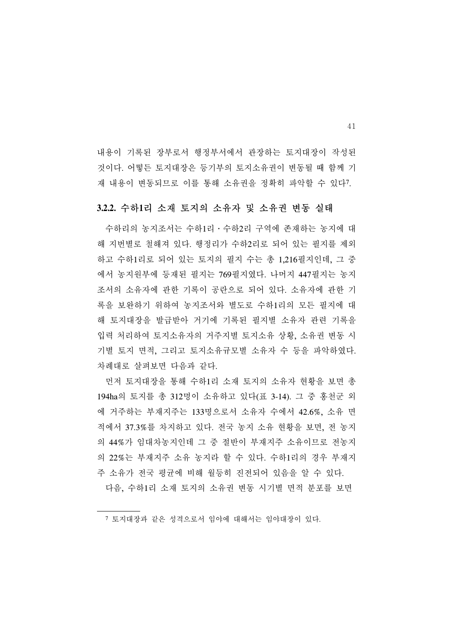내용이 기록된 장부로서 행정부서에서 관장하는 토지대장이 작성된 것이다. 어떻든 토지대장은 등기부의 토지소유권이 변동될 때 함께 기 재 내용이 변동되므로 이를 통해 소유권을 정확히 파악할 수 있다7.

#### **3.2.2.** 수하**1**리 소재 토지의 소유자 및 소유권 변동 실태

 수하리의 농지조서는 수하1리․수하2리 구역에 존재하는 농지에 대 해 지번별로 철해져 있다. 행정리가 수하2리로 되어 있는 필지를 제외 하고 수하1리로 되어 있는 토지의 필지 수는 총 1,216필지인데, 그 중 에서 농지원부에 등재된 필지는 769필지였다. 나머지 447필지는 농지 조서의 소유자에 관한 기록이 공란으로 되어 있다. 소유자에 관한 기 록을 보완하기 위하여 농지조서와 별도로 수하1리의 모든 필지에 대 해 토지대장을 발급받아 거기에 기록된 필지별 소유자 관련 기록을 입력 처리하여 토지소유자의 거주지별 토지소유 상황, 소유권 변동 시 기별 토지 면적, 그리고 토지소유규모별 소유자 수 등을 파악하였다. 차례대로 살펴보면 다음과 같다.

 먼저 토지대장을 통해 수하1리 소재 토지의 소유자 현황을 보면 총 194ha의 토지를 총 312명이 소유하고 있다(표 3-14). 그 중 홍천군 외 에 거주하는 부재지주는 133명으로서 소유자 수에서 42.6%, 소유 면 적에서 37.3%를 차지하고 있다. 전국 농지 소유 현황을 보면, 전 농지 의 44%가 임대차농지인데 그 중 절반이 부재지주 소유이므로 전농지 의 22%는 부재지주 소유 농지라 할 수 있다. 수하1리의 경우 부재지 주 소유가 전국 평균에 비해 월등히 진전되어 있음을 알 수 있다.

다음, 수하1리 소재 토지의 소유권 변동 시기별 면적 분포를 보면

<sup>7</sup> 토지대장과 같은 성격으로서 임야에 대해서는 임야대장이 있다.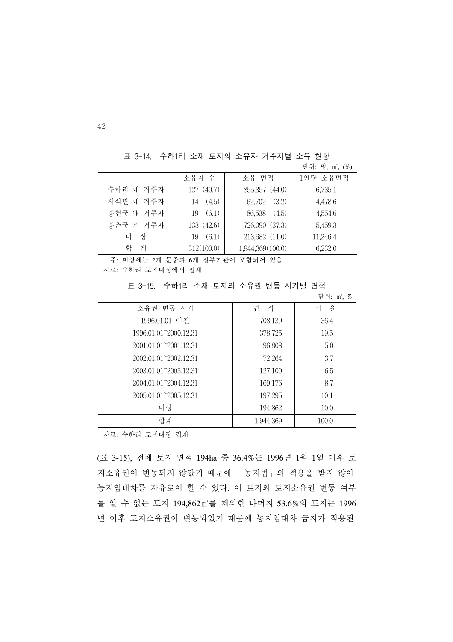표 3-14. 수하1리 소재 토지의 소유자 거주지별 소유 현황

|           |             |                  | 단위: 명, m2, (%) |
|-----------|-------------|------------------|----------------|
|           | 소유자 수       | 소유 면적            | 1인당 소유면적       |
| 수하리 내 거주자 | 127(40.7)   | 855,357 (44.0)   | 6,735.1        |
| 서석면 내 거주자 | 14(4.5)     | (3.2)<br>62,702  | 4,478.6        |
| 홍천군 내 거주자 | (6.1)<br>19 | 86,538<br>(4.5)  | 4,554.6        |
| 홍촌군 외 거주자 | 133 (42.6)  | 726,090 (37.3)   | 5,459.3        |
| 상<br>미    | (6.1)<br>19 | 213,682 (11.0)   | 11,246.4       |
| 합<br>계    | 312(100.0)  | 1,944,369(100.0) | 6,232.0        |

주: 미상에는 2개 문중과 6개 정부기관이 포함되어 있음.

자료: 수하리 토지대장에서 집계

표 3-15. 수하1리 소재 토지의 소유권 변동 시기별 면적

|                                     |           | 단위: m2, % |
|-------------------------------------|-----------|-----------|
| 소유권 변동 시기                           | 면<br>적    | 율<br>비    |
| 1996.01.01 이전                       | 708,139   | 36.4      |
| 1996.01.01~2000.12.31               | 378,725   | 19.5      |
| 2001.01.01 <sup>-2</sup> 2001.12.31 | 96,808    | 5.0       |
| 2002.01.01 <sup>-2</sup> 2002.12.31 | 72,264    | 3.7       |
| 2003.01.01~2003.12.31               | 127,100   | 6.5       |
| 2004.01.01 <sup>-2</sup> 2004.12.31 | 169,176   | 8.7       |
| 2005.01.01 <sup>-2005</sup> .12.31  | 197,295   | 10.1      |
| 미상                                  | 194,862   | 10.0      |
| 함계                                  | 1,944,369 | 100.0     |

자료: 수하리 토지대장 집계

(표 3-15), 전체 토지 면적 194ha 중 36.4%는 1996년 1월 1일 이후 토 지소유권이 변동되지 않았기 때문에 「농지법」의 적용을 받지 않아 농지임대차를 자유로이 할 수 있다. 이 토지와 토지소유권 변동 여부 를 알 수 없는 토지 194,862㎡를 제외한 나머지 53.6%의 토지는 1996 년 이후 토지소유권이 변동되었기 때문에 농지임대차 금지가 적용된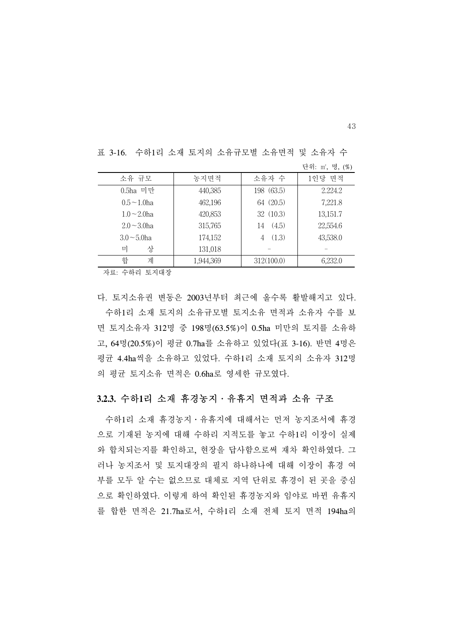| 소유 규모             | 농지면적      | 소유자 수       | 1인당 면적   |
|-------------------|-----------|-------------|----------|
| 0.5ha 미만          | 440,385   | 198 (63.5)  | 2.224.2  |
| $0.5 - 1.0$ ha    | 462,196   | 64 (20.5)   | 7,221.8  |
| $1.0 \sim 2.0$ ha | 420,853   | 32 (10.3)   | 13,151.7 |
| $2.0 - 3.0$ ha    | 315,765   | (4.5)<br>14 | 22,554.6 |
| $3.0 \sim 5.0$ ha | 174,152   | (1.3)<br>4  | 43,538.0 |
| 미<br>상            | 131,018   |             |          |
| 합<br>계            | 1,944,369 | 312(100.0)  | 6,232.0  |

표 3-16. 수하1리 소재 토지의 소유규모별 소유면적 및 소유자 수

자료: 수하리 토지대장

다. 토지소유권 변동은 2003년부터 최근에 올수록 활발해지고 있다. 수하1리 소재 토지의 소유규모별 토지소유 면적과 소유자 수를 보 면 토지소유자 312명 중 198명(63.5%)이 0.5ha 미만의 토지를 소유하 고, 64명(20.5%)이 평균 0.7ha를 소유하고 있었다(표 3-16). 반면 4명은 평균 4.4ha씩을 소유하고 있었다. 수하1리 소재 토지의 소유자 312명 의 평균 토지소유 면적은 0.6ha로 영세한 규모였다.

#### **3.2.3.** 수하**1**리 소재 휴경농지․유휴지 면적과 소유 구조

 수하1리 소재 휴경농지․유휴지에 대해서는 먼저 농지조서에 휴경 으로 기재된 농지에 대해 수하리 지적도를 놓고 수하1리 이장이 실제 와 합치되는지를 확인하고, 현장을 답사함으로써 재차 확인하였다. 그 러나 농지조서 및 토지대장의 필지 하나하나에 대해 이장이 휴경 여 부를 모두 알 수는 없으므로 대체로 지역 단위로 휴경이 된 곳을 중심 으로 확인하였다. 이렇게 하여 확인된 휴경농지와 임야로 바뀐 유휴지 를 합한 면적은 21.7ha로서, 수하1리 소재 전체 토지 면적 194ha의

43

단위: ㎡, 명, (%)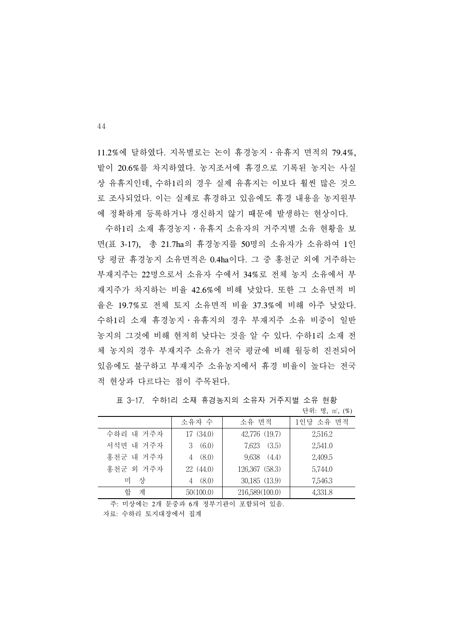11.2%에 달하였다. 지목별로는 논이 휴경농지․유휴지 면적의 79.4%, 밭이 20.6%를 차지하였다. 농지조서에 휴경으로 기록된 농지는 사실 상 유휴지인데, 수하1리의 경우 실제 유휴지는 이보다 훨씬 많은 것으 로 조사되었다. 이는 실제로 휴경하고 있음에도 휴경 내용을 농지원부 에 정확하게 등록하거나 갱신하지 않기 때문에 발생하는 현상이다.

 수하1리 소재 휴경농지․유휴지 소유자의 거주지별 소유 현황을 보 면(표 3-17), 총 21.7ha의 휴경농지를 50명의 소유자가 소유하여 1인 당 평균 휴경농지 소유면적은 0.4ha이다. 그 중 홍천군 외에 거주하는 부재지주는 22명으로서 소유자 수에서 34%로 전체 농지 소유에서 부 재지주가 차지하는 비율 42.6%에 비해 낮았다. 또한 그 소유면적 비 율은 19.7%로 전체 토지 소유면적 비율 37.3%에 비해 아주 낮았다. 수하1리 소재 휴경농지․유휴지의 경우 부재지주 소유 비중이 일반 농지의 그것에 비해 현저히 낮다는 것을 알 수 있다. 수하1리 소재 전 체 농지의 경우 부재지주 소유가 전국 평균에 비해 월등히 진전되어 있음에도 불구하고 부재지주 소유농지에서 휴경 비율이 높다는 전국 적 현상과 다르다는 점이 주목된다.

|           |                        |                 | 단위: 명, m2, (%) |
|-----------|------------------------|-----------------|----------------|
|           | 소유자 수                  | 소유 면적           | 1인당 소유 면적      |
| 수하리 내 거주자 | 17(34.0)               | 42,776 (19.7)   | 2,516.2        |
| 서석면 내 거주자 | (6.0)<br>$\mathcal{S}$ | (3.5)<br>7,623  | 2,541.0        |
| 홍천군 내 거주자 | (8.0)                  | $9,638$ $(4.4)$ | 2,409.5        |
| 홍천군 외 거주자 | 22 (44.0)              | 126,367 (58.3)  | 5,744.0        |
| 상<br>미    | (8.0)                  | 30,185 (13.9)   | 7,546.3        |
| 합<br>계    | 50(100.0)              | 216,589(100.0)  | 4,331.8        |

표 3-17. 수하1리 소재 휴경농지의 소유자 거주지별 소유 현황

주: 미상에는 2개 문중과 6개 정부기관이 포함되어 있음.

자료: 수하리 토지대장에서 집계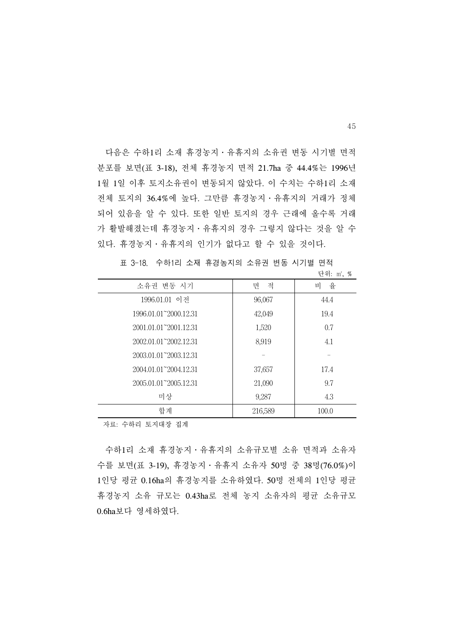다음은 수하1리 소재 휴경농지․유휴지의 소유권 변동 시기별 면적 분포를 보면(표 3-18), 전체 휴경농지 면적 21.7ha 중 44.4%는 1996년 1월 1일 이후 토지소유권이 변동되지 않았다. 이 수치는 수하1리 소재 전체 토지의 36.4%에 높다. 그만큼 휴경농지․유휴지의 거래가 정체 되어 있음을 알 수 있다. 또한 일반 토지의 경우 근래에 올수록 거래 가 활발해졌는데 휴경농지․유휴지의 경우 그렇지 않다는 것을 알 수 있다. 휴경농지․유휴지의 인기가 없다고 할 수 있을 것이다.

|                                     |         | 닌ヿ. !!!, <i>70</i> |
|-------------------------------------|---------|--------------------|
| 소유권 변동 시기                           | 적<br>면  | 율<br>비             |
| 1996.01.01 이전                       | 96,067  | 44.4               |
| 1996.01.01~2000.12.31               | 42,049  | 19.4               |
| 2001.01.01~2001.12.31               | 1,520   | 0.7                |
| 2002.01.01 <sup>-2</sup> 2002.12.31 | 8,919   | 4.1                |
| 2003.01.01~2003.12.31               |         |                    |
| 2004.01.01~2004.12.31               | 37,657  | 17.4               |
| 2005.01.01~2005.12.31               | 21,090  | 9.7                |
| 미상                                  | 9,287   | 4.3                |
| 합계                                  | 216,589 | 100.0              |

표 3-18. 수하1리 소재 휴경농지의 소유권 변동 시기별 면적  $TL01. m<sup>2</sup> \theta$ 

자료: 수하리 토지대장 집계

 수하1리 소재 휴경농지․유휴지의 소유규모별 소유 면적과 소유자 수를 보면(표 3-19), 휴경농지․유휴지 소유자 50명 중 38명(76.0%)이 1인당 평균 0.16ha의 휴경농지를 소유하였다. 50명 전체의 1인당 평균 휴경농지 소유 규모는 0.43ha로 전체 농지 소유자의 평균 소유규모 0.6ha보다 영세하였다.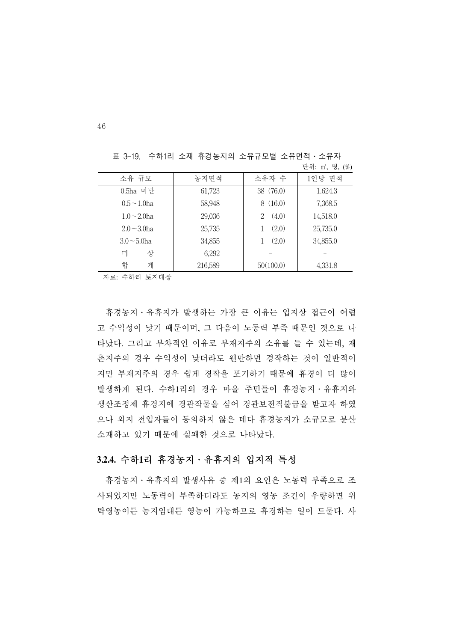| 소유 규모             | 농지면적    | 소유자 수      | 1인당 면적   |  |
|-------------------|---------|------------|----------|--|
| 0.5ha 미만          | 61,723  | 38 (76.0)  | 1.624.3  |  |
| $0.5 \sim 1.0$ ha | 58,948  | 8(16.0)    | 7,368.5  |  |
| $1.0 \sim 2.0$ ha | 29,036  | (4.0)<br>2 | 14,518.0 |  |
| $2.0 - 3.0$ ha    | 25,735  | (2.0)      | 25,735.0 |  |
| $3.0 \sim 5.0$ ha | 34,855  | (2.0)      | 34,855.0 |  |
| 미<br>상            | 6,292   |            |          |  |
| 합<br>계            | 216,589 | 50(100.0)  | 4,331.8  |  |

표 3-19. 수하1리 소재 휴경농지의 소유규모별 소유면적․소유자 단위: ㎡, 명, (%)

자료: 수하리 토지대장

 휴경농지․유휴지가 발생하는 가장 큰 이유는 입지상 접근이 어렵 고 수익성이 낮기 때문이며, 그 다음이 노동력 부족 때문인 것으로 나 타났다. 그리고 부차적인 이유로 부재지주의 소유를 들 수 있는데, 재 촌지주의 경우 수익성이 낮더라도 웬만하면 경작하는 것이 일반적이 지만 부재지주의 경우 쉽게 경작을 포기하기 때문에 휴경이 더 많이 발생하게 된다. 수하1리의 경우 마을 주민들이 휴경농지․유휴지와 생산조정제 휴경지에 경관작물을 심어 경관보전직불금을 받고자 하였 으나 외지 전입자들이 동의하지 않은 데다 휴경농지가 소규모로 분산 소재하고 있기 때문에 실패한 것으로 나타났다.

#### **3.2.4.** 수하**1**리 휴경농지․유휴지의 입지적 특성

 휴경농지․유휴지의 발생사유 중 제1의 요인은 노동력 부족으로 조 사되었지만 노동력이 부족하더라도 농지의 영농 조건이 우량하면 위 탁영농이든 농지임대든 영농이 가능하므로 휴경하는 일이 드물다. 사

46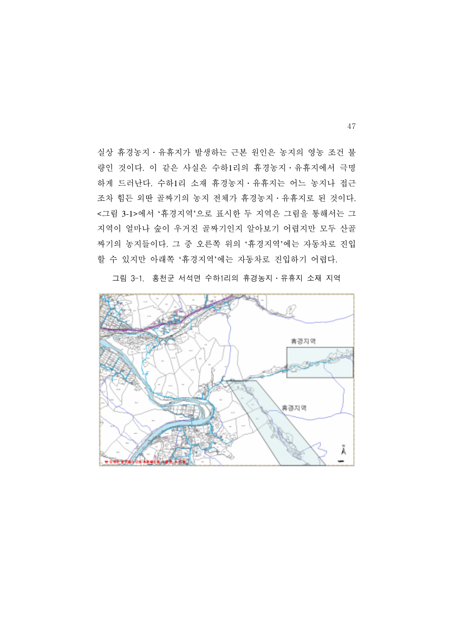실상 휴경농지․유휴지가 발생하는 근본 원인은 농지의 영농 조건 불 량인 것이다. 이 같은 사실은 수하1리의 휴경농지․유휴지에서 극명 하게 드러난다. 수하1리 소재 휴경농지․유휴지는 어느 농지나 접근 조차 힘든 외딴 골짜기의 농지 전체가 휴경농지․유휴지로 된 것이다. <그림 3-1>에서 '휴경지역'으로 표시한 두 지역은 그림을 통해서는 그 지역이 얼마나 숲이 우거진 골짜기인지 알아보기 어렵지만 모두 산골 짜기의 농지들이다. 그 중 오른쪽 위의 '휴경지역'에는 자동차로 진입 할 수 있지만 아래쪽 '휴경지역'에는 자동차로 진입하기 어렵다.



그림 3-1. 홍천군 서석면 수하1리의 휴경농지․유휴지 소재 지역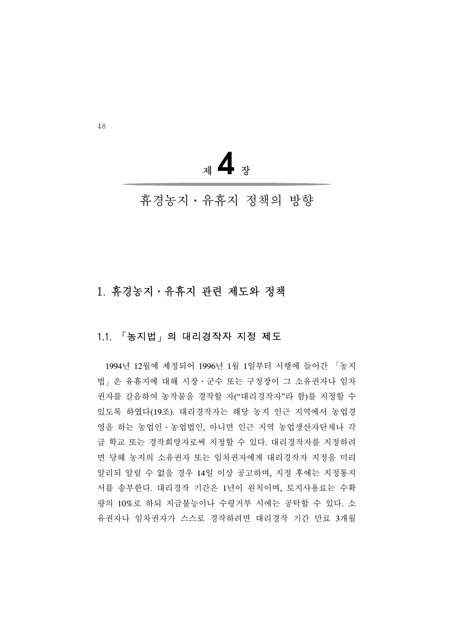<sup>제</sup>**4**<sup>장</sup>

## 휴경농지․유휴지 정책의 방향

## 1. 휴경농지․유휴지 관련 제도와 정책

#### 1.1. 「농지법」의 대리경작자 지정 제도

 1994년 12월에 제정되어 1996년 1월 1일부터 시행에 들어간 「농지 법」은 유휴지에 대해 시장․군수 또는 구청장이 그 소유권자나 임차 권자를 갈음하여 농작물을 경작할 자("대리경작자"라 함)를 지정할 수 있도록 하였다(19조). 대리경작자는 해당 농지 인근 지역에서 농업경 영을 하는 농업인․농업법인, 아니면 인근 지역 농업생산자단체나 각 급 학교 또는 경작희망자로써 지정할 수 있다. 대리경작자를 지정하려 면 당해 농지의 소유권자 또는 임차권자에게 대리경작자 지정을 미리 알리되 알릴 수 없을 경우 14일 이상 공고하며, 지정 후에는 지정통지 서를 송부한다. 대리경작 기간은 1년이 원칙이며, 토지사용료는 수확 량의 10%로 하되 지급불능이나 수령거부 시에는 공탁할 수 있다. 소 유권자나 임차권자가 스스로 경작하려면 대리경작 기간 만료 3개월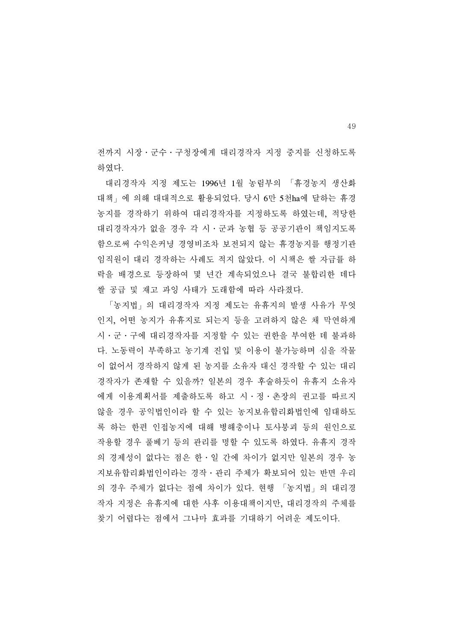전까지 시장․군수․구청장에게 대리경작자 지정 중지를 신청하도록 하였다.

 대리경작자 지정 제도는 1996년 1월 농림부의 「휴경농지 생산화 대책」에 의해 대대적으로 활용되었다. 당시 6만 5천ha에 달하는 휴경 농지를 경작하기 위하여 대리경작자를 지정하도록 하였는데, 적당한 대리경작자가 없을 경우 각 시․군과 농협 등 공공기관이 책임지도록 함으로써 수익은커녕 경영비조차 보전되지 않는 휴경농지를 행정기관 임직원이 대리 경작하는 사례도 적지 않았다. 이 시책은 쌀 자급률 하 락을 배경으로 등장하여 몇 년간 계속되었으나 결국 불합리한 데다 쌀 공급 및 재고 과잉 사태가 도래함에 따라 사라졌다.

 「농지법」의 대리경작자 지정 제도는 유휴지의 발생 사유가 무엇 인지, 어떤 농지가 유휴지로 되는지 등을 고려하지 않은 채 막연하게 시․군․구에 대리경작자를 지정할 수 있는 권한을 부여한 데 불과하 다. 노동력이 부족하고 농기계 진입 및 이용이 불가능하며 심을 작물 이 없어서 경작하지 않게 된 농지를 소유자 대신 경작할 수 있는 대리 경작자가 존재할 수 있을까? 일본의 경우 후술하듯이 유휴지 소유자 에게 이용계획서를 제출하도록 하고 시․정․촌장의 권고를 따르지 않을 경우 공익법인이라 할 수 있는 농지보유합리화법인에 임대하도 록 하는 한편 인접농지에 대해 병해충이나 토사붕괴 등의 원인으로 작용할 경우 풀베기 등의 관리를 명할 수 있도록 하였다. 유휴지 경작 의 경제성이 없다는 점은 한․일 간에 차이가 없지만 일본의 경우 농 지보유합리화법인이라는 경작․관리 주체가 확보되어 있는 반면 우리 의 경우 주체가 없다는 점에 차이가 있다. 현행 「농지법」의 대리경 작자 지정은 유휴지에 대한 사후 이용대책이지만, 대리경작의 주체를 찾기 어렵다는 점에서 그나마 효과를 기대하기 어려운 제도이다.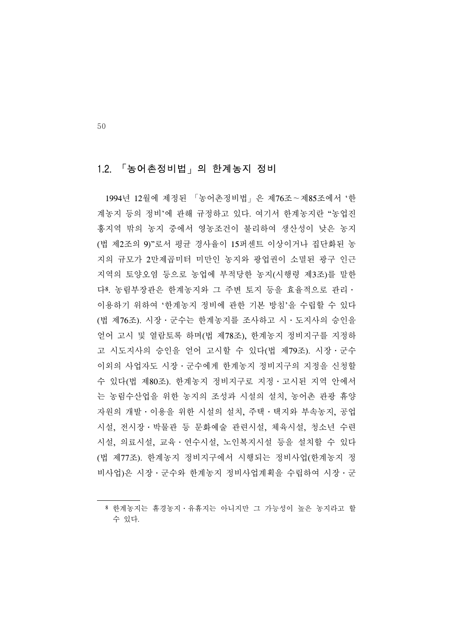#### 1.2. 「농어촌정비법」의 한계농지 정비

 1994년 12월에 제정된 「농어촌정비법」은 제76조∼제85조에서 '한 계농지 등의 정비'에 관해 규정하고 있다. 여기서 한계농지란 "농업진 흥지역 밖의 농지 중에서 영농조건이 불리하여 생산성이 낮은 농지 (법 제2조의 9)"로서 평균 경사율이 15퍼센트 이상이거나 집단화된 농 지의 규모가 2만제곱미터 미만인 농지와 광업권이 소멸된 광구 인근 지역의 토양오염 등으로 농업에 부적당한 농지(시행령 제3조)를 말한 다8. 농림부장관은 한계농지와 그 주변 토지 등을 효율적으로 관리․ 이용하기 위하여 '한계농지 정비에 관한 기본 방침'을 수립할 수 있다 (법 제76조). 시장․군수는 한계농지를 조사하고 시․도지사의 승인을 얻어 고시 및 열람토록 하며(법 제78조), 한계농지 정비지구를 지정하 고 시도지사의 승인을 얻어 고시할 수 있다(법 제79조). 시장․군수 이외의 사업자도 시장․군수에게 한계농지 정비지구의 지정을 신청할 수 있다(법 제80조). 한계농지 정비지구로 지정․고시된 지역 안에서 는 농림수산업을 위한 농지의 조성과 시설의 설치, 농어촌 관광 휴양 자원의 개발․이용을 위한 시설의 설치, 주택․택지와 부속농지, 공업 시설, 전시장․박물관 등 문화예술 관련시설, 체육시설, 청소년 수련 시설, 의료시설, 교육․연수시설, 노인복지시설 등을 설치할 수 있다 (법 제77조). 한계농지 정비지구에서 시행되는 정비사업(한계농지 정 비사업)은 시장․군수와 한계농지 정비사업계획을 수립하여 시장․군

<sup>8</sup> 한계농지는 휴경농지․유휴지는 아니지만 그 가능성이 높은 농지라고 할 수 있다.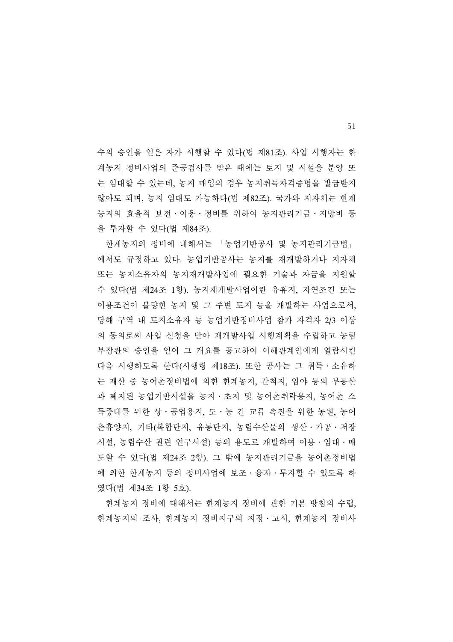수의 승인을 얻은 자가 시행할 수 있다(법 제81조). 사업 시행자는 한 계농지 정비사업의 준공검사를 받은 때에는 토지 및 시설을 분양 또 는 임대할 수 있는데, 농지 매입의 경우 농지취득자격증명을 발급받지 않아도 되며, 농지 임대도 가능하다(법 제82조). 국가와 지자체는 한계 농지의 효율적 보전․이용․정비를 위하여 농지관리기금․지방비 등 을 투자할 수 있다(법 제84조).

 한계농지의 정비에 대해서는 「농업기반공사 및 농지관리기금법」 에서도 규정하고 있다. 농업기반공사는 농지를 재개발하거나 지자체 또는 농지소유자의 농지재개발사업에 필요한 기술과 자금을 지원할 수 있다(법 제24조 1항). 농지재개발사업이란 유휴지, 자연조건 또는 이용조건이 불량한 농지 및 그 주변 토지 등을 개발하는 사업으로서, 당해 구역 내 토지소유자 등 농업기반정비사업 참가 자격자 2/3 이상 의 동의로써 사업 신청을 받아 재개발사업 시행계획을 수립하고 농림 부장관의 승인을 얻어 그 개요를 공고하여 이해관계인에게 열람시킨 다음 시행하도록 한다(시행령 제18조). 또한 공사는 그 취득․소유하 는 재산 중 농어촌정비법에 의한 한계농지, 간척지, 임야 등의 부동산 과 폐지된 농업기반시설을 농지․초지 및 농어촌취락용지, 농어촌 소 득증대를 위한 상․공업용지, 도․농 간 교류 촉진을 위한 농원, 농어 촌휴양지, 기타(복합단지, 유통단지, 농림수산물의 생산․가공․저장 시설, 농림수산 관련 연구시설) 등의 용도로 개발하여 이용․임대․매 도할 수 있다(법 제24조 2항). 그 밖에 농지관리기금을 농어촌정비법 에 의한 한계농지 등의 정비사업에 보조․융자․투자할 수 있도록 하 였다(법 제34조 1항 5호).

 한계농지 정비에 대해서는 한계농지 정비에 관한 기본 방침의 수립, 한계농지의 조사, 한계농지 정비지구의 지정․고시, 한계농지 정비사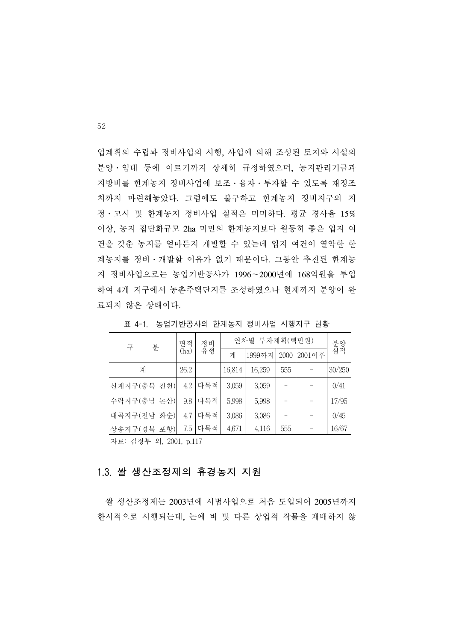업계획의 수립과 정비사업의 시행, 사업에 의해 조성된 토지와 시설의 분양․임대 등에 이르기까지 상세히 규정하였으며, 농지관리기금과 지방비를 한계농지 정비사업에 보조․융자․투자할 수 있도록 재정조 치까지 마련해놓았다. 그럼에도 불구하고 한계농지 정비지구의 지 정․고시 및 한계농지 정비사업 실적은 미미하다. 평균 경사율 15% 이상, 농지 집단화규모 2ha 미만의 한계농지보다 월등히 좋은 입지 여 건을 갖춘 농지를 얼마든지 개발할 수 있는데 입지 여건이 열악한 한 계농지를 정비․개발할 이유가 없기 때문이다. 그동안 추진된 한계농 지 정비사업으로는 농업기반공사가 1996∼2000년에 168억원을 투입 하여 4개 지구에서 농촌주택단지를 조성하였으나 현재까지 분양이 완 료되지 않은 상태이다.

| 분<br>구      | 면적   | 정비<br>유형<br>(ha) | 연차별 투자계획(백만원) |        |      | 분양<br>실적 |        |
|-------------|------|------------------|---------------|--------|------|----------|--------|
|             |      |                  | 계             | 1999까지 | 2000 | 2001이후   |        |
| 계           | 26.2 |                  | 16,814        | 16,259 | 555  |          | 30/250 |
| 신계지구(충북 진천) | 4.2  | 다목적              | 3,059         | 3,059  |      |          | 0/41   |
| 수락지구(충남 논산) | 9.8  | 다목적              | 5,998         | 5,998  |      |          | 17/95  |
| 대곡지구(전남 화순) | 4.7  | 다목적              | 3,086         | 3,086  |      |          | 0/45   |
| 상송지구(경북 포항) | 7.5  | 다목적              | 4,671         | 4,116  | 555  |          | 16/67  |

표 4-1. 농업기반공사의 한계농지 정비사업 시행지구 현황

자료: 김정부 외, 2001, p.117

#### 1.3. 쌀 생산조정제의 휴경농지 지원

 쌀 생산조정제는 2003년에 시범사업으로 처음 도입되어 2005년까지 한시적으로 시행되는데, 논에 벼 및 다른 상업적 작물을 재배하지 않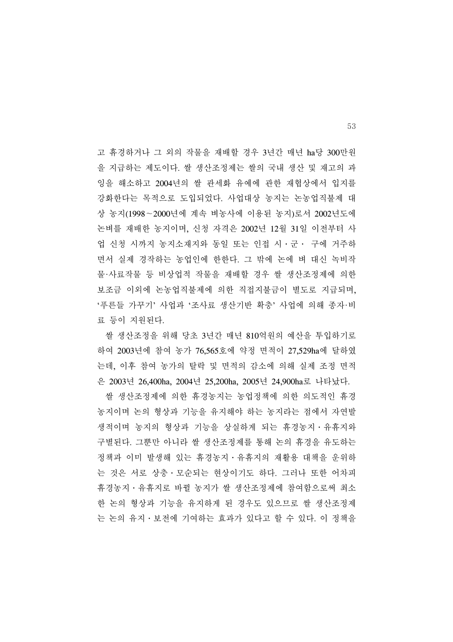고 휴경하거나 그 외의 작물을 재배할 경우 3년간 매년 ha당 300만원 을 지급하는 제도이다. 쌀 생산조정제는 쌀의 국내 생산 및 재고의 과 잉을 해소하고 2004년의 쌀 관세화 유예에 관한 재협상에서 입지를 강화한다는 목적으로 도입되었다. 사업대상 농지는 논농업직불제 대 상 농지(1998∼2000년에 계속 벼농사에 이용된 농지)로서 2002년도에 논벼를 재배한 농지이며, 신청 자격은 2002년 12월 31일 이전부터 사 업 신청 시까지 농지소재지와 동일 또는 인접 시․군․ 구에 거주하 면서 실제 경작하는 농업인에 한한다. 그 밖에 논에 벼 대신 녹비작 물·사료작물 등 비상업적 작물을 재배할 경우 쌀 생산조정제에 의한 보조금 이외에 논농업직불제에 의한 직접지불금이 별도로 지급되며, '푸른들 가꾸기' 사업과 '조사료 생산기반 확충' 사업에 의해 종자·비 료 등이 지원된다.

 쌀 생산조정을 위해 당초 3년간 매년 810억원의 예산을 투입하기로 하여 2003년에 참여 농가 76,565호에 약정 면적이 27,529ha에 달하였 는데, 이후 참여 농가의 탈락 및 면적의 감소에 의해 실제 조정 면적 은 2003년 26,400ha, 2004년 25,200ha, 2005년 24,900ha로 나타났다.

 쌀 생산조정제에 의한 휴경농지는 농업정책에 의한 의도적인 휴경 농지이며 논의 형상과 기능을 유지해야 하는 농지라는 점에서 자연발 생적이며 농지의 형상과 기능을 상실하게 되는 휴경농지․유휴지와 구별된다. 그뿐만 아니라 쌀 생산조정제를 통해 논의 휴경을 유도하는 정책과 이미 발생해 있는 휴경농지․유휴지의 재활용 대책을 운위하 는 것은 서로 상충․모순되는 현상이기도 하다. 그러나 또한 어차피 휴경농지․유휴지로 바뀔 농지가 쌀 생산조정제에 참여함으로써 최소 한 논의 형상과 기능을 유지하게 된 경우도 있으므로 쌀 생산조정제 는 논의 유지․보전에 기여하는 효과가 있다고 할 수 있다. 이 정책을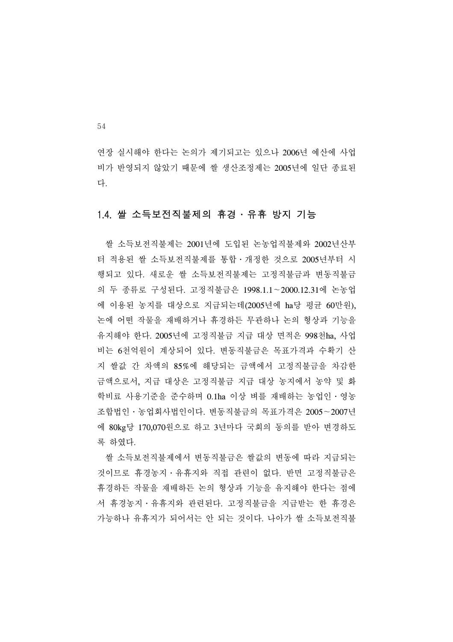연장 실시해야 한다는 논의가 제기되고는 있으나 2006년 예산에 사업 비가 반영되지 않았기 때문에 쌀 생산조정제는 2005년에 일단 종료된 다.

#### 1.4. 쌀 소득보전직불제의 휴경․유휴 방지 기능

 쌀 소득보전직불제는 2001년에 도입된 논농업직불제와 2002년산부 터 적용된 쌀 소득보전직불제를 통합․개정한 것으로 2005년부터 시 행되고 있다. 새로운 쌀 소득보전직불제는 고정직불금과 변동직불금 의 두 종류로 구성된다. 고정직불금은 1998.1.1∼2000.12.31에 논농업 에 이용된 농지를 대상으로 지급되는데(2005년에 ha당 평균 60만원), 논에 어떤 작물을 재배하거나 휴경하든 무관하나 논의 형상과 기능을 유지해야 한다. 2005년에 고정직불금 지급 대상 면적은 998천ha, 사업 비는 6천억원이 계상되어 있다. 변동직불금은 목표가격과 수확기 산 지 쌀값 간 차액의 85%에 해당되는 금액에서 고정직불금을 차감한 금액으로서, 지급 대상은 고정직불금 지급 대상 농지에서 농약 및 화 학비료 사용기준을 준수하며 0.1ha 이상 벼를 재배하는 농업인․영농 조합법인․농업회사법인이다. 변동직불금의 목표가격은 2005∼2007년 에 80kg당 170,070원으로 하고 3년마다 국회의 동의를 받아 변경하도 록 하였다.

 쌀 소득보전직불제에서 변동직불금은 쌀값의 변동에 따라 지급되는 것이므로 휴경농지․유휴지와 직접 관련이 없다. 반면 고정직불금은 휴경하든 작물을 재배하든 논의 형상과 기능을 유지해야 한다는 점에 서 휴경농지․유휴지와 관련된다. 고정직불금을 지급받는 한 휴경은 가능하나 유휴지가 되어서는 안 되는 것이다. 나아가 쌀 소득보전직불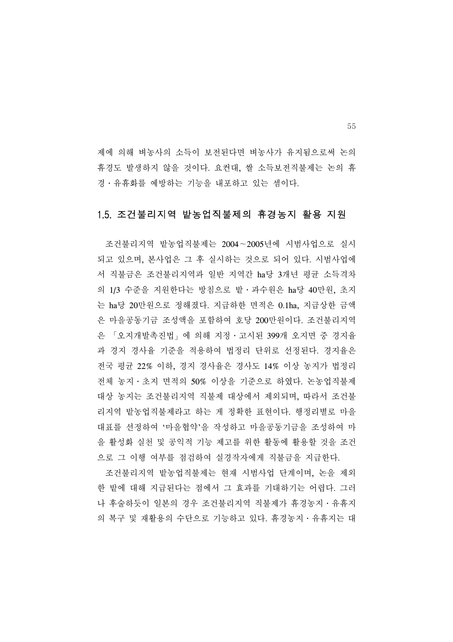제에 의해 벼농사의 소득이 보전된다면 벼농사가 유지됨으로써 논의 휴경도 발생하지 않을 것이다. 요컨대, 쌀 소득보전직불제는 논의 휴 경․유휴화를 예방하는 기능을 내포하고 있는 셈이다.

#### 1.5. 조건불리지역 밭농업직불제의 휴경농지 활용 지원

 조건불리지역 밭농업직불제는 2004∼2005년에 시범사업으로 실시 되고 있으며, 본사업은 그 후 실시하는 것으로 되어 있다. 시범사업에 서 직불금은 조건불리지역과 일반 지역간 ha당 3개년 평균 소득격차 의 1/3 수준을 지원한다는 방침으로 밭․과수원은 ha당 40만원, 초지 는 ha당 20만원으로 정해졌다. 지급하한 면적은 0.1ha, 지급상한 금액 은 마을공동기금 조성액을 포함하여 호당 200만원이다. 조건불리지역 은 「오지개발촉진법」에 의해 지정․고시된 399개 오지면 중 경지율 과 경지 경사율 기준을 적용하여 법정리 단위로 선정된다. 경지율은 전국 평균 22% 이하, 경지 경사율은 경사도 14% 이상 농지가 법정리 전체 농지․초지 면적의 50% 이상을 기준으로 하였다. 논농업직불제 대상 농지는 조건불리지역 직불제 대상에서 제외되며, 따라서 조건불 리지역 밭농업직불제라고 하는 게 정확한 표현이다. 행정리별로 마을 대표를 선정하여 '마을협약'을 작성하고 마을공동기금을 조성하여 마 을 활성화 실천 및 공익적 기능 제고를 위한 활동에 활용할 것을 조건 으로 그 이행 여부를 점검하여 실경작자에게 직불금을 지급한다.

 조건불리지역 밭농업직불제는 현재 시범사업 단계이며, 논을 제외 한 밭에 대해 지급된다는 점에서 그 효과를 기대하기는 어렵다. 그러 나 후술하듯이 일본의 경우 조건불리지역 직불제가 휴경농지․유휴지 의 복구 및 재활용의 수단으로 기능하고 있다. 휴경농지․유휴지는 대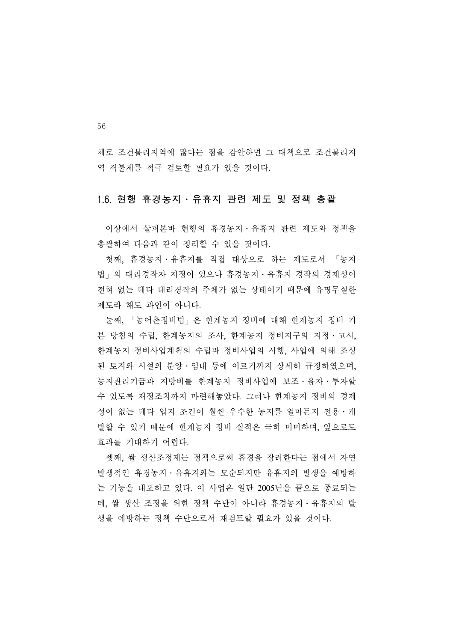체로 조건불리지역에 많다는 점을 감안하면 그 대책으로 조건불리지 역 직불제를 적극 검토할 필요가 있을 것이다.

#### 1.6. 현행 휴경농지․유휴지 관련 제도 및 정책 총괄

 이상에서 살펴본바 현행의 휴경농지․유휴지 관련 제도와 정책을 총괄하여 다음과 같이 정리할 수 있을 것이다.

 첫째, 휴경농지․유휴지를 직접 대상으로 하는 제도로서 「농지 법」의 대리경작자 지정이 있으나 휴경농지․유휴지 경작의 경제성이 전혀 없는 데다 대리경작의 주체가 없는 상태이기 때문에 유명무실한 제도라 해도 과언이 아니다.

 둘째, 「농어촌정비법」은 한계농지 정비에 대해 한계농지 정비 기 본 방침의 수립, 한계농지의 조사, 한계농지 정비지구의 지정․고시, 한계농지 정비사업계획의 수립과 정비사업의 시행, 사업에 의해 조성 된 토지와 시설의 분양․임대 등에 이르기까지 상세히 규정하였으며, 농지관리기금과 지방비를 한계농지 정비사업에 보조․융자․투자할 수 있도록 재정조치까지 마련해놓았다. 그러나 한계농지 정비의 경제 성이 없는 데다 입지 조건이 훨씬 우수한 농지를 얼마든지 전용․개 발할 수 있기 때문에 한계농지 정비 실적은 극히 미미하며, 앞으로도 효과를 기대하기 어렵다.

 셋째, 쌀 생산조정제는 정책으로써 휴경을 장려한다는 점에서 자연 발생적인 휴경농지․유휴지와는 모순되지만 유휴지의 발생을 예방하 는 기능을 내포하고 있다. 이 사업은 일단 2005년을 끝으로 종료되는 데, 쌀 생산 조정을 위한 정책 수단이 아니라 휴경농지․유휴지의 발 생을 예방하는 정책 수단으로서 재검토할 필요가 있을 것이다.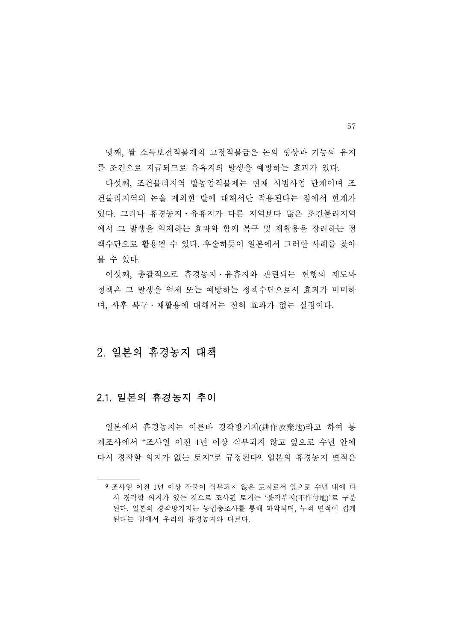넷째, 쌀 소득보전직불제의 고정직불금은 논의 형상과 기능의 유지 를 조건으로 지급되므로 유휴지의 발생을 예방하는 효과가 있다.

 다섯째, 조건불리지역 밭농업직불제는 현재 시범사업 단계이며 조 건불리지역의 논을 제외한 밭에 대해서만 적용된다는 점에서 한계가 있다. 그러나 휴경농지․유휴지가 다른 지역보다 많은 조건불리지역 에서 그 발생을 억제하는 효과와 함께 복구 및 재활용을 장려하는 정 책수단으로 활용될 수 있다. 후술하듯이 일본에서 그러한 사례를 찾아 볼 수 있다.

 여섯째, 총괄적으로 휴경농지․유휴지와 관련되는 현행의 제도와 정책은 그 발생을 억제 또는 예방하는 정책수단으로서 효과가 미미하 며, 사후 복구․재활용에 대해서는 전혀 효과가 없는 실정이다.

### 2. 일본의 휴경농지 대책

#### 2.1. 일본의 휴경농지 추이

 일본에서 휴경농지는 이른바 경작방기지(耕作放棄地)라고 하여 통 계조사에서 "조사일 이전 1년 이상 식부되지 않고 앞으로 수년 안에 다시 경작할 의지가 없는 토지"로 규정된다9. 일본의 휴경농지 면적은

<sup>9</sup> 조사일 이전 1년 이상 작물이 식부되지 않은 토지로서 앞으로 수년 내에 다 시 경작할 의지가 있는 것으로 조사된 토지는 '불작부지(不作付地)'로 구분 된다. 일본의 경작방기지는 농업총조사를 통해 파악되며, 누적 면적이 집계 된다는 점에서 우리의 휴경농지와 다르다.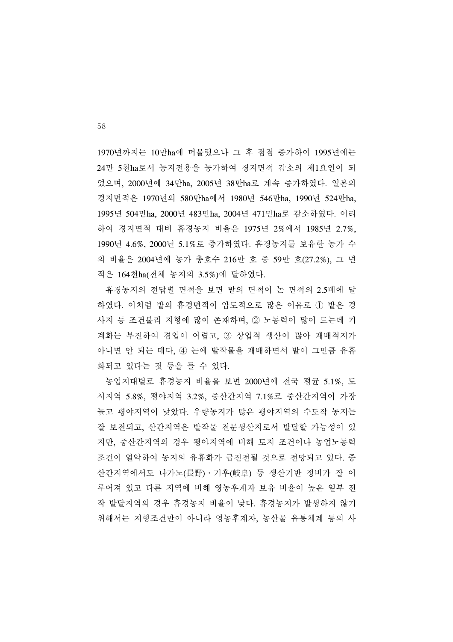1970년까지는 10만ha에 머물렀으나 그 후 점점 증가하여 1995년에는 24만 5천ha로서 농지전용을 능가하여 경지면적 감소의 제1요인이 되 었으며, 2000년에 34만ha, 2005년 38만ha로 계속 증가하였다. 일본의 경지면적은 1970년의 580만ha에서 1980년 546만ha, 1990년 524만ha, 1995년 504만ha, 2000년 483만ha, 2004년 471만ha로 감소하였다. 이리 하여 경지면적 대비 휴경농지 비율은 1975년 2%에서 1985년 2.7%, 1990년 4.6%, 2000년 5.1%로 증가하였다. 휴경농지를 보유한 농가 수 의 비율은 2004년에 농가 총호수 216만 호 중 59만 호(27.2%), 그 면 적은 164천ha(전체 농지의 3.5%)에 달하였다.

 휴경농지의 전답별 면적을 보면 밭의 면적이 논 면적의 2.5배에 달 하였다. 이처럼 밭의 휴경면적이 압도적으로 많은 이유로 ① 밭은 경 사지 등 조건불리 지형에 많이 존재하며, ② 노동력이 많이 드는데 기 계화는 부진하여 겸업이 어렵고, ③ 상업적 생산이 많아 재배적지가 아니면 안 되는 데다, ④ 논에 밭작물을 재배하면서 밭이 그만큼 유휴 화되고 있다는 것 등을 들 수 있다.

 농업지대별로 휴경농지 비율을 보면 2000년에 전국 평균 5.1%, 도 시지역 5.8%, 평야지역 3.2%, 중산간지역 7.1%로 중산간지역이 가장 높고 평야지역이 낮았다. 우량농지가 많은 평야지역의 수도작 농지는 잘 보전되고, 산간지역은 밭작물 전문생산지로서 발달할 가능성이 있 지만, 중산간지역의 경우 평야지역에 비해 토지 조건이나 농업노동력 조건이 열악하여 농지의 유휴화가 급진전될 것으로 전망되고 있다. 중 산간지역에서도 나가노(長野)․기후(岐阜) 등 생산기반 정비가 잘 이 루어져 있고 다른 지역에 비해 영농후계자 보유 비율이 높은 일부 전 작 발달지역의 경우 휴경농지 비율이 낮다. 휴경농지가 발생하지 않기 위해서는 지형조건만이 아니라 영농후계자, 농산물 유통체계 등의 사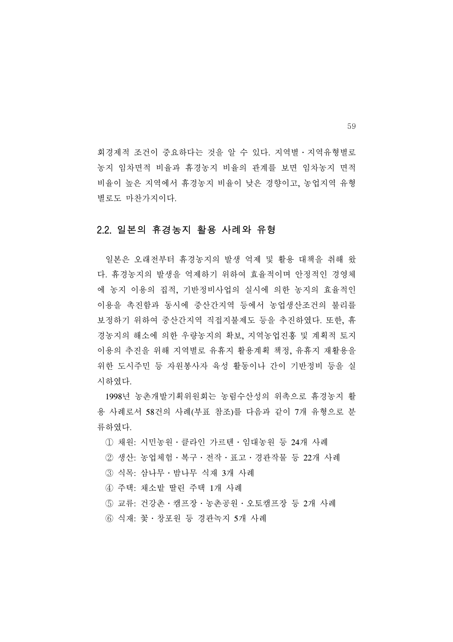회경제적 조건이 중요하다는 것을 알 수 있다. 지역별․지역유형별로 농지 임차면적 비율과 휴경농지 비율의 관계를 보면 임차농지 면적 비율이 높은 지역에서 휴경농지 비율이 낮은 경향이고, 농업지역 유형 별로도 마찬가지이다.

#### 2.2. 일본의 휴경농지 활용 사례와 유형

 일본은 오래전부터 휴경농지의 발생 억제 및 활용 대책을 취해 왔 다. 휴경농지의 발생을 억제하기 위하여 효율적이며 안정적인 경영체 에 농지 이용의 집적, 기반정비사업의 실시에 의한 농지의 효율적인 이용을 촉진함과 동시에 중산간지역 등에서 농업생산조건의 불리를 보정하기 위하여 중산간지역 직접지불제도 등을 추진하였다. 또한, 휴 경농지의 해소에 의한 우량농지의 확보, 지역농업진흥 및 계획적 토지 이용의 추진을 위해 지역별로 유휴지 활용계획 책정, 유휴지 재활용을 위한 도시주민 등 자원봉사자 육성 활동이나 간이 기반정비 등을 실 시하였다.

 1998년 농촌개발기획위원회는 농림수산성의 위촉으로 휴경농지 활 용 사례로서 58건의 사례(부표 참조)를 다음과 같이 7개 유형으로 분 류하였다.

① 채원: 시민농원․클라인 가르텐․임대농원 등 24개 사례

- ② 생산: 농업체험․복구․전작․표고․경관작물 등 22개 사례
- ③ 식목: 삼나무․밤나무 식재 3개 사례
- ④ 주택: 채소밭 딸린 주택 1개 사례
- ⑤ 교류: 건강촌․캠프장․농촌공원․오토캠프장 등 2개 사례

⑥ 식재: 꽃․창포원 등 경관녹지 5개 사례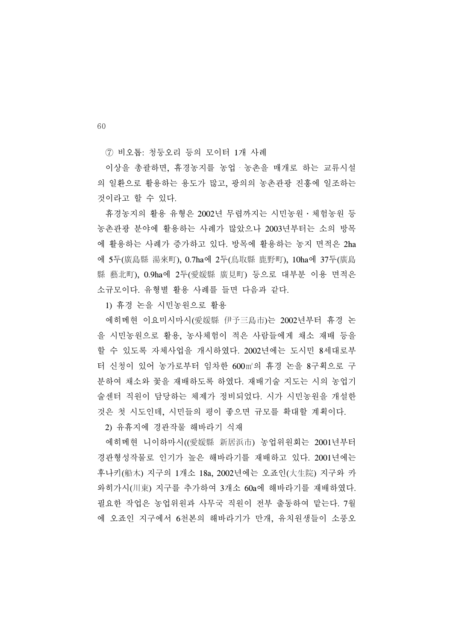⑦ 비오톱: 청둥오리 등의 모이터 1개 사례

 이상을 총괄하면, 휴경농지를 농업・농촌을 매개로 하는 교류시설 의 일환으로 활용하는 용도가 많고, 광의의 농촌관광 진흥에 일조하는 것이라고 할 수 있다.

 휴경농지의 활용 유형은 2002년 무렵까지는 시민농원․체험농원 등 농촌관광 분야에 활용하는 사례가 많았으나 2003년부터는 소의 방목 에 활용하는 사례가 증가하고 있다. 방목에 활용하는 농지 면적은 2ha 에 5두(廣島縣 湯來町), 0.7ha에 2두(鳥取縣 鹿野町), 10ha에 37두(廣島 縣 藝北町), 0.9ha에 2두(愛媛縣 廣見町) 등으로 대부분 이용 면적은 소규모이다. 유형별 활용 사례를 들면 다음과 같다.

1) 휴경 논을 시민농원으로 활용

 에히메현 이요미시마시(愛媛縣 伊予三島市)는 2002년부터 휴경 논 을 시민농원으로 활용, 농사체험이 적은 사람들에게 채소 재배 등을 할 수 있도록 자체사업을 개시하였다. 2002년에는 도시민 8세대로부 터 신청이 있어 농가로부터 임차한 600㎡의 휴경 논을 8구획으로 구 분하여 채소와 꽃을 재배하도록 하였다. 재배기술 지도는 시의 농업기 술센터 직원이 담당하는 체제가 정비되었다. 시가 시민농원을 개설한 것은 첫 시도인데, 시민들의 평이 좋으면 규모를 확대할 계획이다.

2) 유휴지에 경관작물 해바라기 식재

 에히메현 니이하마시((愛媛縣 新居浜市) 농업위원회는 2001년부터 경관형성작물로 인기가 높은 해바라기를 재배하고 있다. 2001년에는 후나키(船木) 지구의 1개소 18a, 2002년에는 오죠인(大生院) 지구와 카 와히가시(川東) 지구를 추가하여 3개소 60a에 해바라기를 재배하였다. 필요한 작업은 농업위원과 사무국 직원이 전부 출동하여 맡는다. 7월 에 오죠인 지구에서 6천본의 해바라기가 만개, 유치원생들이 소풍오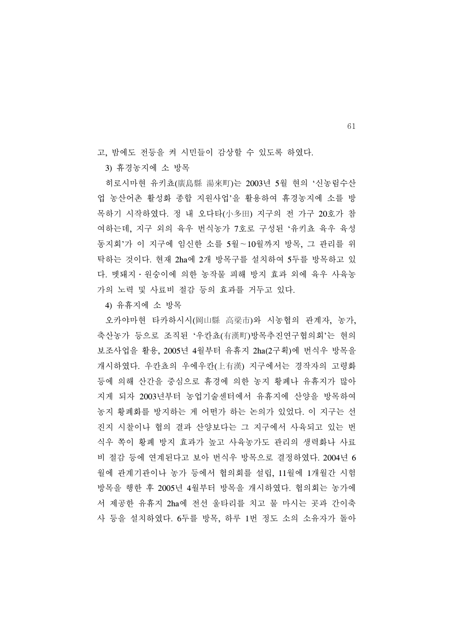고, 밤에도 전등을 켜 시민들이 감상할 수 있도록 하였다.

3) 휴경농지에 소 방목

 히로시마현 유키쵸(廣島縣 湯來町)는 2003년 5월 현의 '신농림수산 업 농산어촌 활성화 종합 지원사업'을 활용하여 휴경농지에 소를 방 목하기 시작하였다. 정 내 오다타(小多田) 지구의 전 가구 20호가 참 여하는데, 지구 외의 육우 번식농가 7호로 구성된 '유키쵸 육우 육성 동지회'가 이 지구에 임신한 소를 5월∼10월까지 방목, 그 관리를 위 탁하는 것이다. 현재 2ha에 2개 방목구를 설치하여 5두를 방목하고 있 다. 멧돼지․원숭이에 의한 농작물 피해 방지 효과 외에 육우 사육농 가의 노력 및 사료비 절감 등의 효과를 거두고 있다.

4) 유휴지에 소 방목

 오카야마현 타카하시시(岡山縣 高梁市)와 시농협의 관계자, 농가, 축산농가 등으로 조직된 '우칸쵸(有漢町)방목추진연구협의회'는 현의 보조사업을 활용, 2005년 4월부터 유휴지 2ha(2구획)에 번식우 방목을 개시하였다. 우칸쵸의 우에우칸(上有漢) 지구에서는 경작자의 고령화 등에 의해 산간을 중심으로 휴경에 의한 농지 황폐나 유휴지가 많아 지게 되자 2003년부터 농업기술센터에서 유휴지에 산양을 방목하여 농지 황폐화를 방지하는 게 어떤가 하는 논의가 있었다. 이 지구는 선 진지 시찰이나 협의 결과 산양보다는 그 지구에서 사육되고 있는 번 식우 쪽이 황폐 방지 효과가 높고 사육농가도 관리의 생력화나 사료 비 절감 등에 연계된다고 보아 번식우 방목으로 결정하였다. 2004년 6 월에 관계기관이나 농가 등에서 협의회를 설립, 11월에 1개월간 시험 방목을 행한 후 2005년 4월부터 방목을 개시하였다. 협의회는 농가에 서 제공한 유휴지 2ha에 전선 울타리를 치고 물 마시는 곳과 간이축 사 등을 설치하였다. 6두를 방목, 하루 1번 정도 소의 소유자가 돌아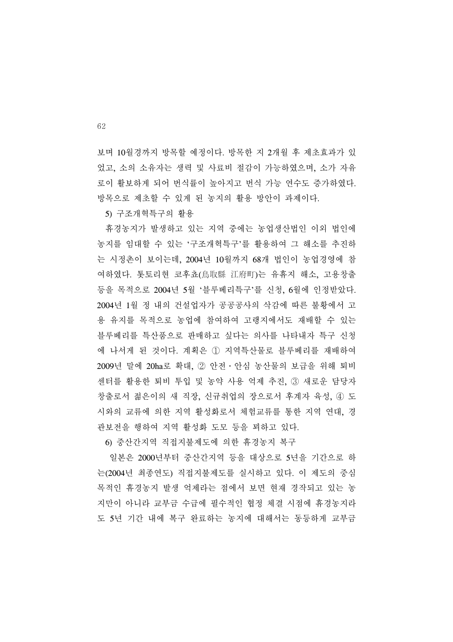보며 10월경까지 방목할 예정이다. 방목한 지 2개월 후 제초효과가 있 었고, 소의 소유자는 생력 및 사료비 절감이 가능하였으며, 소가 자유 로이 활보하게 되어 번식률이 높아지고 번식 가능 연수도 증가하였다. 방목으로 제초할 수 있게 된 농지의 활용 방안이 과제이다.

5) 구조개혁특구의 활용

 휴경농지가 발생하고 있는 지역 중에는 농업생산법인 이외 법인에 농지를 임대할 수 있는 '구조개혁특구'를 활용하여 그 해소를 추진하 는 시정촌이 보이는데, 2004년 10월까지 68개 법인이 농업경영에 참 여하였다. 톳토리현 코후쵸(鳥取縣 江府町)는 유휴지 해소, 고용창출 등을 목적으로 2004년 5월 '블루베리특구'를 신청, 6월에 인정받았다. 2004년 1월 정 내의 건설업자가 공공공사의 삭감에 따른 불황에서 고 용 유지를 목적으로 농업에 참여하여 고랭지에서도 재배할 수 있는 블루베리를 특산품으로 판매하고 싶다는 의사를 나타내자 특구 신청 에 나서게 된 것이다. 계획은 ① 지역특산물로 블루베리를 재배하여 2009년 말에 20ha로 확대, ② 안전․안심 농산물의 보급을 위해 퇴비 센터를 활용한 퇴비 투입 및 농약 사용 억제 추진, ③ 새로운 담당자 창출로서 젊은이의 새 직장, 신규취업의 장으로서 후계자 육성, ④ 도 시와의 교류에 의한 지역 활성화로서 체험교류를 통한 지역 연대, 경 관보전을 행하여 지역 활성화 도모 등을 꾀하고 있다.

6) 중산간지역 직접지불제도에 의한 휴경농지 복구

 일본은 2000년부터 중산간지역 등을 대상으로 5년을 기간으로 하 는(2004년 최종연도) 직접지불제도를 실시하고 있다. 이 제도의 중심 목적인 휴경농지 발생 억제라는 점에서 보면 현재 경작되고 있는 농 지만이 아니라 교부금 수급에 필수적인 협정 체결 시점에 휴경농지라 도 5년 기간 내에 복구 완료하는 농지에 대해서는 동등하게 교부금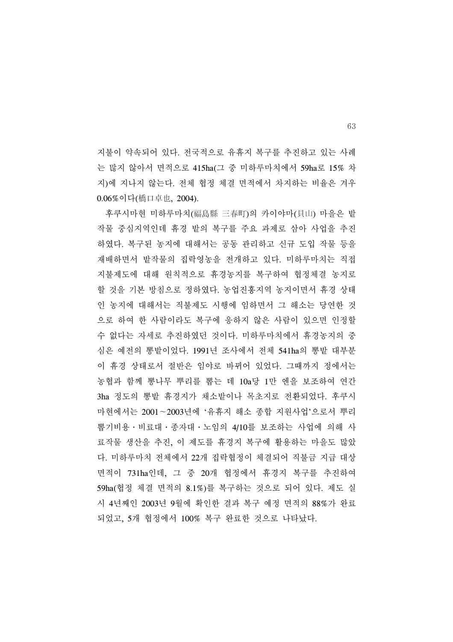지불이 약속되어 있다. 전국적으로 유휴지 복구를 추진하고 있는 사례 는 많지 않아서 면적으로 415ha(그 중 미하루마치에서 59ha로 15% 차 지)에 지나지 않는다. 전체 협정 체결 면적에서 차지하는 비율은 겨우 0.06%이다(橋口卓也, 2004).

 후쿠시마현 미하루마치(福島縣 三春町)의 카이야마(貝山) 마을은 밭 작물 중심지역인데 휴경 밭의 복구를 주요 과제로 삼아 사업을 추진 하였다. 복구된 농지에 대해서는 공동 관리하고 신규 도입 작물 등을 재배하면서 밭작물의 집락영농을 전개하고 있다. 미하루마치는 직접 지불제도에 대해 원칙적으로 휴경농지를 복구하여 협정체결 농지로 할 것을 기본 방침으로 정하였다. 농업진흥지역 농지이면서 휴경 상태 인 농지에 대해서는 직불제도 시행에 임하면서 그 해소는 당연한 것 으로 하여 한 사람이라도 복구에 응하지 않은 사람이 있으면 인정할 수 없다는 자세로 추진하였던 것이다. 미하루마치에서 휴경농지의 중 심은 예전의 뽕밭이었다. 1991년 조사에서 전체 541ha의 뽕밭 대부분 이 휴경 상태로서 절반은 임야로 바뀌어 있었다. 그때까지 정에서는 농협과 함께 뽕나무 뿌리를 뽑는 데 10a당 1만 엔을 보조하여 연간 3ha 정도의 뽕밭 휴경지가 채소밭이나 목초지로 전환되었다. 후쿠시 마현에서는 2001∼2003년에 '유휴지 해소 종합 지원사업'으로서 뿌리 뽑기비용 • 비료대 • 종자대 • 노임의 4/10를 보조하는 사업에 의해 사 료작물 생산을 추진, 이 제도를 휴경지 복구에 활용하는 마을도 많았 다. 미하루마치 전체에서 22개 집락협정이 체결되어 직불금 지급 대상 면적이 731ha인데, 그 중 20개 협정에서 휴경지 복구를 추진하여 59ha(협정 체결 면적의 8.1%)를 복구하는 것으로 되어 있다. 제도 실 시 4년째인 2003년 9월에 확인한 결과 복구 예정 면적의 88%가 완료 되었고, 5개 협정에서 100% 복구 완료한 것으로 나타났다.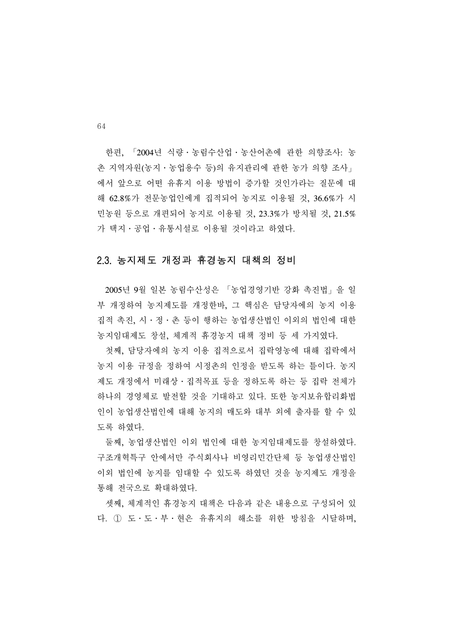한편, 「2004년 식량․농림수산업․농산어촌에 관한 의향조사: 농 촌 지역자원(농지․농업용수 등)의 유지관리에 관한 농가 의향 조사」 에서 앞으로 어떤 유휴지 이용 방법이 증가할 것인가라는 질문에 대 해 62.8%가 전문농업인에게 집적되어 농지로 이용될 것, 36.6%가 시 민농원 등으로 개편되어 농지로 이용될 것, 23.3%가 방치될 것, 21.5% 가 택지․공업․유통시설로 이용될 것이라고 하였다.

#### 2.3. 농지제도 개정과 휴경농지 대책의 정비

 2005년 9월 일본 농림수산성은 「농업경영기반 강화 촉진법」을 일 부 개정하여 농지제도를 개정한바, 그 핵심은 담당자에의 농지 이용 집적 촉진, 시․정․촌 등이 행하는 농업생산법인 이외의 법인에 대한 농지임대제도 창설, 체계적 휴경농지 대책 정비 등 세 가지였다.

 첫째, 담당자에의 농지 이용 집적으로서 집락영농에 대해 집락에서 농지 이용 규정을 정하여 시정촌의 인정을 받도록 하는 틀이다. 농지 제도 개정에서 미래상․집적목표 등을 정하도록 하는 등 집락 전체가 하나의 경영체로 발전할 것을 기대하고 있다. 또한 농지보유합리화법 인이 농업생산법인에 대해 농지의 매도와 대부 외에 출자를 할 수 있 도록 하였다.

 둘째, 농업생산법인 이외 법인에 대한 농지임대제도를 창설하였다. 구조개혁특구 안에서만 주식회사나 비영리민간단체 등 농업생산법인 이외 법인에 농지를 임대할 수 있도록 하였던 것을 농지제도 개정을 통해 전국으로 확대하였다.

 셋째, 체계적인 휴경농지 대책은 다음과 같은 내용으로 구성되어 있 다. ① 도․도․부․현은 유휴지의 해소를 위한 방침을 시달하며,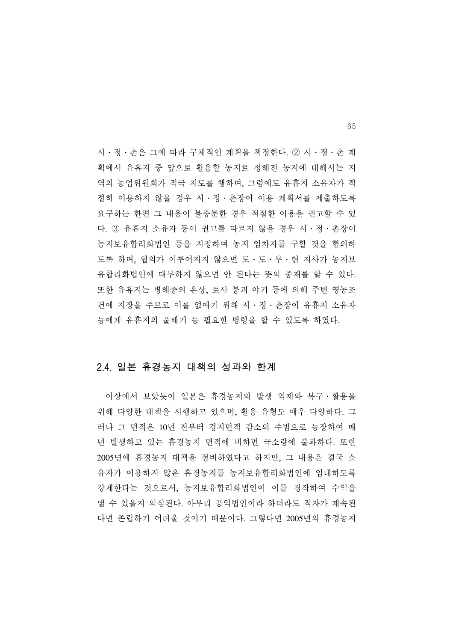시․정․촌은 그에 따라 구체적인 계획을 책정한다. ② 시․정․촌 계 획에서 유휴지 중 앞으로 활용할 농지로 정해진 농지에 대해서는 지 역의 농업위원회가 적극 지도를 행하며, 그럼에도 유휴지 소유자가 적 절히 이용하지 않을 경우 시․정․촌장이 이용 계획서를 제출하도록 요구하는 한편 그 내용이 불충분한 경우 적절한 이용을 권고할 수 있 다. ③ 유휴지 소유자 등이 권고를 따르지 않을 경우 시․정․촌장이 농지보유합리화법인 등을 지정하여 농지 임차자를 구할 것을 협의하 도록 하며, 협의가 이루어지지 않으면 도․도․부․현 지사가 농지보 유합리화법인에 대부하지 않으면 안 된다는 뜻의 중재를 할 수 있다. 또한 유휴지는 병해충의 온상, 토사 붕괴 야기 등에 의해 주변 영농조 건에 지장을 주므로 이를 없애기 위해 시․정․촌장이 유휴지 소유자 등에게 유휴지의 풀베기 등 필요한 명령을 할 수 있도록 하였다.

#### 2.4. 일본 휴경농지 대책의 성과와 한계

 이상에서 보았듯이 일본은 휴경농지의 발생 억제와 복구․활용을 위해 다양한 대책을 시행하고 있으며, 활용 유형도 매우 다양하다. 그 러나 그 면적은 10년 전부터 경지면적 감소의 주범으로 등장하여 매 년 발생하고 있는 휴경농지 면적에 비하면 극소량에 불과하다. 또한 2005년에 휴경농지 대책을 정비하였다고 하지만, 그 내용은 결국 소 유자가 이용하지 않은 휴경농지를 농지보유합리화법인에 임대하도록 강제한다는 것으로서, 농지보유합리화법인이 이를 경작하여 수익을 낼 수 있을지 의심된다. 아무리 공익법인이라 하더라도 적자가 계속된 다면 존립하기 어려울 것이기 때문이다. 그렇다면 2005년의 휴경농지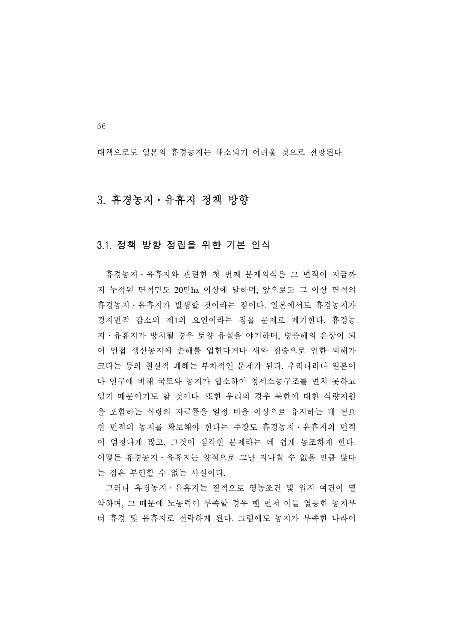대책으로도 일본의 휴경농지는 해소되기 어려울 것으로 전망된다.

### 3. 휴경농지․유휴지 정책 방향

#### 3.1. 정책 방향 정립을 위한 기본 인식

 휴경농지․유휴지와 관련한 첫 번째 문제의식은 그 면적이 지금까 지 누적된 면적만도 20만ha 이상에 달하며, 앞으로도 그 이상 면적의 휴경농지․유휴지가 발생할 것이라는 점이다. 일본에서도 휴경농지가 경지면적 감소의 제1의 요인이라는 점을 문제로 제기한다. 휴경농 지․유휴지가 방치될 경우 토양 유실을 야기하며, 병충해의 온상이 되 어 인접 생산농지에 손해를 입힌다거나 새와 짐승으로 인한 피해가 크다는 등의 현실적 폐해는 부차적인 문제가 된다. 우리나라나 일본이 나 인구에 비해 국토와 농지가 협소하여 영세소농구조를 면치 못하고 있기 때문이기도 할 것이다. 또한 우리의 경우 북한에 대한 식량지원 을 포함하는 식량의 자급률을 일정 비율 이상으로 유지하는 데 필요 한 면적의 농지를 확보해야 한다는 주장도 휴경농지․유휴지의 면적 이 엄청나게 많고, 그것이 심각한 문제라는 데 쉽게 동조하게 한다. 어떻든 휴경농지․유휴지는 양적으로 그냥 지나칠 수 없을 만큼 많다 는 점은 부인할 수 없는 사실이다.

 그러나 휴경농지․유휴지는 질적으로 영농조건 및 입지 여건이 열 악하며, 그 때문에 노동력이 부족할 경우 맨 먼저 이들 열등한 농지부 터 휴경 및 유휴지로 전락하게 된다. 그럼에도 농지가 부족한 나라이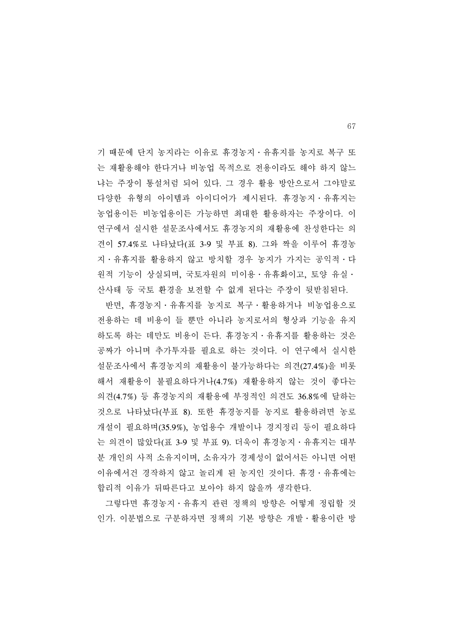기 때문에 단지 농지라는 이유로 휴경농지․유휴지를 농지로 복구 또 는 재활용해야 한다거나 비농업 목적으로 전용이라도 해야 하지 않느 냐는 주장이 통설처럼 되어 있다. 그 경우 활용 방안으로서 그야말로 다양한 유형의 아이템과 아이디어가 제시된다. 휴경농지․유휴지는 농업용이든 비농업용이든 가능하면 최대한 활용하자는 주장이다. 이 연구에서 실시한 설문조사에서도 휴경농지의 재활용에 찬성한다는 의 견이 57.4%로 나타났다(표 3-9 및 부표 8). 그와 짝을 이루어 휴경농 지․유휴지를 활용하지 않고 방치할 경우 농지가 가지는 공익적․다 원적 기능이 상실되며, 국토자원의 미이용․유휴화이고, 토양 유실․ 산사태 등 국토 환경을 보전할 수 없게 된다는 주장이 뒷받침된다.

 반면, 휴경농지․유휴지를 농지로 복구․활용하거나 비농업용으로 전용하는 데 비용이 들 뿐만 아니라 농지로서의 형상과 기능을 유지 하도록 하는 데만도 비용이 든다. 휴경농지․유휴지를 활용하는 것은 공짜가 아니며 추가투자를 필요로 하는 것이다. 이 연구에서 실시한 설문조사에서 휴경농지의 재활용이 불가능하다는 의견(27.4%)을 비롯 해서 재활용이 불필요하다거나(4.7%) 재활용하지 않는 것이 좋다는 의견(4.7%) 등 휴경농지의 재활용에 부정적인 의견도 36.8%에 달하는 것으로 나타났다(부표 8). 또한 휴경농지를 농지로 활용하려면 농로 개설이 필요하며(35.9%), 농업용수 개발이나 경지정리 등이 필요하다 는 의견이 많았다(표 3-9 및 부표 9). 더욱이 휴경농지․유휴지는 대부 분 개인의 사적 소유지이며, 소유자가 경제성이 없어서든 아니면 어떤 이유에서건 경작하지 않고 놀리게 된 농지인 것이다. 휴경․유휴에는 합리적 이유가 뒤따른다고 보아야 하지 않을까 생각한다.

 그렇다면 휴경농지․유휴지 관련 정책의 방향은 어떻게 정립할 것 인가. 이분법으로 구분하자면 정책의 기본 방향은 개발․활용이란 방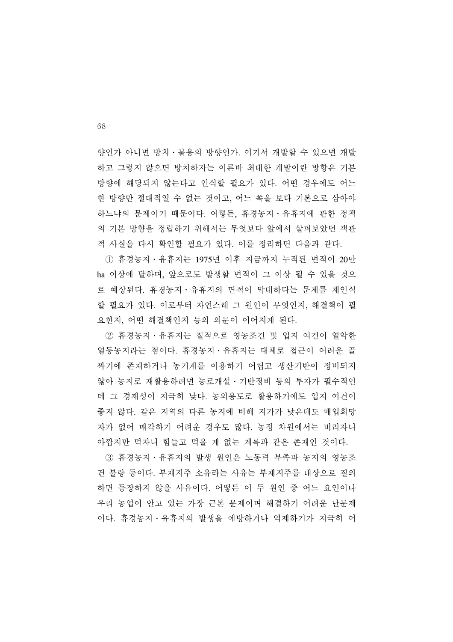향인가 아니면 방치․불용의 방향인가. 여기서 개발할 수 있으면 개발 하고 그렇지 않으면 방치하자는 이른바 최대한 개발이란 방향은 기본 방향에 해당되지 않는다고 인식할 필요가 있다. 어떤 경우에도 어느 한 방향만 절대적일 수 없는 것이고, 어느 쪽을 보다 기본으로 삼아야 하느냐의 문제이기 때문이다. 어떻든, 휴경농지․유휴지에 관한 정책 의 기본 방향을 정립하기 위해서는 무엇보다 앞에서 살펴보았던 객관 적 사실을 다시 확인할 필요가 있다. 이를 정리하면 다음과 같다.

 ① 휴경농지․유휴지는 1975년 이후 지금까지 누적된 면적이 20만 ha 이상에 달하며, 앞으로도 발생할 면적이 그 이상 될 수 있을 것으 로 예상된다. 휴경농지․유휴지의 면적이 막대하다는 문제를 재인식 할 필요가 있다. 이로부터 자연스레 그 원인이 무엇인지, 해결책이 필 요한지, 어떤 해결책인지 등의 의문이 이어지게 된다.

 ② 휴경농지․유휴지는 질적으로 영농조건 및 입지 여건이 열악한 열등농지라는 점이다. 휴경농지․유휴지는 대체로 접근이 어려운 골 짜기에 존재하거나 농기계를 이용하기 어렵고 생산기반이 정비되지 않아 농지로 재활용하려면 농로개설․기반정비 등의 투자가 필수적인 데 그 경제성이 지극히 낮다. 농외용도로 활용하기에도 입지 여건이 좋지 않다. 같은 지역의 다른 농지에 비해 지가가 낮은데도 매입희망 자가 없어 매각하기 어려운 경우도 많다. 농정 차원에서는 버리자니 아깝지만 먹자니 힘들고 먹을 게 없는 계륵과 같은 존재인 것이다.

 ③ 휴경농지․유휴지의 발생 원인은 노동력 부족과 농지의 영농조 건 불량 등이다. 부재지주 소유라는 사유는 부재지주를 대상으로 질의 하면 등장하지 않을 사유이다. 어떻든 이 두 원인 중 어느 요인이나 우리 농업이 안고 있는 가장 근본 문제이며 해결하기 어려운 난문제 이다. 휴경농지․유휴지의 발생을 예방하거나 억제하기가 지극히 어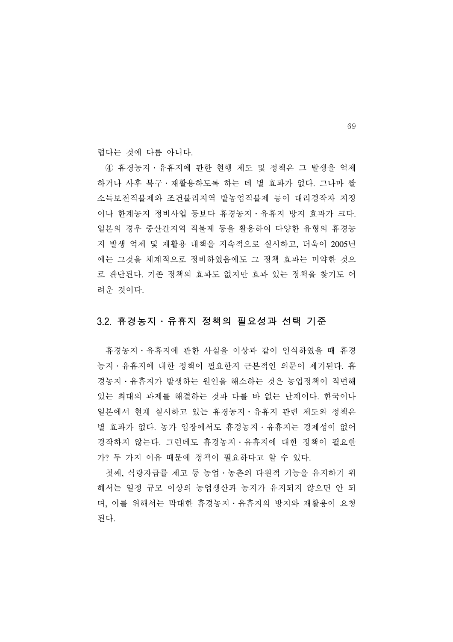렵다는 것에 다름 아니다.

 ④ 휴경농지․유휴지에 관한 현행 제도 및 정책은 그 발생을 억제 하거나 사후 복구․재활용하도록 하는 데 별 효과가 없다. 그나마 쌀 소득보전직불제와 조건불리지역 밭농업직불제 등이 대리경작자 지정 이나 한계농지 정비사업 등보다 휴경농지․유휴지 방지 효과가 크다. 일본의 경우 중산간지역 직불제 등을 활용하여 다양한 유형의 휴경농 지 발생 억제 및 재활용 대책을 지속적으로 실시하고, 더욱이 2005년 에는 그것을 체계적으로 정비하였음에도 그 정책 효과는 미약한 것으 로 판단된다. 기존 정책의 효과도 없지만 효과 있는 정책을 찾기도 어 려운 것이다.

#### 3.2. 휴경농지․유휴지 정책의 필요성과 선택 기준

 휴경농지․유휴지에 관한 사실을 이상과 같이 인식하였을 때 휴경 농지․유휴지에 대한 정책이 필요한지 근본적인 의문이 제기된다. 휴 경농지․유휴지가 발생하는 원인을 해소하는 것은 농업정책이 직면해 있는 최대의 과제를 해결하는 것과 다를 바 없는 난제이다. 한국이나 일본에서 현재 실시하고 있는 휴경농지․유휴지 관련 제도와 정책은 별 효과가 없다. 농가 입장에서도 휴경농지․유휴지는 경제성이 없어 경작하지 않는다. 그런데도 휴경농지․유휴지에 대한 정책이 필요한 가? 두 가지 이유 때문에 정책이 필요하다고 할 수 있다.

 첫째, 식량자급률 제고 등 농업․농촌의 다원적 기능을 유지하기 위 해서는 일정 규모 이상의 농업생산과 농지가 유지되지 않으면 안 되 며, 이를 위해서는 막대한 휴경농지․유휴지의 방지와 재활용이 요청 된다.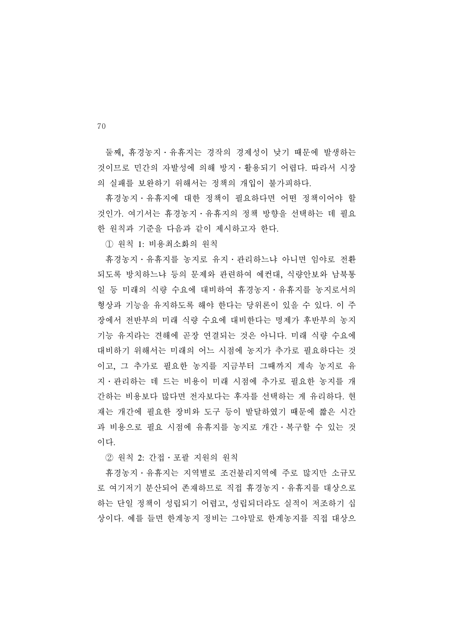둘째, 휴경농지․유휴지는 경작의 경제성이 낮기 때문에 발생하는 것이므로 민간의 자발성에 의해 방지․활용되기 어렵다. 따라서 시장 의 실패를 보완하기 위해서는 정책의 개입이 불가피하다.

 휴경농지․유휴지에 대한 정책이 필요하다면 어떤 정책이어야 할 것인가. 여기서는 휴경농지․유휴지의 정책 방향을 선택하는 데 필요 한 원칙과 기준을 다음과 같이 제시하고자 한다.

① 원칙 1: 비용최소화의 원칙

 휴경농지․유휴지를 농지로 유지․관리하느냐 아니면 임야로 전환 되도록 방치하느냐 등의 문제와 관련하여 예컨대, 식량안보와 남북통 일 등 미래의 식량 수요에 대비하여 휴경농지․유휴지를 농지로서의 형상과 기능을 유지하도록 해야 한다는 당위론이 있을 수 있다. 이 주 장에서 전반부의 미래 식량 수요에 대비한다는 명제가 후반부의 농지 기능 유지라는 견해에 곧장 연결되는 것은 아니다. 미래 식량 수요에 대비하기 위해서는 미래의 어느 시점에 농지가 추가로 필요하다는 것 이고, 그 추가로 필요한 농지를 지금부터 그때까지 계속 농지로 유 지․관리하는 데 드는 비용이 미래 시점에 추가로 필요한 농지를 개 간하는 비용보다 많다면 전자보다는 후자를 선택하는 게 유리하다. 현 재는 개간에 필요한 장비와 도구 등이 발달하였기 때문에 짧은 시간 과 비용으로 필요 시점에 유휴지를 농지로 개간․복구할 수 있는 것 이다.

② 원칙 2: 간접․포괄 지원의 원칙

 휴경농지․유휴지는 지역별로 조건불리지역에 주로 많지만 소규모 로 여기저기 분산되어 존재하므로 직접 휴경농지․유휴지를 대상으로 하는 단일 정책이 성립되기 어렵고, 성립되더라도 실적이 저조하기 십 상이다. 예를 들면 한계농지 정비는 그야말로 한계농지를 직접 대상으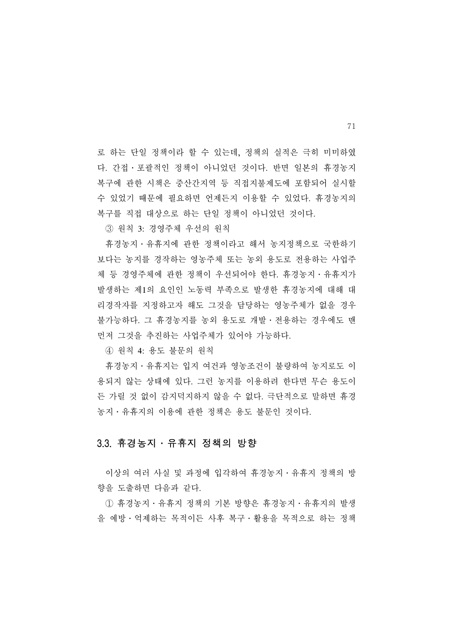로 하는 단일 정책이라 할 수 있는데, 정책의 실적은 극히 미미하였 다. 간접․포괄적인 정책이 아니었던 것이다. 반면 일본의 휴경농지 복구에 관한 시책은 중산간지역 등 직접지불제도에 포함되어 실시할 수 있었기 때문에 필요하면 언제든지 이용할 수 있었다. 휴경농지의 복구를 직접 대상으로 하는 단일 정책이 아니었던 것이다.

③ 원칙 3: 경영주체 우선의 원칙

 휴경농지․유휴지에 관한 정책이라고 해서 농지정책으로 국한하기 보다는 농지를 경작하는 영농주체 또는 농외 용도로 전용하는 사업주 체 등 경영주체에 관한 정책이 우선되어야 한다. 휴경농지․유휴지가 발생하는 제1의 요인인 노동력 부족으로 발생한 휴경농지에 대해 대 리경작자를 지정하고자 해도 그것을 담당하는 영농주체가 없을 경우 불가능하다. 그 휴경농지를 농외 용도로 개발․전용하는 경우에도 맨 먼저 그것을 추진하는 사업주체가 있어야 가능하다.

④ 원칙 4: 용도 불문의 원칙

 휴경농지․유휴지는 입지 여건과 영농조건이 불량하여 농지로도 이 용되지 않는 상태에 있다. 그런 농지를 이용하려 한다면 무슨 용도이 든 가릴 것 없이 감지덕지하지 않을 수 없다. 극단적으로 말하면 휴경 농지․유휴지의 이용에 관한 정책은 용도 불문인 것이다.

#### 3.3. 휴경농지․유휴지 정책의 방향

 이상의 여러 사실 및 과정에 입각하여 휴경농지․유휴지 정책의 방 향을 도출하면 다음과 같다.

 ① 휴경농지․유휴지 정책의 기본 방향은 휴경농지․유휴지의 발생 을 예방․억제하는 목적이든 사후 복구․활용을 목적으로 하는 정책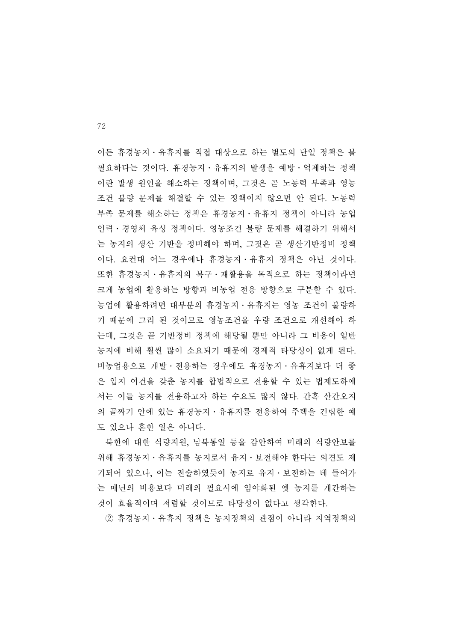이든 휴경농지․유휴지를 직접 대상으로 하는 별도의 단일 정책은 불 필요하다는 것이다. 휴경농지․유휴지의 발생을 예방․억제하는 정책 이란 발생 원인을 해소하는 정책이며, 그것은 곧 노동력 부족과 영농 조건 불량 문제를 해결할 수 있는 정책이지 않으면 안 된다. 노동력 부족 문제를 해소하는 정책은 휴경농지․유휴지 정책이 아니라 농업 인력․경영체 육성 정책이다. 영농조건 불량 문제를 해결하기 위해서 는 농지의 생산 기반을 정비해야 하며, 그것은 곧 생산기반정비 정책 이다. 요컨대 어느 경우에나 휴경농지․유휴지 정책은 아닌 것이다. 또한 휴경농지․유휴지의 복구․재활용을 목적으로 하는 정책이라면 크게 농업에 활용하는 방향과 비농업 전용 방향으로 구분할 수 있다. 농업에 활용하려면 대부분의 휴경농지․유휴지는 영농 조건이 불량하 기 때문에 그리 된 것이므로 영농조건을 우량 조건으로 개선해야 하 는데, 그것은 곧 기반정비 정책에 해당될 뿐만 아니라 그 비용이 일반 농지에 비해 훨씬 많이 소요되기 때문에 경제적 타당성이 없게 된다. 비농업용으로 개발․전용하는 경우에도 휴경농지․유휴지보다 더 좋 은 입지 여건을 갖춘 농지를 합법적으로 전용할 수 있는 법제도하에 서는 이들 농지를 전용하고자 하는 수요도 많지 않다. 간혹 산간오지 의 골짜기 안에 있는 휴경농지․유휴지를 전용하여 주택을 건립한 예 도 있으나 흔한 일은 아니다.

 북한에 대한 식량지원, 남북통일 등을 감안하여 미래의 식량안보를 위해 휴경농지․유휴지를 농지로서 유지․보전해야 한다는 의견도 제 기되어 있으나, 이는 전술하였듯이 농지로 유지․보전하는 데 들어가 는 매년의 비용보다 미래의 필요시에 임야화된 옛 농지를 개간하는 것이 효율적이며 저렴할 것이므로 타당성이 없다고 생각한다.

② 휴경농지․유휴지 정책은 농지정책의 관점이 아니라 지역정책의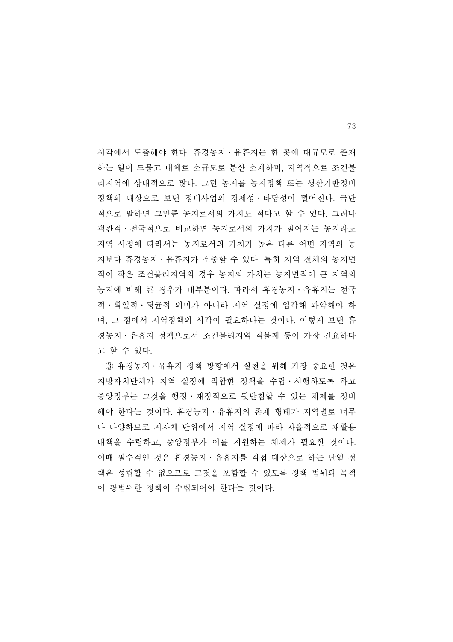시각에서 도출해야 한다. 휴경농지․유휴지는 한 곳에 대규모로 존재 하는 일이 드물고 대체로 소규모로 분산 소재하며, 지역적으로 조건불 리지역에 상대적으로 많다. 그런 농지를 농지정책 또는 생산기반정비 정책의 대상으로 보면 정비사업의 경제성․타당성이 떨어진다. 극단 적으로 말하면 그만큼 농지로서의 가치도 적다고 할 수 있다. 그러나 객관적․전국적으로 비교하면 농지로서의 가치가 떨어지는 농지라도 지역 사정에 따라서는 농지로서의 가치가 높은 다른 어떤 지역의 농 지보다 휴경농지․유휴지가 소중할 수 있다. 특히 지역 전체의 농지면 적이 작은 조건불리지역의 경우 농지의 가치는 농지면적이 큰 지역의 농지에 비해 큰 경우가 대부분이다. 따라서 휴경농지․유휴지는 전국 적․획일적․평균적 의미가 아니라 지역 실정에 입각해 파악해야 하 며, 그 점에서 지역정책의 시각이 필요하다는 것이다. 이렇게 보면 휴 경농지․유휴지 정책으로서 조건불리지역 직불제 등이 가장 긴요하다 고 할 수 있다.

 ③ 휴경농지․유휴지 정책 방향에서 실천을 위해 가장 중요한 것은 지방자치단체가 지역 실정에 적합한 정책을 수립․시행하도록 하고 중앙정부는 그것을 행정․재정적으로 뒷받침할 수 있는 체제를 정비 해야 한다는 것이다. 휴경농지․유휴지의 존재 형태가 지역별로 너무 나 다양하므로 지자체 단위에서 지역 실정에 따라 자율적으로 재활용 대책을 수립하고, 중앙정부가 이를 지원하는 체제가 필요한 것이다. 이때 필수적인 것은 휴경농지․유휴지를 직접 대상으로 하는 단일 정 책은 성립할 수 없으므로 그것을 포함할 수 있도록 정책 범위와 목적 이 광범위한 정책이 수립되어야 한다는 것이다.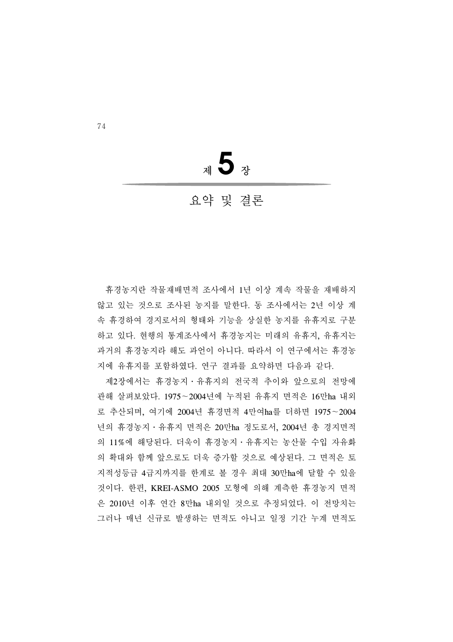<sup>제</sup>**5**<sup>장</sup>

## 요약 및 결론

 휴경농지란 작물재배면적 조사에서 1년 이상 계속 작물을 재배하지 않고 있는 것으로 조사된 농지를 말한다. 동 조사에서는 2년 이상 계 속 휴경하여 경지로서의 형태와 기능을 상실한 농지를 유휴지로 구분 하고 있다. 현행의 통계조사에서 휴경농지는 미래의 유휴지, 유휴지는 과거의 휴경농지라 해도 과언이 아니다. 따라서 이 연구에서는 휴경농 지에 유휴지를 포함하였다. 연구 결과를 요약하면 다음과 같다.

 제2장에서는 휴경농지․유휴지의 전국적 추이와 앞으로의 전망에 관해 살펴보았다. 1975∼2004년에 누적된 유휴지 면적은 16만ha 내외 로 추산되며, 여기에 2004년 휴경면적 4만여ha를 더하면 1975∼2004 년의 휴경농지․유휴지 면적은 20만ha 정도로서, 2004년 총 경지면적 의 11%에 해당된다. 더욱이 휴경농지․유휴지는 농산물 수입 자유화 의 확대와 함께 앞으로도 더욱 증가할 것으로 예상된다. 그 면적은 토 지적성등급 4급지까지를 한계로 볼 경우 최대 30만ha에 달할 수 있을 것이다. 한편, KREI-ASMO 2005 모형에 의해 계측한 휴경농지 면적 은 2010년 이후 연간 8만ha 내외일 것으로 추정되었다. 이 전망치는 그러나 매년 신규로 발생하는 면적도 아니고 일정 기간 누계 면적도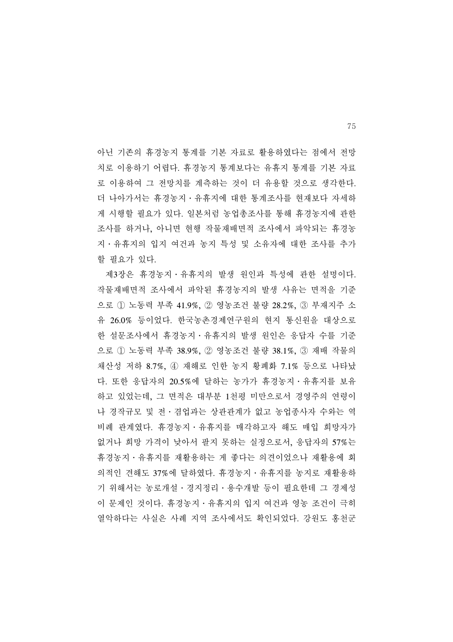아닌 기존의 휴경농지 통계를 기본 자료로 활용하였다는 점에서 전망 치로 이용하기 어렵다. 휴경농지 통계보다는 유휴지 통계를 기본 자료 로 이용하여 그 전망치를 계측하는 것이 더 유용할 것으로 생각한다. 더 나아가서는 휴경농지․유휴지에 대한 통계조사를 현재보다 자세하 게 시행할 필요가 있다. 일본처럼 농업총조사를 통해 휴경농지에 관한 조사를 하거나, 아니면 현행 작물재배면적 조사에서 파악되는 휴경농 지․유휴지의 입지 여건과 농지 특성 및 소유자에 대한 조사를 추가 할 필요가 있다.

 제3장은 휴경농지․유휴지의 발생 원인과 특성에 관한 설명이다. 작물재배면적 조사에서 파악된 휴경농지의 발생 사유는 면적을 기준 으로 ① 노동력 부족 41.9%, ② 영농조건 불량 28.2%, ③ 부재지주 소 유 26.0% 등이었다. 한국농촌경제연구원의 현지 통신원을 대상으로 한 설문조사에서 휴경농지․유휴지의 발생 원인은 응답자 수를 기준 으로 ① 노동력 부족 38.9%, ② 영농조건 불량 38.1%, ③ 재배 작물의 채산성 저하 8.7%, ④ 재해로 인한 농지 황폐화 7.1% 등으로 나타났 다. 또한 응답자의 20.5%에 달하는 농가가 휴경농지․유휴지를 보유 하고 있었는데, 그 면적은 대부분 1천평 미만으로서 경영주의 연령이 나 경작규모 및 전․겸업과는 상관관계가 없고 농업종사자 수와는 역 비례 관계였다. 휴경농지․유휴지를 매각하고자 해도 매입 희망자가 없거나 희망 가격이 낮아서 팔지 못하는 실정으로서, 응답자의 57%는 휴경농지․유휴지를 재활용하는 게 좋다는 의견이었으나 재활용에 회 의적인 견해도 37%에 달하였다. 휴경농지․유휴지를 농지로 재활용하 기 위해서는 농로개설․경지정리․용수개발 등이 필요한데 그 경제성 이 문제인 것이다. 휴경농지․유휴지의 입지 여건과 영농 조건이 극히 열악하다는 사실은 사례 지역 조사에서도 확인되었다. 강원도 홍천군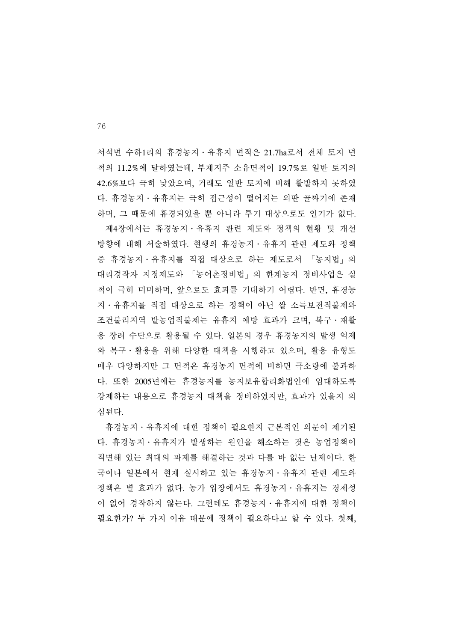서석면 수하1리의 휴경농지․유휴지 면적은 21.7ha로서 전체 토지 면 적의 11.2%에 달하였는데, 부재지주 소유면적이 19.7%로 일반 토지의 42.6%보다 극히 낮았으며, 거래도 일반 토지에 비해 활발하지 못하였 다. 휴경농지․유휴지는 극히 접근성이 떨어지는 외딴 골짜기에 존재 하며, 그 때문에 휴경되었을 뿐 아니라 투기 대상으로도 인기가 없다. 제4장에서는 휴경농지․유휴지 관련 제도와 정책의 현황 및 개선 방향에 대해 서술하였다. 현행의 휴경농지․유휴지 관련 제도와 정책 중 휴경농지․유휴지를 직접 대상으로 하는 제도로서 「농지법」의 대리경작자 지정제도와 「농어촌정비법」의 한계농지 정비사업은 실 적이 극히 미미하며, 앞으로도 효과를 기대하기 어렵다. 반면, 휴경농 지․유휴지를 직접 대상으로 하는 정책이 아닌 쌀 소득보전직불제와 조건불리지역 밭농업직불제는 유휴지 예방 효과가 크며, 복구․재활 용 장려 수단으로 활용될 수 있다. 일본의 경우 휴경농지의 발생 억제 와 복구․활용을 위해 다양한 대책을 시행하고 있으며, 활용 유형도 매우 다양하지만 그 면적은 휴경농지 면적에 비하면 극소량에 불과하 다. 또한 2005년에는 휴경농지를 농지보유합리화법인에 임대하도록 강제하는 내용으로 휴경농지 대책을 정비하였지만, 효과가 있을지 의 심된다.

 휴경농지․유휴지에 대한 정책이 필요한지 근본적인 의문이 제기된 다. 휴경농지․유휴지가 발생하는 원인을 해소하는 것은 농업정책이 직면해 있는 최대의 과제를 해결하는 것과 다를 바 없는 난제이다. 한 국이나 일본에서 현재 실시하고 있는 휴경농지․유휴지 관련 제도와 정책은 별 효과가 없다. 농가 입장에서도 휴경농지․유휴지는 경제성 이 없어 경작하지 않는다. 그런데도 휴경농지․유휴지에 대한 정책이 필요한가? 두 가지 이유 때문에 정책이 필요하다고 할 수 있다. 첫째,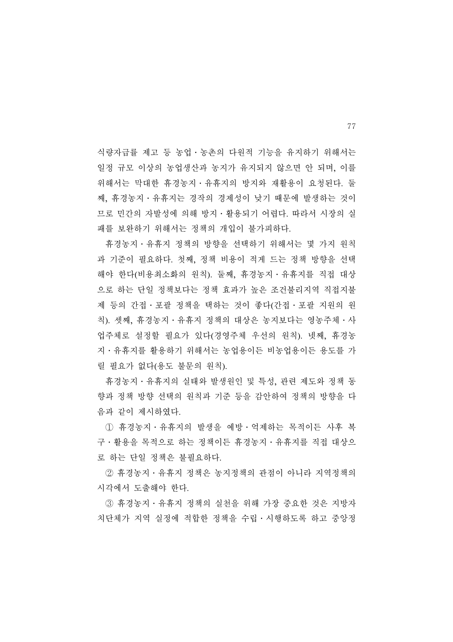식량자급률 제고 등 농업․농촌의 다원적 기능을 유지하기 위해서는 일정 규모 이상의 농업생산과 농지가 유지되지 않으면 안 되며, 이를 위해서는 막대한 휴경농지․유휴지의 방지와 재활용이 요청된다. 둘 째, 휴경농지․유휴지는 경작의 경제성이 낮기 때문에 발생하는 것이 므로 민간의 자발성에 의해 방지․활용되기 어렵다. 따라서 시장의 실 패를 보완하기 위해서는 정책의 개입이 불가피하다.

 휴경농지․유휴지 정책의 방향을 선택하기 위해서는 몇 가지 원칙 과 기준이 필요하다. 첫째, 정책 비용이 적게 드는 정책 방향을 선택 해야 한다(비용최소화의 원칙). 둘째, 휴경농지․유휴지를 직접 대상 으로 하는 단일 정책보다는 정책 효과가 높은 조건불리지역 직접지불 제 등의 간접․포괄 정책을 택하는 것이 좋다(간접․포괄 지원의 원 칙). 셋째, 휴경농지․유휴지 정책의 대상은 농지보다는 영농주체․사 업주체로 설정할 필요가 있다(경영주체 우선의 원칙). 넷째, 휴경농 지․유휴지를 활용하기 위해서는 농업용이든 비농업용이든 용도를 가 릴 필요가 없다(용도 불문의 원칙).

 휴경농지․유휴지의 실태와 발생원인 및 특성, 관련 제도와 정책 동 향과 정책 방향 선택의 원칙과 기준 등을 감안하여 정책의 방향을 다 음과 같이 제시하였다.

 ① 휴경농지․유휴지의 발생을 예방․억제하는 목적이든 사후 복 구․활용을 목적으로 하는 정책이든 휴경농지․유휴지를 직접 대상으 로 하는 단일 정책은 불필요하다.

 ② 휴경농지․유휴지 정책은 농지정책의 관점이 아니라 지역정책의 시각에서 도출해야 한다.

 ③ 휴경농지․유휴지 정책의 실천을 위해 가장 중요한 것은 지방자 치단체가 지역 실정에 적합한 정책을 수립․시행하도록 하고 중앙정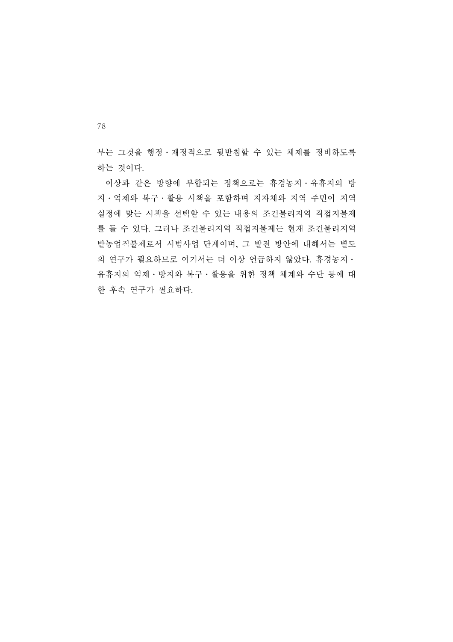부는 그것을 행정․재정적으로 뒷받침할 수 있는 체제를 정비하도록 하는 것이다.

 이상과 같은 방향에 부합되는 정책으로는 휴경농지․유휴지의 방 지․억제와 복구․활용 시책을 포함하며 지자체와 지역 주민이 지역 실정에 맞는 시책을 선택할 수 있는 내용의 조건불리지역 직접지불제 를 들 수 있다. 그러나 조건불리지역 직접지불제는 현재 조건불리지역 밭농업직불제로서 시범사업 단계이며, 그 발전 방안에 대해서는 별도 의 연구가 필요하므로 여기서는 더 이상 언급하지 않았다. 휴경농지․ 유휴지의 억제․방지와 복구․활용을 위한 정책 체계와 수단 등에 대 한 후속 연구가 필요하다.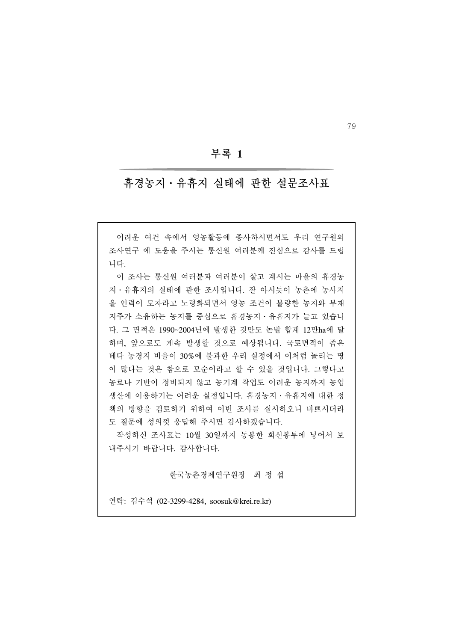#### 부록 **1**

### 휴경농지․유휴지 실태에 관한 설문조사표

 어려운 여건 속에서 영농활동에 종사하시면서도 우리 연구원의 조사연구 에 도움을 주시는 통신원 여러분께 진심으로 감사를 드립 니다.

 이 조사는 통신원 여러분과 여러분이 살고 계시는 마을의 휴경농 지․유휴지의 실태에 관한 조사입니다. 잘 아시듯이 농촌에 농사지 을 인력이 모자라고 노령화되면서 영농 조건이 불량한 농지와 부재 지주가 소유하는 농지를 중심으로 휴경농지․유휴지가 늘고 있습니 다. 그 면적은 1990~2004년에 발생한 것만도 논밭 합계 12만ha에 달 하며, 앞으로도 계속 발생할 것으로 예상됩니다. 국토면적이 좁은 데다 농경지 비율이 30%에 불과한 우리 실정에서 이처럼 놀리는 땅 이 많다는 것은 참으로 모순이라고 할 수 있을 것입니다. 그렇다고 농로나 기반이 정비되지 않고 농기계 작업도 어려운 농지까지 농업 생산에 이용하기는 어려운 실정입니다. 휴경농지․유휴지에 대한 정 책의 방향을 검토하기 위하여 이번 조사를 실시하오니 바쁘시더라 도 질문에 성의껏 응답해 주시면 감사하겠습니다.

 작성하신 조사표는 10월 30일까지 동봉한 회신봉투에 넣어서 보 내주시기 바랍니다. 감사합니다.

한국농촌경제연구원장 최 정 섭

연락: 김수석 (02-3299-4284, soosuk@krei.re.kr)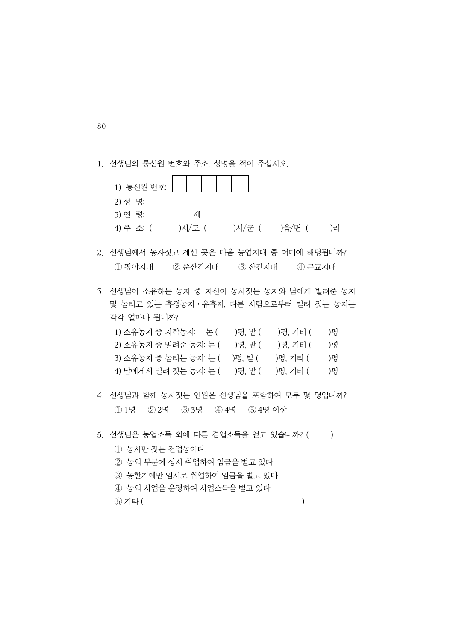|  |  |  |  |  |  |  | 1. 선생님의 통신원 번호와 주소, 성명을 적어 주십시오. |
|--|--|--|--|--|--|--|----------------------------------|
|--|--|--|--|--|--|--|----------------------------------|

| 1) 통신원 번호: |        |        |        |    |
|------------|--------|--------|--------|----|
| 2) 성 명:    |        |        |        |    |
| 3) 연 령:    | 세      |        |        |    |
| 4) 주 소 (   | )시/도 ( | )시/군 ( | )읍/면 ( | )리 |
|            |        |        |        |    |

- 2. 선생님께서 농사짓고 계신 곳은 다음 농업지대 중 어디에 해당됩니까? ① 평야지대 ② 준산간지대 ③ 산간지대 ④ 근교지대
- 3. 선생님이 소유하는 농지 중 자신이 농사짓는 농지와 남에게 빌려준 농지 및 놀리고 있는 휴경농지․유휴지, 다른 사람으로부터 빌려 짓는 농지는 각각 얼마나 됩니까?

| 1) 소유농지 중 자작농지: 논 (   | )평. 밭 ( | )평. 기타 ( | )평 |
|-----------------------|---------|----------|----|
| 2) 소유농지 중 빌려준 농지: 논 ( | )평. 밭 ( | )평. 기타 ( | )평 |
| 3) 소유농지 중 놀리는 농지: 논 ( | )평. 밭 ( | )평. 기타 ( | )평 |
| 4) 남에게서 빌려 짓는 농지: 논 ( | )평, 밭 ( | )평. 기타 ( | )평 |

- 4. 선생님과 함께 농사짓는 인원은 선생님을 포함하여 모두 몇 명입니까? ① 1명 ② 2명 ③ 3명 ④ 4명 ⑤ 4명 이상
- 5. 선생님은 농업소득 외에 다른 겸업소득을 얻고 있습니까? ()
	- ① 농사만 짓는 전업농이다.
	- ② 농외 부문에 상시 취업하여 임금을 벌고 있다
	- ③ 농한기에만 임시로 취업하여 임금을 벌고 있다
	- ④ 농외 사업을 운영하여 사업소득을 벌고 있다
	- $(5)$  기타  $($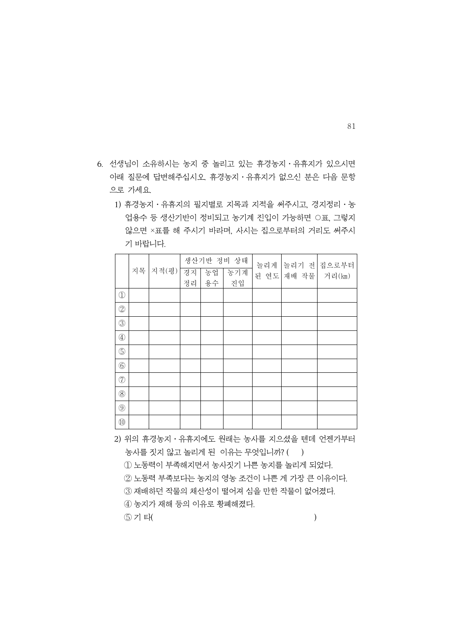- 6. 선생님이 소유하시는 농지 중 놀리고 있는 휴경농지․유휴지가 있으시면 아래 질문에 답변해주십시오. 휴경농지․유휴지가 없으신 분은 다음 문항 으로 가세요.
	- 1) 휴경농지․유휴지의 필지별로 지목과 지적을 써주시고, 경지정리․농 업용수 등 생산기반이 정비되고 농기계 진입이 가능하면 ○표, 그렇지 않으면 ×표를 해 주시기 바라며, 사시는 집으로부터의 거리도 써주시 기 바랍니다.

|                                                                                                                                                                                                                                                                                                                                                     |    |       |    |    | 생산기반 정비 상태 | 놀리게 |            | 놀리기 전 집으로부터 |
|-----------------------------------------------------------------------------------------------------------------------------------------------------------------------------------------------------------------------------------------------------------------------------------------------------------------------------------------------------|----|-------|----|----|------------|-----|------------|-------------|
|                                                                                                                                                                                                                                                                                                                                                     | 지목 | 지적(평) | 경지 | 동업 | 농기계        |     | 된 연도 재배 작물 | 거리(km)      |
|                                                                                                                                                                                                                                                                                                                                                     |    |       | 정리 | 용수 | 진입         |     |            |             |
| $\begin{picture}(20,20) \put(0,0){\line(1,0){10}} \put(15,0){\line(1,0){10}} \put(15,0){\line(1,0){10}} \put(15,0){\line(1,0){10}} \put(15,0){\line(1,0){10}} \put(15,0){\line(1,0){10}} \put(15,0){\line(1,0){10}} \put(15,0){\line(1,0){10}} \put(15,0){\line(1,0){10}} \put(15,0){\line(1,0){10}} \put(15,0){\line(1,0){10}} \put(15,0){\line(1$ |    |       |    |    |            |     |            |             |
| $\circled{2}$                                                                                                                                                                                                                                                                                                                                       |    |       |    |    |            |     |            |             |
| $\circledS$                                                                                                                                                                                                                                                                                                                                         |    |       |    |    |            |     |            |             |
| $\circled{4}$                                                                                                                                                                                                                                                                                                                                       |    |       |    |    |            |     |            |             |
| $\circledS$                                                                                                                                                                                                                                                                                                                                         |    |       |    |    |            |     |            |             |
| $\circledS$                                                                                                                                                                                                                                                                                                                                         |    |       |    |    |            |     |            |             |
| O                                                                                                                                                                                                                                                                                                                                                   |    |       |    |    |            |     |            |             |
| $\textcircled{\scriptsize 8}$                                                                                                                                                                                                                                                                                                                       |    |       |    |    |            |     |            |             |
| $\circled{9}$                                                                                                                                                                                                                                                                                                                                       |    |       |    |    |            |     |            |             |
| $^{\rm 10}$                                                                                                                                                                                                                                                                                                                                         |    |       |    |    |            |     |            |             |

2) 위의 휴경농지․유휴지에도 원래는 농사를 지으셨을 텐데 언젠가부터

농사를 짓지 않고 놀리게 된 이유는 무엇입니까? ( )

① 노동력이 부족해지면서 농사짓기 나쁜 농지를 놀리게 되었다.

② 노동력 부족보다는 농지의 영농 조건이 나쁜 게 가장 큰 이유이다.

③ 재배하던 작물의 채산성이 떨어져 심을 만한 작물이 없어졌다.

④ 농지가 재해 등의 이유로 황폐해졌다.

 $(5)$  기 타(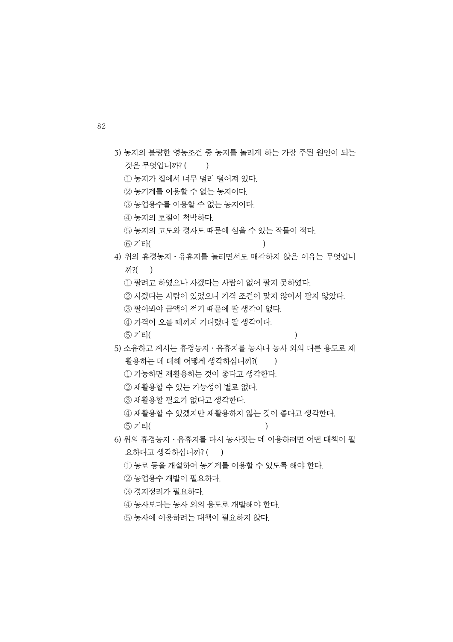| 3) 농지의 불량한 영농조건 중 농지를 놀리게 하는 가장 주된 원인이 되는          |
|----------------------------------------------------|
| 것은 무엇입니까? (<br>$\lambda$                           |
| ① 농지가 집에서 너무 멀리 떨어져 있다.                            |
| ② 농기계를 이용할 수 없는 농지이다.                              |
| 3 농업용수를 이용할 수 없는 농지이다.                             |
| 4) 농지의 토질이 척박하다.                                   |
| 5 농지의 고도와 경사도 때문에 심을 수 있는 작물이 적다.                  |
| ⑥ 기타(<br>$\mathcal{E}$                             |
| 4) 위의 휴경농지 • 유휴지를 놀리면서도 매각하지 않은 이유는 무엇입니           |
| $7\frac{?}{?}$ ( )                                 |
| ① 팔려고 하였으나 사겠다는 사람이 없어 팔지 못하였다.                    |
| ② 사겠다는 사람이 있었으나 가격 조건이 맞지 않아서 팔지 않았다.              |
| 3) 팔아봐야 금액이 적기 때문에 팔 생각이 없다.                       |
| ④ 가격이 오를 때까지 기다렸다 팔 생각이다.                          |
| (5) 기타(                                            |
| 5) 소유하고 계시는 휴경농지ㆍ유휴지를 농사나 농사 외의 다른 용도로 재           |
| 활용하는 데 대해 어떻게 생각하십니까?(<br>$\overline{\phantom{a}}$ |
| 1) 가능하면 재활용하는 것이 좋다고 생각한다.                         |
| ② 재활용할 수 있는 가능성이 별로 없다.                            |
| 3 재활용할 필요가 없다고 생각한다.                               |
| 4) 재활용할 수 있겠지만 재활용하지 않는 것이 좋다고 생각한다.               |
| ⑤ 기타(                                              |
| 6) 위의 휴경농지・유휴지를 다시 농사짓는 데 이용하려면 어떤 대책이 필           |
| 요하다고 생각하십니까? ()                                    |
| ① 농로 등을 개설하여 농기계를 이용할 수 있도록 해야 한다.                 |
| ② 농업용수 개발이 필요하다.                                   |
| ③ 경지정리가 필요하다.                                      |
| 4) 농사보다는 농사 외의 용도로 개발해야 한다.                        |
| 5 농사에 이용하려는 대책이 필요하지 않다.                           |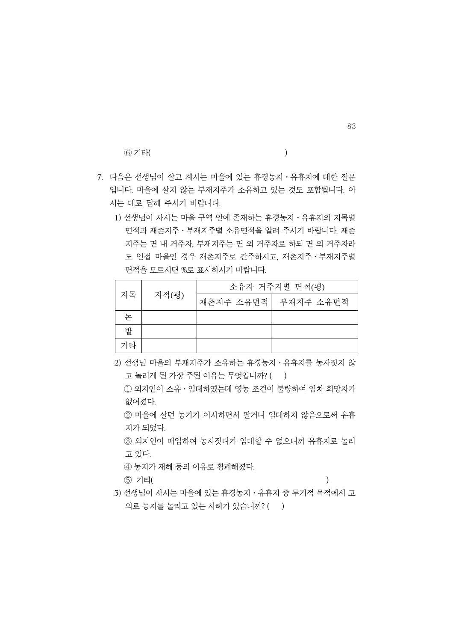$(6)$  기타( )

- 7. 다음은 선생님이 살고 계시는 마을에 있는 휴경농지․유휴지에 대한 질문 입니다. 마을에 살지 않는 부재지주가 소유하고 있는 것도 포함됩니다. 아 시는 대로 답해 주시기 바랍니다.
	- 1) 선생님이 사시는 마을 구역 안에 존재하는 휴경농지 · 유휴지의 지목별 면적과 재촌지주․부재지주별 소유면적을 알려 주시기 바랍니다. 재촌 지주는 면 내 거주자, 부재지주는 면 외 거주자로 하되 면 외 거주자라 도 인접 마을인 경우 재촌지주로 간주하시고, 재촌지주․부재지주별 면적을 모르시면 %로 표시하시기 바랍니다.

| 지목 | 지적(평) | 소유자 거주지별 면적(평) |                     |  |  |  |  |
|----|-------|----------------|---------------------|--|--|--|--|
|    |       |                | 재촌지주 소유면적 부재지주 소유면적 |  |  |  |  |
| 논  |       |                |                     |  |  |  |  |
| 밭  |       |                |                     |  |  |  |  |
| 기타 |       |                |                     |  |  |  |  |

2) 선생님 마을의 부재지주가 소유하는 휴경농지 · 유휴지를 농사짓지 않 고 놀리게 된 가장 주된 이유는 무엇입니까? ()

 ① 외지인이 소유․임대하였는데 영농 조건이 불량하여 임차 희망자가 없어졌다.

 ② 마을에 살던 농가가 이사하면서 팔거나 임대하지 않음으로써 유휴 지가 되었다.

 ③ 외지인이 매입하여 농사짓다가 임대할 수 없으니까 유휴지로 놀리 고 있다.

④ 농지가 재해 등의 이유로 황폐해졌다.

⑤ 기타( )

3) 선생님이 사시는 마을에 있는 휴경농지․유휴지 중 투기적 목적에서 고 의로 농지를 놀리고 있는 사례가 있습니까? ()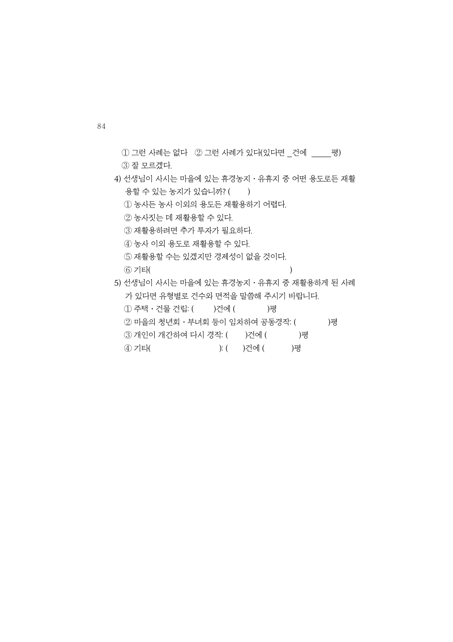- $(1)$  그런 사례는 없다  $(2)$  그런 사례가 있다(있다면 \_건에 \_\_\_\_평)  $(3)$  잘 모르겠다.
- 4) 선생님이 사시는 마을에 있는 휴경농지․유휴지 중 어떤 용도로든 재활 용할 수 있는 농지가 있습니까? ()
	- ① 농사든 농사 이외의 용도든 재활용하기 어렵다.
	- ② 농사짓는 데 재활용할 수 있다.
	- ③ 재활용하려면 추가 투자가 필요하다.
	- ④ 농사 이외 용도로 재활용할 수 있다.
	- ⑤ 재활용할 수는 있겠지만 경제성이 없을 것이다.
	- $(6)$  기타( )
- 5) 선생님이 사시는 마을에 있는 휴경농지․유휴지 중 재활용하게 된 사례 가 있다면 유형별로 건수와 면적을 말씀해 주시기 바랍니다.
	- 1 주택 · 건물 건립: ( )건에 ( )평
	- $(2)$  마을의 청년회 · 부녀회 등이 임차하여 공동경작:  $($
	- 3 개인이 개간하여 다시 경작: ()건에 ()평
	- ④ 기타( ): ( )건에 ( )평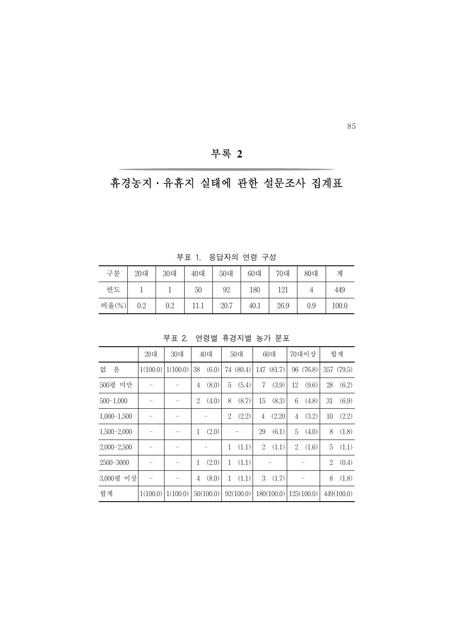## 부록 **2**

## 휴경농지․유휴지 실태에 관한 설문조사 집계표

부표 1. 응답자의 연령 구성

| 구분        | 20대 | 30대 | 40대 | 50대  | 60대  | 70대  | 80대 | 계     |
|-----------|-----|-----|-----|------|------|------|-----|-------|
| 빈도        |     |     | 50  | 92   | 180  | 121  |     | 449   |
| 비율 $(\%)$ | 0.2 | 0.2 |     | 20.7 | 40.1 | 26.9 | 0.9 | 100.0 |

부표 2. 연령별 휴경지별 농가 분포

|                 | 20대      | 30대      |    | 40대       |    | 50대       |     | 60대        |                | 70대이상      |                | 합계         |
|-----------------|----------|----------|----|-----------|----|-----------|-----|------------|----------------|------------|----------------|------------|
| 음<br>없          | 1(100.0) | 1(100.0) | 38 | (6.0)     | 74 | (80.4)    | 147 | (81.7)     | 96             | (76.8)     |                | 357 (79.5) |
| 미만<br>500평      |          |          | 4  | (8.0)     | 5  | (5.4)     | 7   | (3.9)      | 12             | (9.6)      | 28             | (6.2)      |
| $500 - 1,000$   |          |          | 2  | (4.0)     | 8  | (8.7)     | 15  | (8.3)      | 6              | (4.8)      | 31             | (6.9)      |
| $1,000-1,500$   |          |          |    |           | 2  | (2.2)     | 4   | (2.20)     | 4              | (3.2)      | 10             | (2.2)      |
| $1,500 - 2,000$ |          |          | 1  | (2.0)     |    |           | 29  | (6.1)      | 5              | (4.0)      | 8              | (1.8)      |
| $2,000-2,500$   |          |          |    |           | 1  | (1.1)     | 2   | (1.1)      | $\overline{2}$ | (1.6)      | 5              | (1.1)      |
| $2500 - 3000$   |          |          | 1  | (2.0)     | 1  | (1.1)     |     |            |                |            | $\overline{2}$ | (0.4)      |
| 이상<br>3,000평    |          |          | 4  | (8.0)     | 1  | (1.1)     | 3   | (1.7)      |                |            | 8              | (1.8)      |
| 합계              | 1(100.0) | 1(100.0) |    | 50(100.0) |    | 92(100.0) |     | 180(100.0) |                | 125(100.0) |                | 449(100.0) |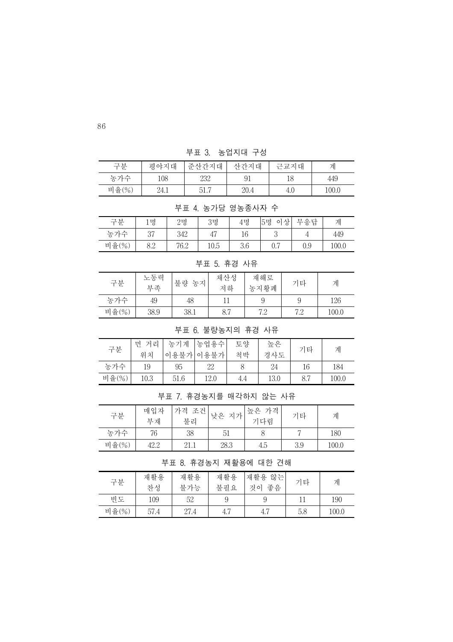부표 3. 농업지대 구성

| 구분        | 평야지대 | 준산간지대 | 산간지대 | 근교지대 | 계     |
|-----------|------|-------|------|------|-------|
| 농가수       | 108  | 232   | 91   | 18   | 449   |
| 비율 $(\%)$ | 24.1 | 51.7  | 20.4 | 4.0  | 100.0 |

부표 4. 농가당 영농종사자 수

| 구분        | ι 명      | 2 <sub>5</sub> | 3명   | 4명  | o1<br>상<br> 5명 | 무응답 | 겨     |
|-----------|----------|----------------|------|-----|----------------|-----|-------|
| 가스<br>농   | 07<br>υI | 342            | 47   | 16  | $\Omega$<br>◡  |     | 449   |
| 비율 $(\%)$ | 8.2      | 76.2           | 10.5 | 3.6 | ∩ ⊓<br>V. 1    | 0.9 | 100.0 |

부표 5. 휴경 사유

| 구분    | 노동력<br>부족 | 불량<br>농지 | 채산성<br>저하 | 재해로<br>농지황폐 | 기타 | 계     |
|-------|-----------|----------|-----------|-------------|----|-------|
| 농가수   | 49        | 48       |           |             |    | 126   |
| 비율(%) | 38.9      | 38.1     | 8.7       | 7 0         | 79 | 100.0 |

#### 부표 6. 불량농지의 휴경 사유

| 구분    | 거리<br>머<br>위치 | 농기계  | 농업용수 <sub> </sub><br>이용불가 이용불가 | 토양<br>처박 | 높은<br>경사도 | 기타  | 계     |
|-------|---------------|------|--------------------------------|----------|-----------|-----|-------|
| 농가수   | 19            | 95   | 22                             |          | 24        | 16  | 184   |
| 비율(%) | 10.3          | 51.6 | 12.0                           | 4.4      | 13.0      | 8.7 | 100.0 |

부표 7. 휴경농지를 매각하지 않는 사유

| 구분        | 매입자<br>부재 | 가격 조건<br>불리 | 지가<br>'낮은 | 높은 가격<br>기다림 | 기타  | 계     |
|-----------|-----------|-------------|-----------|--------------|-----|-------|
| 농가수       | 76        | 38          | 51        |              |     | 180   |
| 비율 $(\%)$ | 42.2      | 21.1        | 28.3      | 4.5          | 3.9 | 100.0 |

부표 8. 휴경농지 재활용에 대한 견해

| 구분        | 재활용<br>찬성 | 재활용<br>불가능 | 재활용<br>불필요 | 재활용<br>않는<br>좋음<br>것이 | 기타  | 계     |
|-----------|-----------|------------|------------|-----------------------|-----|-------|
| 빈도        | 109       | 52         | 9          |                       |     | 190   |
| 비율 $(\%)$ | 57.4      | 27.4       | 4.7        | 4.,                   | 5.8 | 100.0 |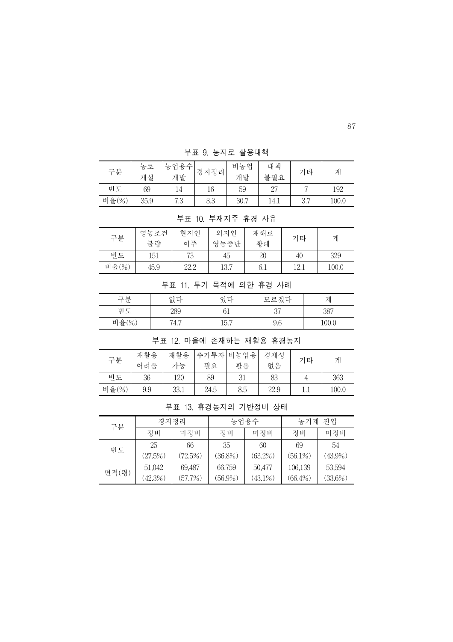구분 농로 개설 농업용수 ·업용수 <mark>경지정리</mark> 비농업<br>개발 경지정리 개발 개발 대책 \_ <sup>네 색</sup> \_ | 기타 \_ | 계<br>불필요 | 기타 | 계 빈도 | 69 | 14 | 16 | 59 | 27 | 7 | 192 비율(%)| 35.9 | 7.3 | 8.3 | 30.7 | 14.1 | 3.7 | 100.0

부표 9. 농지로 활용대책

| 부표 10. 부재지주 휴경 사유 |      |      |      |     |      |       |  |
|-------------------|------|------|------|-----|------|-------|--|
| 구분                | 영농조건 | 헊지인  | 외지인  | 재해로 | 기타   | 계     |  |
|                   | 불량   | 이주   | 영농중단 | 황폐  |      |       |  |
| 빈도                | 151  | 73   | 45   | 20  | 40   | 329   |  |
| 비율 $(\%)$         | 45.9 | 22.2 | 13.7 | 6.1 | 12.1 | 100.0 |  |

부표 11. 투기 목적에 의한 휴경 사례

| 구분        | 없다                | 있다   | 모르겠다    |      |
|-----------|-------------------|------|---------|------|
| 빈도        | 289               |      | 27<br>◡ | 387  |
| 비율 $(\%)$ | $.1\,$ $-$<br>4.1 | 15.7 | 9.6     | 00.0 |

부표 12. 마을에 존재하는 재활용 휴경농지

| 구분        | 재활용<br>어려움 | 재활용<br>가능 | 추가투자 비농업용<br>필요 | 활용  | 경제성<br>없음 | 기타 | 계     |
|-----------|------------|-----------|-----------------|-----|-----------|----|-------|
| 빈도        | 36         | 120       | 89              | 31  | 83        |    | 363   |
| 비율 $(\%)$ | 9.9        | 33.1      | 24.5            | 8.5 | 22.9      |    | 100.0 |

부표 13. 휴경농지의 기반정비 상태

| 구분    | 경지정리       |            |            | 농업용수       | 진입<br>농기계  |            |
|-------|------------|------------|------------|------------|------------|------------|
|       | 정비         | 미정비        | 정비         | 미정비        | 정비         | 미정비        |
| 빈도    | 25         | 66         | 35         | 60         | 69         | 54         |
|       | (27.5%)    | $(72.5\%)$ | (36.8%)    | $(63.2\%)$ | $(56.1\%)$ | $(43.9\%)$ |
|       | 51,042     | 69,487     | 66,759     | 50,477     | 106,139    | 53,594     |
| 면적(평) | $(42.3\%)$ | (57.7%)    | $(56.9\%)$ | $(43.1\%)$ | $(66.4\%)$ | $(33.6\%)$ |

87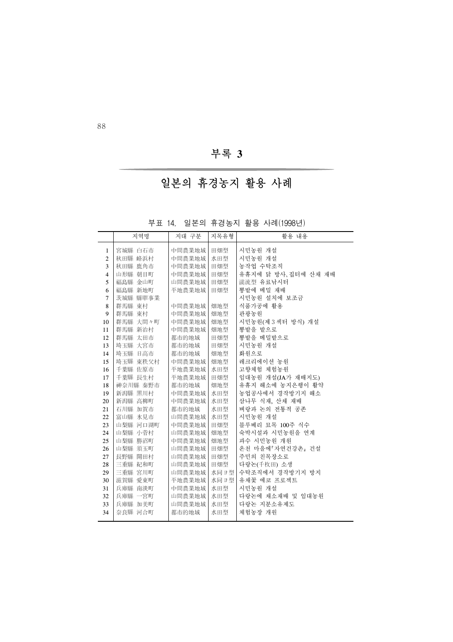부록 **3**

# 일본의 휴경농지 활용 사례

|  |  |  |  | 부표 14. 일본의 휴경농지 활용 사례(1998년) |
|--|--|--|--|------------------------------|
|--|--|--|--|------------------------------|

|                | 지역명                | 지대 구분            | 지목유형       | 활용 내용                    |
|----------------|--------------------|------------------|------------|--------------------------|
| $\mathbf{1}$   | 宮城縣 白石市            | 中間農業地域           | 田畑型        | 시민농원 개설                  |
| $\overline{c}$ | 秋田县 峰浜村            | 中間農業地域           | 水田型        | 시민농원 개설                  |
| 3              | 秋田畢 鹿角市            | 中間農業地域           | 田畑型        | 농작업 수탁조직                 |
| $\overline{4}$ | 山形县 朝目町            | 中間農業地域           | 田畑型        | 유휴지에 닭 방사, 집터에 산채 재배     |
| 5              | 福島縣 金山町            | 山間農業地域           | 田畑型        | 講流型 유료낚시터                |
| 6              | 福島縣 新地町            | 平地農業地域           | 田畑型        | 뽕밭에 메밀 재배                |
| $\overline{7}$ | 茨城县 中国事業           |                  |            | 시민농원 설치에 보조금             |
| 8              | 群馬 東村              | 中間農業地域           | 畑地型        | 식품가공에 활용                 |
| 9              | 群馬 東村              | 中間農業地域           | 畑地型        | 관광농원                     |
| 10             | 群馬  大間々町           | 中間農業地域           | 畑地型        | 시민농원(제3 섹터 방식) 개설        |
| 11             | 群馬舞 新治村            | 中間農業地域           | 畑地型        | 뽕밭을 밭으로                  |
| 12             | 群馬舞 太田市            | 都市的地域            | 田畑型        | 뽕밭을 메밀밭으로                |
| 13             | 埼玉县 大宮市            | 都市的地域            | 田畑型        | 시민농원 개설                  |
| 14             | 埼玉县 日高市            | 都市的地域            | 畑地型        | 화워으로                     |
| 15             | 埼玉县 東秩父村           | 中間農業地域           | 畑地型        | 레크리에이션 농원                |
| 16             | 千葉縣 佐原市            | 平地農業地域           | 水田型        | 고향체험 체험농원                |
| 17             | 千葉縣 長生村            | 平地農業地域           | 田畑型        | 임대농원 개설(JA가 재배지도)        |
| 18             | 神奈川县 秦野市           | 都市的地域            | 畑地型        | 유휴지 해소에 농지은행이 활약         |
| 19             | 新潟县 川村             | 中間農業地域           | 水田型        | 농업공사에서 경작방기지 해소          |
| 20             | 新潟县 高柳町            | 中間農業地域           | 水田型        | 삼나무 식재, 산채 재배            |
| 21             | 石川縣 加賀市            | 都市的地域            | 水田型        | 벼랑과 논의 전통적 공존            |
| 22             | 富山驛 氷見市            | 山間農業地域           | 水田型        | 시민농원 개설                  |
| 23             | 山梨县 河口湖町           | 中間農業地域           | 田畑型        | 블루베리 묘목 100주 식수          |
| 24             | 山梨县 小菅村            | 山間農業地域           | 畑地型        | 숙박시설과 시민농원을 연계           |
| 25             | 山梨县 勝沼町            | 中間農業地域           | 畑地型        | 과수 시민농원 개원               |
| 26             | 山梨县 須玉町            | 山間農業地域           | 田畑型        | 온처 마을에 자연건강촌, 건설         |
| 27<br>28       | 長野星 開田村            | 山間農業地域<br>山間農業地域 | 田畑型<br>田畑型 | 주민의 친목장소로<br>다랑논(千枚田) 소생 |
| 29             | 三重唱 紀和町<br>三重縣 宮川町 | 山間農業地域           | 水同ヨ型       | 수탁조직에서 경작방기지 방지          |
| 30             | 滋賀縣 愛東町            | 平地農業地域           | 水同ヨ型       | 유채꽃 에코 프로젝트              |
| 31             | 兵庫縣 南淡町            | 中間農業地域           | 水田型        | 시민농원 개설                  |
| 32             | 兵庫縣 一宮町            | 山間農業地域           | 水田型        | 다랑논에 채소재배 및 임대농원         |
| 33             | 兵庫縣 加美町            | 山間農業地域           | 水田型        | 다랑논 지분소유제도               |
| 34             | 奈良縣 河合町            | 都市的地域            | 水田型        | 체험농장 개원                  |
|                |                    |                  |            |                          |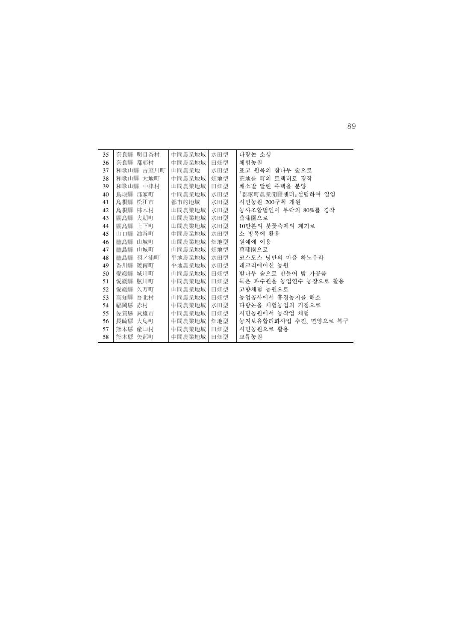| 35 | 奈良县 明目香村   | 中間農業地域 | 水田型 | 다랑논 소생                |
|----|------------|--------|-----|-----------------------|
| 36 | 奈良县 都祁村    | 中間農業地域 | 田畑型 | 체험농원                  |
| 37 | 和歌山县 古座川町  | 山間農業地  | 水田型 | 표고 원목의 참나무 숲으로        |
| 38 | 和歌山縣 太地町   | 中間農業地域 | 畑地型 | 荒地를 町의 트랙터로 경작        |
| 39 | 和歌山舞 中津村   | 山間農業地域 | 田畑型 | 채소밭 딸린 주택을 분양         |
| 40 | 鳥取 郡家町     | 中間農業地域 | 水田型 | 『郡家町農業開皇센터』설립하여 일임    |
| 41 | 島根 松江市     | 都市的地域  | 水田型 | 시민농원 200구획 개원         |
| 42 | 島根  柿木村    | 山間農業地域 | 水田型 | 농사조합법인이 부락의 80%를 경작   |
| 43 | 【島」 大朝町    | 山間農業地域 | 水田型 | 菖蒲園으로                 |
| 44 | 底島縣 上下町    | 山間農業地域 | 水田型 | 10만본의 붓꽃축제의 계기로       |
| 45 | 山口驛 油谷町    | 中間農業地域 | 水田型 | 소 방목에 활용              |
| 46 | 德島縣 山城町    | 山間農業地域 | 畑地型 | 원예에 이용                |
| 47 | 德島縣 山城町    | 山間農業地域 | 畑地型 | 菖蒲園으로                 |
| 48 | ■島■ 羽ノ浦町   | 平地農業地域 | 水田型 | 코스모스 낭만의 마을 하노우라      |
| 49 | 香川틀 綾南町    | 平地農業地域 | 水田型 | 레크리에이션 농원             |
| 50 | 愛媛』 城川町    | 山間農業地域 | 田畑型 | 밤나무 숲으로 만들어 밤 가공품     |
| 51 | 愛媛』 肱川町    | 中間農業地域 | 田畑型 | 묵은 과수원을 농업연수 농장으로 활용  |
| 52 | 愛媛』 久万町    | 山間農業地域 | 田畑型 | 고향체험 농원으로             |
| 53 | 高知事 吾北村    | 山間農業地域 | 田畑型 | 농업공사에서 휴경농지를 해소       |
| 54 | 福岡縣<br>赤村  | 中間農業地域 | 水田型 | 다랑논을 체험농업의 거점으로       |
| 55 | 佐賀縣<br>武雄市 | 中間農業地域 | 田畑型 | 시민농원에서 농작업 체험         |
| 56 | 長崎縣 大島町    | 中間農業地域 | 畑地型 | 농지보유합리화사업 추진, 면양으로 복구 |
| 57 | 熊本縣 産山村    | 中間農業地域 | 田畑型 | 시민농원으로 활용             |
| 58 | 熊本縣 矢部町    | 中間農業地域 | 田畑型 | 교류농원                  |

89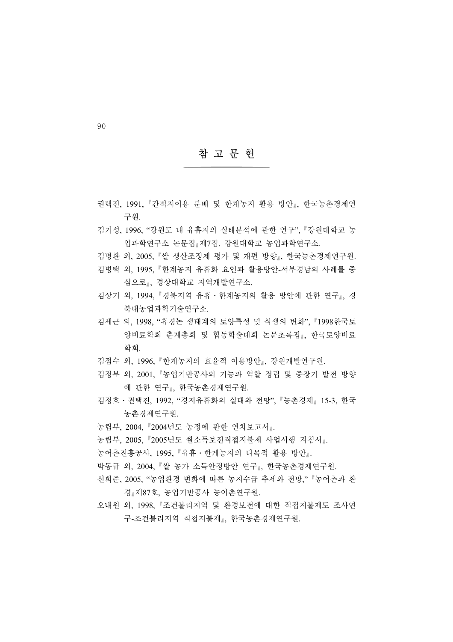#### 참 고 문 헌

- 권택진, 1991, 간척지이용 분배 및 한계농지 활용 방안 , 한국농촌경제연 구원.
- 김기성, 1996, "강원도 내 유휴지의 실태분석에 관한 연구", 강원대학교 농 업과학연구소 논문집 제7집. 강원대학교 농업과학연구소.
- 김명환 외, 2005, 쌀 생산조정제 평가 및 개편 방향 , 한국농촌경제연구원.
- 김병택 외, 1995, 한계농지 유휴화 요인과 활용방안-서부경남의 사례를 중 심으로 , 경상대학교 지역개발연구소.
- 김상기 외, 1994, 경북지역 유휴․한계농지의 활용 방안에 관한 연구 , 경 북대농업과학기술연구소.
- 김세근 외, 1998, "휴경논 생태계의 토양특성 및 식생의 변화", 1998한국토 양비료학회 춘계총회 및 합동학술대회 논문초록집 , 한국토양비료 학회.
- 김점수 외, 1996, 한계농지의 효율적 이용방안 , 강원개발연구원.
- 김정부 외, 2001, 농업기반공사의 기능과 역할 정립 및 중장기 발전 방향 에 관한 연구 , 한국농촌경제연구원.
- 김정호․권택진, 1992, "경지유휴화의 실태와 전망", 농촌경제 15-3, 한국 농촌경제연구원.
- 농림부, 2004, 2004년도 농정에 관한 연차보고서 .
- 농림부, 2005, 2005년도 쌀소득보전직접지불제 사업시행 지침서 .
- 농어촌진흥공사, 1995, 유휴․한계농지의 다목적 활용 방안 .
- 박동규 외, 2004, 쌀 농가 소득안정방안 연구 , 한국농촌경제연구원.
- 신희준, 2005, "농업환경 변화에 따른 농지수급 추세와 전망," 농어촌과 환 경 제87호, 농업기반공사 농어촌연구원.
- 오내워 외, 1998. '조건불리지역 및 환경보전에 대한 직접지불제도 조사연 구-조건불리지역 직접지불제 , 한국농촌경제연구원.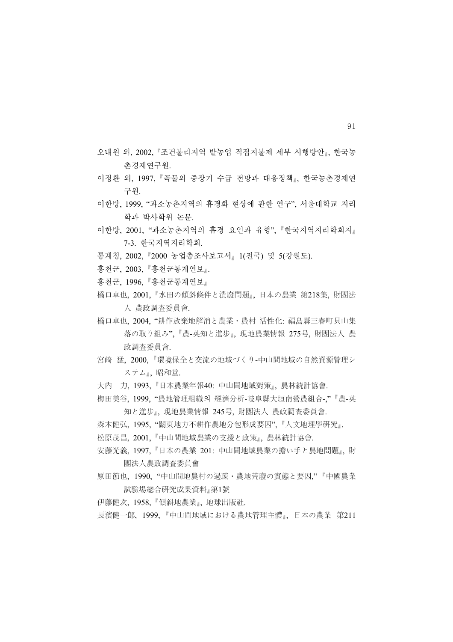- 오내원 외, 2002, "조건불리지역 밭농업 직접지불제 세부 시행방안 , 한국농 촌경제연구원.
- 이정환 외, 1997, 곡물의 중장기 수급 전망과 대응정책 , 한국농촌경제연 구원.
- 이한방, 1999, "과소농촌지역의 휴경화 현상에 관한 연구", 서울대학교 지리 학과 박사학위 논문.
- 이한방, 2001, "과소농촌지역의 휴경 요인과 유형", 한국지역지리학회지 7-3. 한국지역지리학회.
- 통계청, 2002, 2000 농업총조사보고서 1(전국) 및 5(강원도).
- 홍천군, 2003, 홍천군통계연보 .
- 홍천군, 1996, 홍천군통계연보
- 橋口卓也, 2001, 水田の傾斜條件と潰廢問題 , 日本の農業 第218集, 財團法 人 農政調査委員會.
- 橋口卓也, 2004, "耕作放棄地解消と農業․農村 活性化: 福島縣三春町貝山集 落の取り組み", 農-英知と進步 , 現地農業情報 275号, 財團法人 農 政調査委員會.
- 宮崎 猛, 2000, 環境保全と交流の地域づくり-中山間地域の自然資源管理シ ステム』、昭和堂.
- 大內 力, 1993, 日本農業年報40: 中山間地域對策 , 農林統計協會.
- 梅田美谷, 1999, "農地管理組織의 經濟分析-岐阜縣大垣南營農組合-," 農-英 知と進步」,現地農業情報 245号, 財團法人 農政調査委員會.
- 森本健弘, 1995, "關東地方不耕作農地分包形成要因", 人文地理學硏究 .
- 松原茂昌, 2001, 中山間地域農業の支援と政策 , 農林統計協會.
- 安藤光義, 1997, 日本の農業 201: 中山間地域農業の擔い手と農地問題 , 財 團法人農政調査委員會
- 原田節也, 1990, "中山間地農村の過疎․農地荒廢の實態と要因," 中國農業 試驗場總合硏究成果資料 第1號
- 伊藤健次, 1958, 傾斜地農業 , 地球出版社.
- 長濱健一郞, 1999, 中山間地域における農地管理主體 , 日本の農業 第211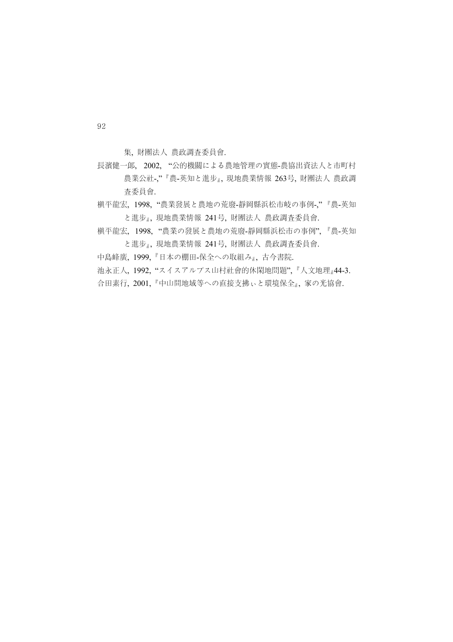集, 財團法人 農政調査委員會.

- 長濱健一郞, 2002, "公的機關による農地管理の實態-農協出資法人と市町村 農業公社-," 農-英知と進步 , 現地農業情報 263号, 財團法人 農政調 査委員會.
- 槇平龍宏、1998、"農業發展と農地の荒廢-靜岡縣浜松市岐の事例-" ■農-英知 と進步 , 現地農業情報 241号, 財團法人 農政調査委員會.
- 槇平龍宏, 1998, "農業の發展と農地の荒廢-靜岡縣浜松市の事例", 農-英知 と進步 , 現地農業情報 241号, 財團法人 農政調査委員會.
- 中島峰廣, 1999, 日本の棚田-保全への取組み , 古今書院.
- 池永正人, 1992, "スイスアルプス山村社會的休閑地問題", 人文地理 44-3.
- 合田素行, 2001, 中山間地域等への直接支拂ぃと環境保全 , 家の光協會.

92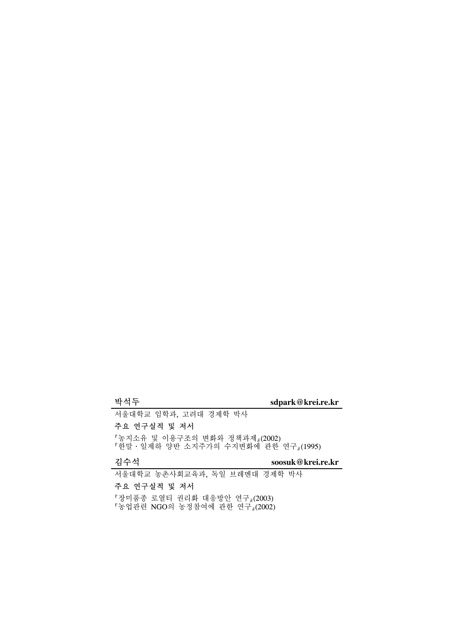# 박석두 **sdpark@krei.re.kr**

서울대학교 임학과, 고려대 경제학 박사

## 주요 연구실적 및 저서

농지소유 및 이용구조의 변화와 정책과제 (2002) 한말․일제하 양반 소지주가의 수지변화에 관한 연구 (1995)

김수석 **soosuk@krei.re.kr**

서울대학교 농촌사회교육과, 독일 브레멘대 경제학 박사

## 주요 연구실적 및 저서

장미품종 로열티 권리화 대응방안 연구 (2003) 농업관련 NGO의 농정참여에 관한 연구 (2002)